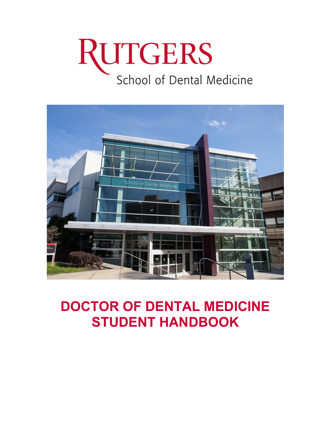# RUTGERS School of Dental Medicine



# **DOCTOR OF DENTAL MEDICINE STUDENT HANDBOOK**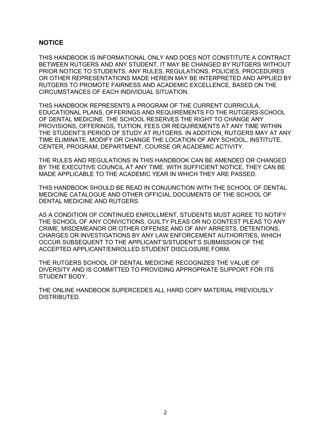#### <span id="page-1-0"></span>**NOTICE**

THIS HANDBOOK IS INFORMATIONAL ONLY AND DOES NOT CONSTITUTE A CONTRACT BETWEEN RUTGERS AND ANY STUDENT. IT MAY BE CHANGED BY RUTGERS WITHOUT PRIOR NOTICE TO STUDENTS. ANY RULES, REGULATIONS, POLICIES, PROCEDURES OR OTHER REPRESENTATIONS MADE HEREIN MAY BE INTERPRETED AND APPLIED BY RUTGERS TO PROMOTE FAIRNESS AND ACADEMIC EXCELLENCE, BASED ON THE CIRCUMSTANCES OF EACH INDIVIDUAL SITUATION.

THIS HANDBOOK REPRESENTS A PROGRAM OF THE CURRENT CURRICULA, EDUCATIONAL PLANS, OFFERINGS AND REQUIREMENTS FO THE RUTGERS-SCHOOL OF DENTAL MEDICINE. THE SCHOOL RESERVES THE RIGHT TO CHANGE ANY PROVISIONS, OFFERINGS, TUITION, FEES OR REQUIREMENTS AT ANY TIME WITHIN THE STUDENT'S PERIOD OF STUDY AT RUTGERS. IN ADDITION, RUTGERS MAY AT ANY TIME ELIMINATE, MODIFY OR CHANGE THE LOCATION OF ANY SCHOOL, INSTITUTE, CENTER, PROGRAM, DEPARTMENT, COURSE OR ACADEMIC ACTIVITY.

THE RULES AND REGULATIONS IN THIS HANDBOOK CAN BE AMENDED OR CHANGED BY THE EXECUTIVE COUNCIL AT ANY TIME. WITH SUFFICIENT NOTICE, THEY CAN BE MADE APPLICABLE TO THE ACADEMIC YEAR IN WHICH THEY ARE PASSED.

THIS HANDBOOK SHOULD BE READ IN CONJUNCTION WITH THE SCHOOL OF DENTAL MEDICINE CATALOGUE AND OTHER OFFICIAL DOCUMENTS OF THE SCHOOL OF DENTAL MEDICINE AND RUTGERS.

AS A CONDITION OF CONTINUED ENROLLMENT, STUDENTS MUST AGREE TO NOTIFY THE SCHOOL OF ANY CONVICTIONS, GUILTY PLEAS OR NO CONTEST PLEAS TO ANY CRIME, MISDEMEANOR OR OTHER OFFENSE AND OF ANY ARRESTS, DETENTIONS, CHARGES OR INVESTIGATIONS BY ANY LAW ENFORCEMENT AUTHORITIES, WHICH OCCUR SUBSEQUENT TO THE APPLICANT'S/STUDENT'S SUBMISSION OF THE ACCEPTED APPLICANT/ENROLLED STUDENT DISCLOSURE FORM.

THE RUTGERS SCHOOL OF DENTAL MEDICINE RECOGNIZES THE VALUE OF DIVERSITY AND IS COMMITTED TO PROVIDING APPROPRIATE SUPPORT FOR ITS STUDENT BODY.

THE ONLINE HANDBOOK SUPERCEDES ALL HARD COPY MATERIAL PREVIOUSLY DISTRIBUTED. **D**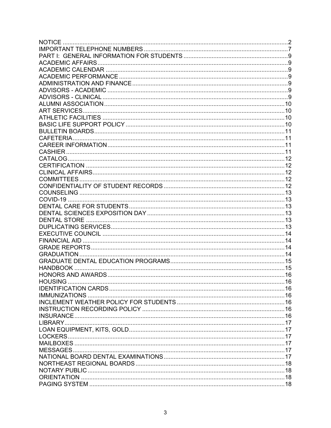| <b>NOTICE</b> |  |
|---------------|--|
|               |  |
|               |  |
|               |  |
|               |  |
|               |  |
|               |  |
|               |  |
|               |  |
|               |  |
|               |  |
|               |  |
|               |  |
|               |  |
|               |  |
|               |  |
|               |  |
|               |  |
|               |  |
|               |  |
|               |  |
|               |  |
|               |  |
|               |  |
|               |  |
|               |  |
|               |  |
|               |  |
|               |  |
|               |  |
|               |  |
|               |  |
|               |  |
|               |  |
|               |  |
|               |  |
|               |  |
|               |  |
|               |  |
|               |  |
|               |  |
|               |  |
|               |  |
|               |  |
|               |  |
|               |  |
|               |  |
|               |  |
|               |  |
|               |  |
|               |  |
|               |  |
|               |  |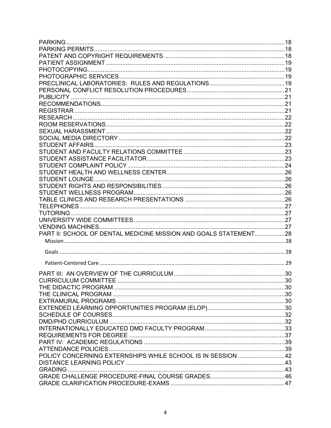| PART II: SCHOOL OF DENTAL MEDICINE MISSION AND GOALS STATEMENT28 |  |
|------------------------------------------------------------------|--|
|                                                                  |  |
|                                                                  |  |
|                                                                  |  |
|                                                                  |  |
|                                                                  |  |
|                                                                  |  |
|                                                                  |  |
|                                                                  |  |
|                                                                  |  |
|                                                                  |  |
|                                                                  |  |
|                                                                  |  |
|                                                                  |  |
|                                                                  |  |
|                                                                  |  |
|                                                                  |  |
| POLICY CONCERNING EXTERNSHIPS WHILE SCHOOL IS IN SESSION 42      |  |
|                                                                  |  |
|                                                                  |  |
|                                                                  |  |
|                                                                  |  |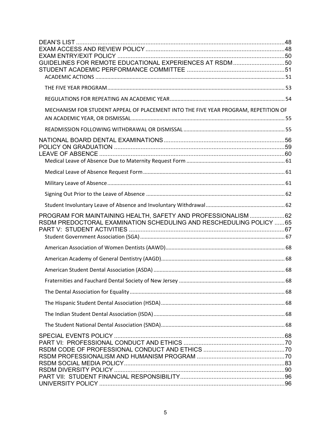| GUIDELINES FOR REMOTE EDUCATIONAL EXPERIENCES AT RSDM 50                                                                             |  |
|--------------------------------------------------------------------------------------------------------------------------------------|--|
|                                                                                                                                      |  |
|                                                                                                                                      |  |
| MECHANISM FOR STUDENT APPEAL OF PLACEMENT INTO THE FIVE YEAR PROGRAM, REPETITION OF                                                  |  |
|                                                                                                                                      |  |
|                                                                                                                                      |  |
|                                                                                                                                      |  |
|                                                                                                                                      |  |
|                                                                                                                                      |  |
|                                                                                                                                      |  |
| PROGRAM FOR MAINTAINING HEALTH, SAFETY AND PROFESSIONALISM 62<br>RSDM PREDOCTORAL EXAMINATION SCHEDULING AND RESCHEDULING POLICY  65 |  |
|                                                                                                                                      |  |
|                                                                                                                                      |  |
|                                                                                                                                      |  |
|                                                                                                                                      |  |
|                                                                                                                                      |  |
|                                                                                                                                      |  |
|                                                                                                                                      |  |
|                                                                                                                                      |  |
|                                                                                                                                      |  |
|                                                                                                                                      |  |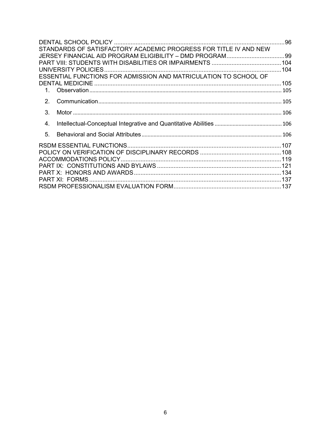|                | STANDARDS OF SATISFACTORY ACADEMIC PROGRESS FOR TITLE IV AND NEW |  |
|----------------|------------------------------------------------------------------|--|
|                |                                                                  |  |
|                |                                                                  |  |
|                |                                                                  |  |
|                | ESSENTIAL FUNCTIONS FOR ADMISSION AND MATRICULATION TO SCHOOL OF |  |
|                |                                                                  |  |
|                |                                                                  |  |
| 2 <sub>1</sub> |                                                                  |  |
| 3.             |                                                                  |  |
| 4.             |                                                                  |  |
| 5 <sub>1</sub> |                                                                  |  |
|                |                                                                  |  |
|                |                                                                  |  |
|                |                                                                  |  |
|                |                                                                  |  |
|                |                                                                  |  |
|                |                                                                  |  |
|                |                                                                  |  |
|                |                                                                  |  |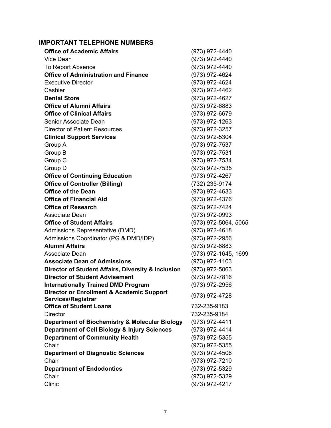# <span id="page-6-0"></span>**IMPORTANT TELEPHONE NUMBERS**

| <b>Office of Academic Affairs</b>                               | (973) 972-4440       |
|-----------------------------------------------------------------|----------------------|
| Vice Dean                                                       | (973) 972-4440       |
| To Report Absence                                               | (973) 972-4440       |
| <b>Office of Administration and Finance</b>                     | (973) 972-4624       |
| <b>Executive Director</b>                                       | (973) 972-4624       |
| Cashier                                                         | (973) 972-4462       |
| <b>Dental Store</b>                                             | (973) 972-4627       |
| <b>Office of Alumni Affairs</b>                                 | (973) 972-6883       |
| <b>Office of Clinical Affairs</b>                               | (973) 972-6679       |
| Senior Associate Dean                                           | (973) 972-1263       |
| <b>Director of Patient Resources</b>                            | (973) 972-3257       |
| <b>Clinical Support Services</b>                                | (973) 972-5304       |
| Group A                                                         | (973) 972-7537       |
| Group B                                                         | (973) 972-7531       |
| Group C                                                         | (973) 972-7534       |
| Group D                                                         | (973) 972-7535       |
| <b>Office of Continuing Education</b>                           | (973) 972-4267       |
| <b>Office of Controller (Billing)</b>                           | (732) 235-9174       |
| <b>Office of the Dean</b>                                       | (973) 972-4633       |
| <b>Office of Financial Aid</b>                                  | (973) 972-4376       |
| <b>Office of Research</b>                                       | (973) 972-7424       |
| Associate Dean                                                  | (973) 972-0993       |
| <b>Office of Student Affairs</b>                                | (973) 972-5064, 5065 |
| Admissions Representative (DMD)                                 | (973) 972-4618       |
| Admissions Coordinator (PG & DMD/IDP)                           | (973) 972-2956       |
| Alumni Affairs                                                  | (973) 972-6883       |
| Associate Dean                                                  | (973) 972-1645, 1699 |
| <b>Associate Dean of Admissions</b>                             | (973) 972-1103       |
| Director of Student Affairs, Diversity & Inclusion              | (973) 972-5063       |
| <b>Director of Student Advisement</b>                           | (973) 972-7816       |
| <b>Internationally Trained DMD Program</b>                      | (973) 972-2956       |
| Director or Enrollment & Academic Support<br>Services/Registrar | (973) 972-4728       |
| <b>Office of Student Loans</b>                                  | 732-235-9183         |
| <b>Director</b>                                                 | 732-235-9184         |
| Department of Biochemistry & Molecular Biology                  | (973) 972-4411       |
| Department of Cell Biology & Injury Sciences                    | (973) 972-4414       |
| <b>Department of Community Health</b>                           | (973) 972-5355       |
| Chair                                                           | (973) 972-5355       |
| <b>Department of Diagnostic Sciences</b>                        | (973) 972-4506       |
| Chair                                                           | (973) 972-7210       |
| <b>Department of Endodontics</b>                                | (973) 972-5329       |
| Chair                                                           | (973) 972-5329       |
| Clinic                                                          | (973) 972-4217       |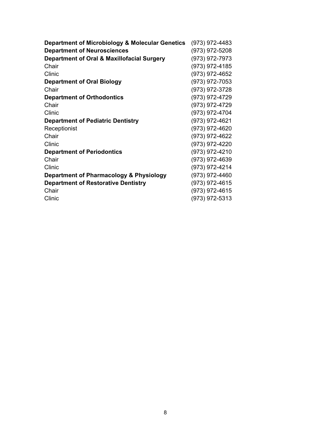| Department of Microbiology & Molecular Genetics       | (973) 972-4483 |
|-------------------------------------------------------|----------------|
| <b>Department of Neurosciences</b>                    | (973) 972-5208 |
| <b>Department of Oral &amp; Maxillofacial Surgery</b> | (973) 972-7973 |
| Chair                                                 | (973) 972-4185 |
| Clinic                                                | (973) 972-4652 |
| <b>Department of Oral Biology</b>                     | (973) 972-7053 |
| Chair                                                 | (973) 972-3728 |
| <b>Department of Orthodontics</b>                     | (973) 972-4729 |
| Chair                                                 | (973) 972-4729 |
| Clinic                                                | (973) 972-4704 |
| <b>Department of Pediatric Dentistry</b>              | (973) 972-4621 |
| Receptionist                                          | (973) 972-4620 |
| Chair                                                 | (973) 972-4622 |
| Clinic                                                | (973) 972-4220 |
| <b>Department of Periodontics</b>                     | (973) 972-4210 |
| Chair                                                 | (973) 972-4639 |
| Clinic                                                | (973) 972-4214 |
| Department of Pharmacology & Physiology               | (973) 972-4460 |
| <b>Department of Restorative Dentistry</b>            | (973) 972-4615 |
| Chair                                                 | (973) 972-4615 |
| Clinic                                                | (973) 972-5313 |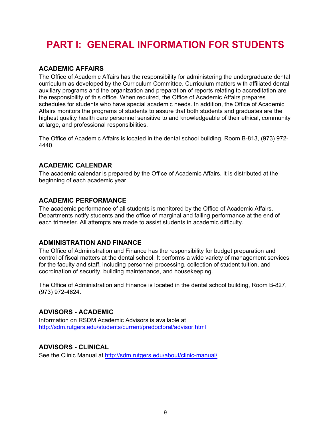# <span id="page-8-0"></span>**PART I: GENERAL INFORMATION FOR STUDENTS**

# <span id="page-8-1"></span>**ACADEMIC AFFAIRS**

The Office of Academic Affairs has the responsibility for administering the undergraduate dental curriculum as developed by the Curriculum Committee. Curriculum matters with affiliated dental auxiliary programs and the organization and preparation of reports relating to accreditation are the responsibility of this office. When required, the Office of Academic Affairs prepares schedules for students who have special academic needs. In addition, the Office of Academic Affairs monitors the programs of students to assure that both students and graduates are the highest quality health care personnel sensitive to and knowledgeable of their ethical, community at large, and professional responsibilities.

The Office of Academic Affairs is located in the dental school building, Room B-813, (973) 972- 4440.

# <span id="page-8-2"></span>**ACADEMIC CALENDAR**

<span id="page-8-3"></span>The academic calendar is prepared by the Office of Academic Affairs. It is distributed at the beginning of each academic year.

# **ACADEMIC PERFORMANCE**

The academic performance of all students is monitored by the Office of Academic Affairs. Departments notify students and the office of marginal and failing performance at the end of each trimester. All attempts are made to assist students in academic difficulty.

# <span id="page-8-4"></span>**ADMINISTRATION AND FINANCE**

The Office of Administration and Finance has the responsibility for budget preparation and control of fiscal matters at the dental school. It performs a wide variety of management services for the faculty and staff, including personnel processing, collection of student tuition, and coordination of security, building maintenance, and housekeeping.

<span id="page-8-5"></span>The Office of Administration and Finance is located in the dental school building, Room B-827, (973) 972-4624.

# **ADVISORS - ACADEMIC**

<span id="page-8-6"></span>Information on RSDM Academic Advisors is available at <http://sdm.rutgers.edu/students/current/predoctoral/advisor.html>

# **ADVISORS - CLINICAL**

See the Clinic Manual at<http://sdm.rutgers.edu/about/clinic-manual/>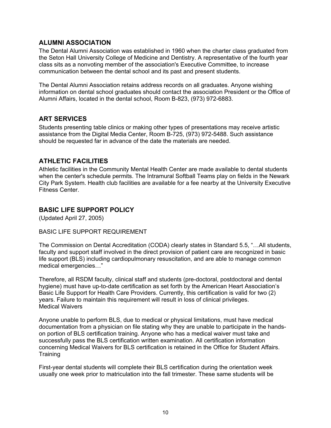# <span id="page-9-0"></span>**ALUMNI ASSOCIATION**

The Dental Alumni Association was established in 1960 when the charter class graduated from the Seton Hall University College of Medicine and Dentistry. A representative of the fourth year class sits as a nonvoting member of the association's Executive Committee, to increase communication between the dental school and its past and present students.

The Dental Alumni Association retains address records on all graduates. Anyone wishing information on dental school graduates should contact the association President or the Office of Alumni Affairs, located in the dental school, Room B-823, (973) 972-6883.

# <span id="page-9-1"></span>**ART SERVICES**

Students presenting table clinics or making other types of presentations may receive artistic assistance from the Digital Media Center, Room B-725, (973) 972-5488. Such assistance should be requested far in advance of the date the materials are needed.

# <span id="page-9-2"></span>**ATHLETIC FACILITIES**

Athletic facilities in the Community Mental Health Center are made available to dental students when the center's schedule permits. The Intramural Softball Teams play on fields in the Newark City Park System. Health club facilities are available for a fee nearby at the University Executive Fitness Center.

# <span id="page-9-3"></span>**BASIC LIFE SUPPORT POLICY**

(Updated April 27, 2005)

#### BASIC LIFE SUPPORT REQUIREMENT

The Commission on Dental Accreditation (CODA) clearly states in Standard 5.5, "…All students, faculty and support staff involved in the direct provision of patient care are recognized in basic life support (BLS) including cardiopulmonary resuscitation, and are able to manage common medical emergencies…"

Therefore, all RSDM faculty, clinical staff and students (pre-doctoral, postdoctoral and dental hygiene) must have up-to-date certification as set forth by the American Heart Association's Basic Life Support for Health Care Providers. Currently, this certification is valid for two (2) years. Failure to maintain this requirement will result in loss of clinical privileges. Medical Waivers

Anyone unable to perform BLS, due to medical or physical limitations, must have medical documentation from a physician on file stating why they are unable to participate in the handson portion of BLS certification training. Anyone who has a medical waiver must take and successfully pass the BLS certification written examination. All certification information concerning Medical Waivers for BLS certification is retained in the Office for Student Affairs. **Training** 

First-year dental students will complete their BLS certification during the orientation week usually one week prior to matriculation into the fall trimester. These same students will be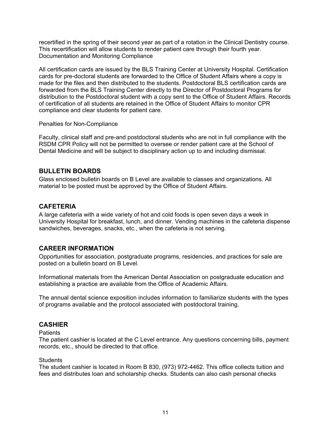recertified in the spring of their second year as part of a rotation in the Clinical Dentistry course. This recertification will allow students to render patient care through their fourth year. Documentation and Monitoring Compliance

All certification cards are issued by the BLS Training Center at University Hospital. Certification cards for pre-doctoral students are forwarded to the Office of Student Affairs where a copy is made for the files and then distributed to the students. Postdoctoral BLS certification cards are forwarded from the BLS Training Center directly to the Director of Postdoctoral Programs for distribution to the Postdoctoral student with a copy sent to the Office of Student Affairs. Records of certification of all students are retained in the Office of Student Affairs to monitor CPR compliance and clear students for patient care.

#### Penalties for Non-Compliance

Faculty, clinical staff and pre-and postdoctoral students who are not in full compliance with the RSDM CPR Policy will not be permitted to oversee or render patient care at the School of Dental Medicine and will be subject to disciplinary action up to and including dismissal.

#### <span id="page-10-0"></span>**BULLETIN BOARDS**

<span id="page-10-1"></span>Glass enclosed bulletin boards on B Level are available to classes and organizations. All material to be posted must be approved by the Office of Student Affairs.

#### **CAFETERIA**

A large cafeteria with a wide variety of hot and cold foods is open seven days a week in University Hospital for breakfast, lunch, and dinner. Vending machines in the cafeteria dispense sandwiches, beverages, snacks, etc., when the cafeteria is not serving.

# <span id="page-10-2"></span>**CAREER INFORMATION**

Opportunities for association, postgraduate programs, residencies, and practices for sale are posted on a bulletin board on B Level.

Informational materials from the American Dental Association on postgraduate education and establishing a practice are available from the Office of Academic Affairs.

The annual dental science exposition includes information to familiarize students with the types of programs available and the protocol associated with postdoctoral training.

#### <span id="page-10-3"></span>**CASHIER**

#### Patients

The patient cashier is located at the C Level entrance. Any questions concerning bills, payment records, etc., should be directed to that office.

#### **Students**

The student cashier is located in Room B 830, (973) 972-4462. This office collects tuition and fees and distributes loan and scholarship checks. Students can also cash personal checks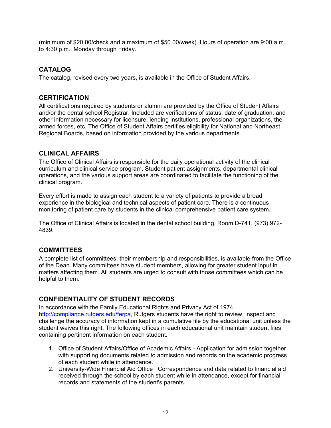<span id="page-11-0"></span>(minimum of \$20.00/check and a maximum of \$50.00/week). Hours of operation are 9:00 a.m. to 4:30 p.m., Monday through Friday.

# **CATALOG**

<span id="page-11-1"></span>The catalog, revised every two years, is available in the Office of Student Affairs.

# **CERTIFICATION**

All certifications required by students or alumni are provided by the Office of Student Affairs and/or the dental school Registrar. Included are verifications of status, date of graduation, and other information necessary for licensure, lending institutions, professional organizations, the armed forces, etc. The Office of Student Affairs certifies eligibility for National and Northeast Regional Boards, based on information provided by the various departments.

# <span id="page-11-2"></span>**CLINICAL AFFAIRS**

The Office of Clinical Affairs is responsible for the daily operational activity of the clinical curriculum and clinical service program. Student patient assignments, departmental clinical operations, and the various support areas are coordinated to facilitate the functioning of the clinical program.

Every effort is made to assign each student to a variety of patients to provide a broad experience in the biological and technical aspects of patient care. There is a continuous monitoring of patient care by students in the clinical comprehensive patient care system.

The Office of Clinical Affairs is located in the dental school building, Room D-741, (973) 972- 4839.

# <span id="page-11-3"></span>**COMMITTEES**

A complete list of committees, their membership and responsibilities, is available from the Office of the Dean. Many committees have student members, allowing for greater student input in matters affecting them. All students are urged to consult with those committees which can be helpful to them.

# <span id="page-11-4"></span>**CONFIDENTIALITY OF STUDENT RECORDS**

In accordance with the Family Educational Rights and Privacy Act of 1974, [http://compliance.rutgers.edu/ferpa,](http://compliance.rutgers.edu/ferpa) Rutgers students have the right to review, inspect and challenge the accuracy of information kept in a cumulative file by the educational unit unless the student waives this right. The following offices in each educational unit maintain student files containing pertinent information on each student.

- 1. Office of Student Affairs/Office of Academic Affairs Application for admission together with supporting documents related to admission and records on the academic progress of each student while in attendance.
- 2. University-Wide Financial Aid Office Correspondence and data related to financial aid received through the school by each student while in attendance, except for financial records and statements of the student's parents.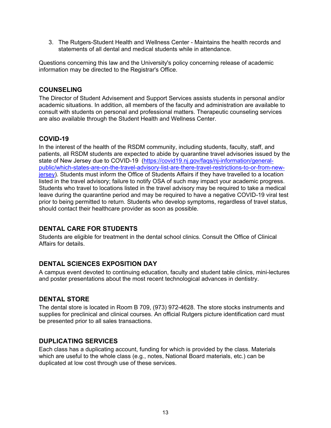3. The Rutgers-Student Health and Wellness Center - Maintains the health records and statements of all dental and medical students while in attendance.

<span id="page-12-0"></span>Questions concerning this law and the University's policy concerning release of academic information may be directed to the Registrar's Office.

#### **COUNSELING**

The Director of Student Advisement and Support Services assists students in personal and/or academic situations. In addition, all members of the faculty and administration are available to consult with students on personal and professional matters. Therapeutic counseling services are also available through the Student Health and Wellness Center.

#### <span id="page-12-1"></span>**COVID-19**

In the interest of the health of the RSDM community, including students, faculty, staff, and patients, all RSDM students are expected to abide by quarantine travel advisories issued by the state of New Jersey due to COVID-19 [\(https://covid19.nj.gov/faqs/nj-information/general](https://covid19.nj.gov/faqs/nj-information/general-public/which-states-are-on-the-travel-advisory-list-are-there-travel-restrictions-to-or-from-new-jersey)[public/which-states-are-on-the-travel-advisory-list-are-there-travel-restrictions-to-or-from-new](https://covid19.nj.gov/faqs/nj-information/general-public/which-states-are-on-the-travel-advisory-list-are-there-travel-restrictions-to-or-from-new-jersey)[jersey\)](https://covid19.nj.gov/faqs/nj-information/general-public/which-states-are-on-the-travel-advisory-list-are-there-travel-restrictions-to-or-from-new-jersey). Students must inform the Office of Students Affairs if they have travelled to a location listed in the travel advisory; failure to notify OSA of such may impact your academic progress. Students who travel to locations listed in the travel advisory may be required to take a medical leave during the quarantine period and may be required to have a negative COVID-19 viral test prior to being permitted to return. Students who develop symptoms, regardless of travel status, should contact their healthcare provider as soon as possible.

# <span id="page-12-2"></span>**DENTAL CARE FOR STUDENTS**

<span id="page-12-3"></span>Students are eligible for treatment in the dental school clinics. Consult the Office of Clinical Affairs for details.

# **DENTAL SCIENCES EXPOSITION DAY**

<span id="page-12-4"></span>A campus event devoted to continuing education, faculty and student table clinics, mini-lectures and poster presentations about the most recent technological advances in dentistry.

#### **DENTAL STORE**

The dental store is located in Room B 709, (973) 972-4628. The store stocks instruments and supplies for preclinical and clinical courses. An official Rutgers picture identification card must be presented prior to all sales transactions.

#### <span id="page-12-5"></span>**DUPLICATING SERVICES**

Each class has a duplicating account, funding for which is provided by the class. Materials which are useful to the whole class (e.g., notes, National Board materials, etc.) can be duplicated at low cost through use of these services.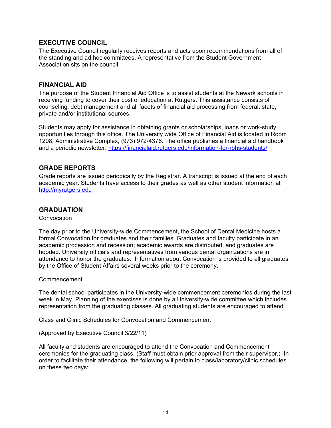# <span id="page-13-0"></span>**EXECUTIVE COUNCIL**

The Executive Council regularly receives reports and acts upon recommendations from all of the standing and ad hoc committees. A representative from the Student Government Association sits on the council.

#### <span id="page-13-1"></span>**FINANCIAL AID**

The purpose of the Student Financial Aid Office is to assist students at the Newark schools in receiving funding to cover their cost of education at Rutgers. This assistance consists of counseling, debt management and all facets of financial aid processing from federal, state, private and/or institutional sources.

Students may apply for assistance in obtaining grants or scholarships, loans or work-study opportunities through this office. The University wide Office of Financial Aid is located in Room 1208, Administrative Complex, (973) 972-4376. The office publishes a financial aid handbook and a periodic newsletter.<https://financialaid.rutgers.edu/information-for-rbhs-students/>

#### <span id="page-13-2"></span>**GRADE REPORTS**

Grade reports are issued periodically by the Registrar. A transcript is issued at the end of each academic year. Students have access to their grades as well as other student information at [http://myrutgers.edu](http://myrutgers.edu/)

#### <span id="page-13-3"></span>**GRADUATION**

**Convocation** 

The day prior to the University-wide Commencement, the School of Dental Medicine hosts a formal Convocation for graduates and their families. Graduates and faculty participate in an academic procession and recession; academic awards are distributed, and graduates are hooded. University officials and representatives from various dental organizations are in attendance to honor the graduates. Information about Convocation is provided to all graduates by the Office of Student Affairs several weeks prior to the ceremony.

Commencement

The dental school participates in the University-wide commencement ceremonies during the last week in May. Planning of the exercises is done by a University-wide committee which includes representation from the graduating classes. All graduating students are encouraged to attend.

Class and Clinic Schedules for Convocation and Commencement

(Approved by Executive Council 3/22/11)

All faculty and students are encouraged to attend the Convocation and Commencement ceremonies for the graduating class. (Staff must obtain prior approval from their supervisor.) In order to facilitate their attendance, the following will pertain to class/laboratory/clinic schedules on these two days: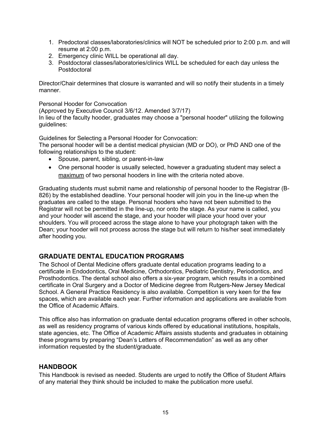- 1. Predoctoral classes/laboratories/clinics will NOT be scheduled prior to 2:00 p.m. and will resume at 2:00 p.m.
- 2. Emergency clinic WILL be operational all day.
- 3. Postdoctoral classes/laboratories/clinics WILL be scheduled for each day unless the Postdoctoral

Director/Chair determines that closure is warranted and will so notify their students in a timely manner.

Personal Hooder for Convocation (Approved by Executive Council 3/6/12. Amended 3/7/17) In lieu of the faculty hooder, graduates may choose a "personal hooder" utilizing the following guidelines:

Guidelines for Selecting a Personal Hooder for Convocation:

The personal hooder will be a dentist medical physician (MD or DO), or PhD AND one of the following relationships to the student:

- Spouse, parent, sibling, or parent-in-law
- One personal hooder is usually selected, however a graduating student may select a maximum of two personal hooders in line with the criteria noted above.

Graduating students must submit name and relationship of personal hooder to the Registrar (B-826) by the established deadline. Your personal hooder will join you in the line-up when the graduates are called to the stage. Personal hooders who have not been submitted to the Registrar will not be permitted in the line-up, nor onto the stage. As your name is called, you and your hooder will ascend the stage, and your hooder will place your hood over your shoulders. You will proceed across the stage alone to have your photograph taken with the Dean; your hooder will not process across the stage but will return to his/her seat immediately after hooding you.

# <span id="page-14-0"></span>**GRADUATE DENTAL EDUCATION PROGRAMS**

The School of Dental Medicine offers graduate dental education programs leading to a certificate in Endodontics, Oral Medicine, Orthodontics, Pediatric Dentistry, Periodontics, and Prosthodontics. The dental school also offers a six-year program, which results in a combined certificate in Oral Surgery and a Doctor of Medicine degree from Rutgers-New Jersey Medical School. A General Practice Residency is also available. Competition is very keen for the few spaces, which are available each year. Further information and applications are available from the Office of Academic Affairs.

This office also has information on graduate dental education programs offered in other schools, as well as residency programs of various kinds offered by educational institutions, hospitals, state agencies, etc. The Office of Academic Affairs assists students and graduates in obtaining these programs by preparing "Dean's Letters of Recommendation" as well as any other information requested by the student/graduate.

#### <span id="page-14-1"></span>**HANDBOOK**

This Handbook is revised as needed. Students are urged to notify the Office of Student Affairs of any material they think should be included to make the publication more useful.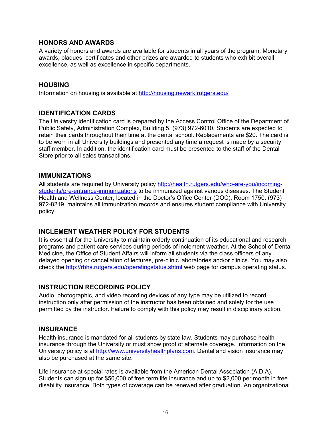#### <span id="page-15-0"></span>**HONORS AND AWARDS**

A variety of honors and awards are available for students in all years of the program. Monetary awards, plaques, certificates and other prizes are awarded to students who exhibit overall excellence, as well as excellence in specific departments.

#### <span id="page-15-1"></span>**HOUSING**

<span id="page-15-2"></span>Information on housing is available at<http://housing.newark.rutgers.edu/>

#### **IDENTIFICATION CARDS**

The University identification card is prepared by the Access Control Office of the Department of Public Safety, Administration Complex, Building 5, (973) 972-6010. Students are expected to retain their cards throughout their time at the dental school. Replacements are \$20. The card is to be worn in all University buildings and presented any time a request is made by a security staff member. In addition, the identification card must be presented to the staff of the Dental Store prior to all sales transactions.

#### <span id="page-15-3"></span>**IMMUNIZATIONS**

All students are required by University policy [http://health.rutgers.edu/who-are-you/incoming](http://health.rutgers.edu/who-are-you/incoming-students/pre-entrance-immunizations)[students/pre-entrance-immunizations](http://health.rutgers.edu/who-are-you/incoming-students/pre-entrance-immunizations) to be immunized against various diseases. The Student Health and Wellness Center, located in the Doctor's Office Center (DOC), Room 1750, (973) 972-8219, maintains all immunization records and ensures student compliance with University policy.

# <span id="page-15-4"></span>**INCLEMENT WEATHER POLICY FOR STUDENTS**

It is essential for the University to maintain orderly continuation of its educational and research programs and patient care services during periods of inclement weather. At the School of Dental Medicine, the Office of Student Affairs will inform all students via the class officers of any delayed opening or cancellation of lectures, pre-clinic laboratories and/or clinics. You may also check the<http://rbhs.rutgers.edu/operatingstatus.shtml> web page for campus operating status.

# <span id="page-15-5"></span>**INSTRUCTION RECORDING POLICY**

Audio, photographic, and video recording devices of any type may be utilized to record instruction only after permission of the instructor has been obtained and solely for the use permitted by the instructor. Failure to comply with this policy may result in disciplinary action.

#### <span id="page-15-6"></span>**INSURANCE**

Health insurance is mandated for all students by state law. Students may purchase health insurance through the University or must show proof of alternate coverage. Information on the University policy is at [http://www.universityhealthplans.com.](http://www.universityhealthplans.com/) Dental and vision insurance may also be purchased at the same site.

Life insurance at special rates is available from the American Dental Association (A.D.A). Students can sign up for \$50,000 of free term life insurance and up to \$2,000 per month in free disability insurance. Both types of coverage can be renewed after graduation. An organizational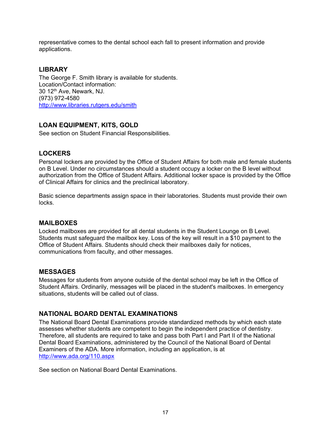<span id="page-16-0"></span>representative comes to the dental school each fall to present information and provide applications.

# **LIBRARY**

The George F. Smith library is available for students. Location/Contact information: 30 12th Ave, Newark, NJ. (973) 972-4580 <http://www.libraries.rutgers.edu/smith>

# <span id="page-16-1"></span>**LOAN EQUIPMENT, KITS, GOLD**

<span id="page-16-2"></span>See section on Student Financial Responsibilities.

# **LOCKERS**

Personal lockers are provided by the Office of Student Affairs for both male and female students on B Level. Under no circumstances should a student occupy a locker on the B level without authorization from the Office of Student Affairs. Additional locker space is provided by the Office of Clinical Affairs for clinics and the preclinical laboratory.

<span id="page-16-3"></span>Basic science departments assign space in their laboratories. Students must provide their own locks.

# **MAILBOXES**

Locked mailboxes are provided for all dental students in the Student Lounge on B Level. Students must safeguard the mailbox key. Loss of the key will result in a \$10 payment to the Office of Student Affairs. Students should check their mailboxes daily for notices, communications from faculty, and other messages.

# <span id="page-16-4"></span>**MESSAGES**

Messages for students from anyone outside of the dental school may be left in the Office of Student Affairs. Ordinarily, messages will be placed in the student's mailboxes. In emergency situations, students will be called out of class.

# <span id="page-16-5"></span>**NATIONAL BOARD DENTAL EXAMINATIONS**

The National Board Dental Examinations provide standardized methods by which each state assesses whether students are competent to begin the independent practice of dentistry. Therefore, all students are required to take and pass both Part I and Part II of the National Dental Board Examinations, administered by the Council of the National Board of Dental Examiners of the ADA. More information, including an application, is at <http://www.ada.org/110.aspx>

See section on National Board Dental Examinations.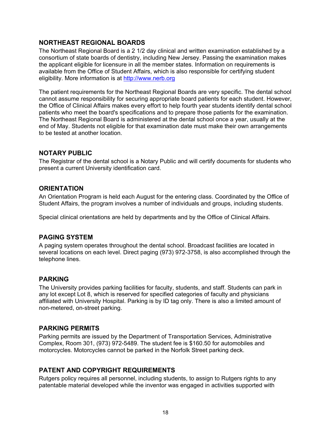# <span id="page-17-0"></span>**NORTHEAST REGIONAL BOARDS**

The Northeast Regional Board is a 2 1/2 day clinical and written examination established by a consortium of state boards of dentistry, including New Jersey. Passing the examination makes the applicant eligible for licensure in all the member states. Information on requirements is available from the Office of Student Affairs, which is also responsible for certifying student eligibility. More information is at [http://www.nerb.org](http://www.nerb.org/)

The patient requirements for the Northeast Regional Boards are very specific. The dental school cannot assume responsibility for securing appropriate board patients for each student. However, the Office of Clinical Affairs makes every effort to help fourth year students identify dental school patients who meet the board's specifications and to prepare those patients for the examination. The Northeast Regional Board is administered at the dental school once a year, usually at the end of May. Students not eligible for that examination date must make their own arrangements to be tested at another location.

# <span id="page-17-1"></span>**NOTARY PUBLIC**

<span id="page-17-2"></span>The Registrar of the dental school is a Notary Public and will certify documents for students who present a current University identification card.

# **ORIENTATION**

An Orientation Program is held each August for the entering class. Coordinated by the Office of Student Affairs, the program involves a number of individuals and groups, including students.

<span id="page-17-3"></span>Special clinical orientations are held by departments and by the Office of Clinical Affairs.

# **PAGING SYSTEM**

A paging system operates throughout the dental school. Broadcast facilities are located in several locations on each level. Direct paging (973) 972-3758, is also accomplished through the telephone lines.

# <span id="page-17-4"></span>**PARKING**

The University provides parking facilities for faculty, students, and staff. Students can park in any lot except Lot 8, which is reserved for specified categories of faculty and physicians affiliated with University Hospital. Parking is by ID tag only. There is also a limited amount of non-metered, on-street parking.

#### <span id="page-17-5"></span>**PARKING PERMITS**

Parking permits are issued by the Department of Transportation Services, Administrative Complex, Room 301, (973) 972-5489. The student fee is \$160.50 for automobiles and motorcycles. Motorcycles cannot be parked in the Norfolk Street parking deck.

# <span id="page-17-6"></span>**PATENT AND COPYRIGHT REQUIREMENTS**

Rutgers policy requires all personnel, including students, to assign to Rutgers rights to any patentable material developed while the inventor was engaged in activities supported with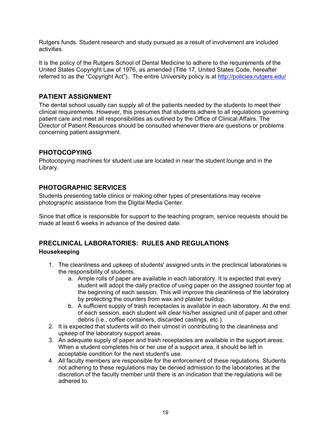Rutgers funds. Student research and study pursued as a result of involvement are included activities.

It is the policy of the Rutgers School of Dental Medicine to adhere to the requirements of the United States Copyright Law of 1976, as amended (Title 17, United States Code, hereafter referred to as the "Copyright Act"). The entire University policy is at<http://policies.rutgers.edu/>

# <span id="page-18-0"></span>**PATIENT ASSIGNMENT**

The dental school usually can supply all of the patients needed by the students to meet their clinical requirements. However, this presumes that students adhere to all regulations governing patient care and meet all responsibilities as outlined by the Office of Clinical Affairs. The Director of Patient Resources should be consulted whenever there are questions or problems concerning patient assignment.

# <span id="page-18-1"></span>**PHOTOCOPYING**

<span id="page-18-2"></span>Photocopying machines for student use are located in near the student lounge and in the Library.

# **PHOTOGRAPHIC SERVICES**

Students presenting table clinics or making other types of presentations may receive photographic assistance from the Digital Media Center.

<span id="page-18-3"></span>Since that office is responsible for support to the teaching program, service requests should be made at least 6 weeks in advance of the desired date.

# **PRECLINICAL LABORATORIES: RULES AND REGULATIONS Housekeeping**

- 1. The cleanliness and upkeep of students' assigned units in the preclinical laboratories is the responsibility of students.
	- a. Ample rolls of paper are available in each laboratory. It is expected that every student will adopt the daily practice of using paper on the assigned counter top at the beginning of each session. This will improve the cleanliness of the laboratory by protecting the counters from wax and plaster buildup.
	- b. A sufficient supply of trash receptacles is available in each laboratory. At the end of each session, each student will clear his/her assigned unit of paper and other debris (i.e., coffee containers, discarded castings, etc.).
- 2. It is expected that students will do their utmost in contributing to the cleanliness and upkeep of the laboratory support areas.
- 3. An adequate supply of paper and trash receptacles are available in the support areas. When a student completes his or her use of a support area, it should be left in acceptable condition for the next student's use.
- 4. All faculty members are responsible for the enforcement of these regulations. Students not adhering to these regulations may be denied admission to the laboratories at the discretion of the faculty member until there is an indication that the regulations will be adhered to.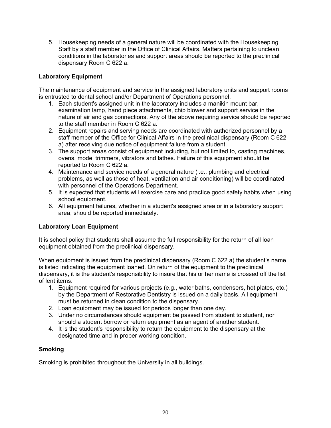5. Housekeeping needs of a general nature will be coordinated with the Housekeeping Staff by a staff member in the Office of Clinical Affairs. Matters pertaining to unclean conditions in the laboratories and support areas should be reported to the preclinical dispensary Room C 622 a.

#### **Laboratory Equipment**

The maintenance of equipment and service in the assigned laboratory units and support rooms is entrusted to dental school and/or Department of Operations personnel.

- 1. Each student's assigned unit in the laboratory includes a manikin mount bar, examination lamp, hand piece attachments, chip blower and support service in the nature of air and gas connections. Any of the above requiring service should be reported to the staff member in Room C 622 a.
- 2. Equipment repairs and serving needs are coordinated with authorized personnel by a staff member of the Office for Clinical Affairs in the preclinical dispensary (Room C 622 a) after receiving due notice of equipment failure from a student.
- 3. The support areas consist of equipment including, but not limited to, casting machines, ovens, model trimmers, vibrators and lathes. Failure of this equipment should be reported to Room C 622 a.
- 4. Maintenance and service needs of a general nature (i.e., plumbing and electrical problems, as well as those of heat, ventilation and air conditioning) will be coordinated with personnel of the Operations Department.
- 5. It is expected that students will exercise care and practice good safety habits when using school equipment.
- 6. All equipment failures, whether in a student's assigned area or in a laboratory support area, should be reported immediately.

#### **Laboratory Loan Equipment**

It is school policy that students shall assume the full responsibility for the return of all loan equipment obtained from the preclinical dispensary.

When equipment is issued from the preclinical dispensary (Room C 622 a) the student's name is listed indicating the equipment loaned. On return of the equipment to the preclinical dispensary, it is the student's responsibility to insure that his or her name is crossed off the list of lent items.

- 1. Equipment required for various projects (e.g., water baths, condensers, hot plates, etc.) by the Department of Restorative Dentistry is issued on a daily basis. All equipment must be returned in clean condition to the dispensary.
- 2. Loan equipment may be issued for periods longer than one day.
- 3. Under no circumstances should equipment be passed from student to student, nor should a student borrow or return equipment as an agent of another student.
- 4. It is the student's responsibility to return the equipment to the dispensary at the designated time and in proper working condition.

#### **Smoking**

Smoking is prohibited throughout the University in all buildings.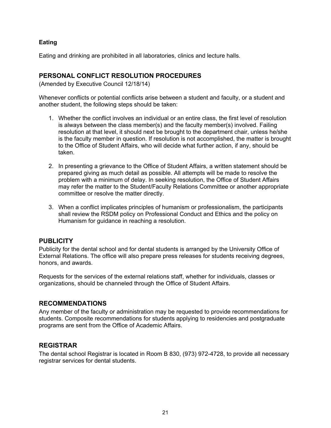#### **Eating**

<span id="page-20-0"></span>Eating and drinking are prohibited in all laboratories, clinics and lecture halls.

#### **PERSONAL CONFLICT RESOLUTION PROCEDURES**

(Amended by Executive Council 12/18/14)

Whenever conflicts or potential conflicts arise between a student and faculty, or a student and another student, the following steps should be taken:

- 1. Whether the conflict involves an individual or an entire class, the first level of resolution is always between the class member(s) and the faculty member(s) involved. Failing resolution at that level, it should next be brought to the department chair, unless he/she is the faculty member in question. If resolution is not accomplished, the matter is brought to the Office of Student Affairs, who will decide what further action, if any, should be taken.
- 2. In presenting a grievance to the Office of Student Affairs, a written statement should be prepared giving as much detail as possible. All attempts will be made to resolve the problem with a minimum of delay. In seeking resolution, the Office of Student Affairs may refer the matter to the Student/Faculty Relations Committee or another appropriate committee or resolve the matter directly.
- 3. When a conflict implicates principles of humanism or professionalism, the participants shall review the RSDM policy on Professional Conduct and Ethics and the policy on Humanism for guidance in reaching a resolution.

#### <span id="page-20-1"></span>**PUBLICITY**

Publicity for the dental school and for dental students is arranged by the University Office of External Relations. The office will also prepare press releases for students receiving degrees, honors, and awards.

<span id="page-20-2"></span>Requests for the services of the external relations staff, whether for individuals, classes or organizations, should be channeled through the Office of Student Affairs.

#### **RECOMMENDATIONS**

Any member of the faculty or administration may be requested to provide recommendations for students. Composite recommendations for students applying to residencies and postgraduate programs are sent from the Office of Academic Affairs.

#### <span id="page-20-3"></span>**REGISTRAR**

The dental school Registrar is located in Room B 830, (973) 972-4728, to provide all necessary registrar services for dental students.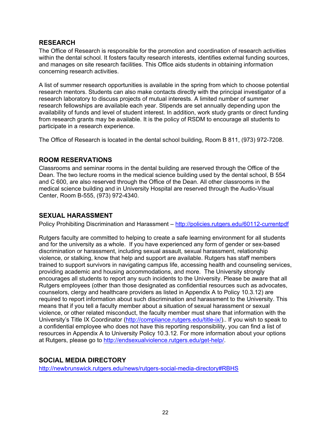#### <span id="page-21-0"></span>**RESEARCH**

The Office of Research is responsible for the promotion and coordination of research activities within the dental school. It fosters faculty research interests, identifies external funding sources, and manages on site research facilities. This Office aids students in obtaining information concerning research activities.

A list of summer research opportunities is available in the spring from which to choose potential research mentors. Students can also make contacts directly with the principal investigator of a research laboratory to discuss projects of mutual interests. A limited number of summer research fellowships are available each year. Stipends are set annually depending upon the availability of funds and level of student interest. In addition, work study grants or direct funding from research grants may be available. It is the policy of RSDM to encourage all students to participate in a research experience.

<span id="page-21-1"></span>The Office of Research is located in the dental school building, Room B 811, (973) 972-7208.

# **ROOM RESERVATIONS**

Classrooms and seminar rooms in the dental building are reserved through the Office of the Dean. The two lecture rooms in the medical science building used by the dental school, B 554 and C 600, are also reserved through the Office of the Dean. All other classrooms in the medical science building and in University Hospital are reserved through the Audio-Visual Center, Room B-555, (973) 972-4340.

#### <span id="page-21-2"></span>**SEXUAL HARASSMENT**

Policy Prohibiting Discrimination and Harassment – <http://policies.rutgers.edu/60112-currentpdf>

Rutgers faculty are committed to helping to create a safe learning environment for all students and for the university as a whole. If you have experienced any form of gender or sex-based discrimination or harassment, including sexual assault, sexual harassment, relationship violence, or stalking, know that help and support are available. Rutgers has staff members trained to support survivors in navigating campus life, accessing health and counseling services, providing academic and housing accommodations, and more. The University strongly encourages all students to report any such incidents to the University. Please be aware that all Rutgers employees (other than those designated as confidential resources such as advocates, counselors, clergy and healthcare providers as listed in Appendix A to Policy 10.3.12) are required to report information about such discrimination and harassment to the University. This means that if you tell a faculty member about a situation of sexual harassment or sexual violence, or other related misconduct, the faculty member must share that information with the University's Title IX Coordinator [\(http://compliance.rutgers.edu/title-ix/\)](http://compliance.rutgers.edu/title-ix/).. If you wish to speak to a confidential employee who does not have this reporting responsibility, you can find a list of resources in Appendix A to University Policy 10.3.12. For more information about your options at Rutgers, please go to [http://endsexualviolence.rutgers.edu/get-help/.](http://endsexualviolence.rutgers.edu/get-help/)

# <span id="page-21-3"></span>**SOCIAL MEDIA DIRECTORY**

<http://newbrunswick.rutgers.edu/news/rutgers-social-media-directory#RBHS>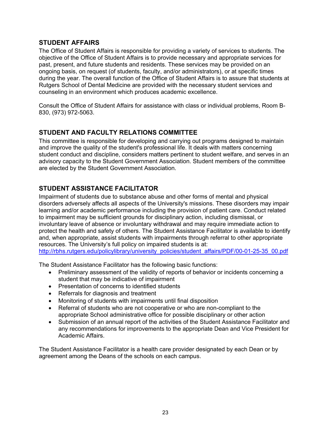# <span id="page-22-0"></span>**STUDENT AFFAIRS**

The Office of Student Affairs is responsible for providing a variety of services to students. The objective of the Office of Student Affairs is to provide necessary and appropriate services for past, present, and future students and residents. These services may be provided on an ongoing basis, on request (of students, faculty, and/or administrators), or at specific times during the year. The overall function of the Office of Student Affairs is to assure that students at Rutgers School of Dental Medicine are provided with the necessary student services and counseling in an environment which produces academic excellence.

<span id="page-22-1"></span>Consult the Office of Student Affairs for assistance with class or individual problems, Room B-830, (973) 972-5063.

# **STUDENT AND FACULTY RELATIONS COMMITTEE**

This committee is responsible for developing and carrying out programs designed to maintain and improve the quality of the student's professional life. It deals with matters concerning student conduct and discipline, considers matters pertinent to student welfare, and serves in an advisory capacity to the Student Government Association. Student members of the committee are elected by the Student Government Association.

# <span id="page-22-2"></span>**STUDENT ASSISTANCE FACILITATOR**

Impairment of students due to substance abuse and other forms of mental and physical disorders adversely affects all aspects of the University's missions. These disorders may impair learning and/or academic performance including the provision of patient care. Conduct related to impairment may be sufficient grounds for disciplinary action, including dismissal, or involuntary leave of absence or involuntary withdrawal and may require immediate action to protect the health and safety of others. The Student Assistance Facilitator is available to identify and, when appropriate, assist students with impairments through referral to other appropriate resources. The University's full policy on impaired students is at: [http://rbhs.rutgers.edu/policylibrary/university\\_policies/student\\_affairs/PDF/00-01-25-35\\_00.pdf](http://rbhs.rutgers.edu/policylibrary/university_policies/student_affairs/PDF/00-01-25-35_00.pdf)

The Student Assistance Facilitator has the following basic functions:

- Preliminary assessment of the validity of reports of behavior or incidents concerning a student that may be indicative of impairment
- Presentation of concerns to identified students
- Referrals for diagnosis and treatment
- Monitoring of students with impairments until final disposition
- Referral of students who are not cooperative or who are non-compliant to the appropriate School administrative office for possible disciplinary or other action
- Submission of an annual report of the activities of the Student Assistance Facilitator and any recommendations for improvements to the appropriate Dean and Vice President for Academic Affairs.

The Student Assistance Facilitator is a health care provider designated by each Dean or by agreement among the Deans of the schools on each campus.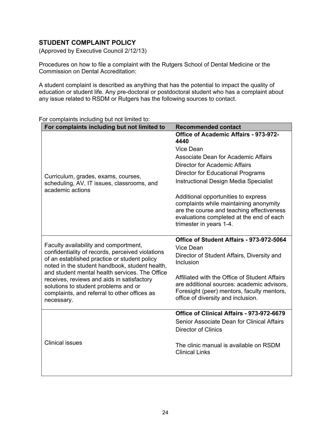# <span id="page-23-0"></span>**STUDENT COMPLAINT POLICY**

(Approved by Executive Council 2/12/13)

Procedures on how to file a complaint with the Rutgers School of Dental Medicine or the Commission on Dental Accreditation:

A student complaint is described as anything that has the potential to impact the quality of education or student life. Any pre-doctoral or postdoctoral student who has a complaint about any issue related to RSDM or Rutgers has the following sources to contact.

| For complaints including but not limited to                                                                                                                                                                                                                                                                                                                                                       | <b>Recommended contact</b>                                                                                                                                                                                                                                                                                                                                                                                                                 |
|---------------------------------------------------------------------------------------------------------------------------------------------------------------------------------------------------------------------------------------------------------------------------------------------------------------------------------------------------------------------------------------------------|--------------------------------------------------------------------------------------------------------------------------------------------------------------------------------------------------------------------------------------------------------------------------------------------------------------------------------------------------------------------------------------------------------------------------------------------|
| Curriculum, grades, exams, courses,<br>scheduling, AV, IT issues, classrooms, and<br>academic actions                                                                                                                                                                                                                                                                                             | Office of Academic Affairs - 973-972-<br>4440<br>Vice Dean<br>Associate Dean for Academic Affairs<br><b>Director for Academic Affairs</b><br><b>Director for Educational Programs</b><br><b>Instructional Design Media Specialist</b><br>Additional opportunities to express<br>complaints while maintaining anonymity<br>are the course and teaching effectiveness<br>evaluations completed at the end of each<br>trimester in years 1-4. |
| Faculty availability and comportment,<br>confidentiality of records, perceived violations<br>of an established practice or student policy<br>noted in the student handbook, student health,<br>and student mental health services. The Office<br>receives, reviews and aids in satisfactory<br>solutions to student problems and or<br>complaints, and referral to other offices as<br>necessary. | Office of Student Affairs - 973-972-5064<br>Vice Dean<br>Director of Student Affairs, Diversity and<br>Inclusion<br>Affiliated with the Office of Student Affairs<br>are additional sources: academic advisors,<br>Foresight (peer) mentors, faculty mentors,<br>office of diversity and inclusion.                                                                                                                                        |
| <b>Clinical issues</b>                                                                                                                                                                                                                                                                                                                                                                            | Office of Clinical Affairs - 973-972-6679<br>Senior Associate Dean for Clinical Affairs<br><b>Director of Clinics</b><br>The clinic manual is available on RSDM<br><b>Clinical Links</b>                                                                                                                                                                                                                                                   |

For complaints including but not limited to: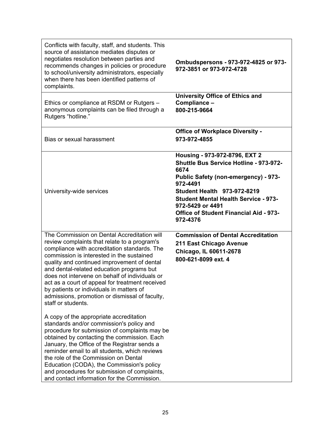| Conflicts with faculty, staff, and students. This<br>source of assistance mediates disputes or<br>negotiates resolution between parties and<br>recommends changes in policies or procedure<br>to school/university administrators, especially<br>when there has been identified patterns of<br>complaints.                                                                                                                                                                                                                                                                                                                                                                                                                                                                                            | Ombudspersons - 973-972-4825 or 973-<br>972-3851 or 973-972-4728                                                                                                                                                                                                                                                 |
|-------------------------------------------------------------------------------------------------------------------------------------------------------------------------------------------------------------------------------------------------------------------------------------------------------------------------------------------------------------------------------------------------------------------------------------------------------------------------------------------------------------------------------------------------------------------------------------------------------------------------------------------------------------------------------------------------------------------------------------------------------------------------------------------------------|------------------------------------------------------------------------------------------------------------------------------------------------------------------------------------------------------------------------------------------------------------------------------------------------------------------|
| Ethics or compliance at RSDM or Rutgers -<br>anonymous complaints can be filed through a<br>Rutgers "hotline."                                                                                                                                                                                                                                                                                                                                                                                                                                                                                                                                                                                                                                                                                        | <b>University Office of Ethics and</b><br>Compliance -<br>800-215-9664                                                                                                                                                                                                                                           |
| Bias or sexual harassment                                                                                                                                                                                                                                                                                                                                                                                                                                                                                                                                                                                                                                                                                                                                                                             | <b>Office of Workplace Diversity -</b><br>973-972-4855                                                                                                                                                                                                                                                           |
| University-wide services                                                                                                                                                                                                                                                                                                                                                                                                                                                                                                                                                                                                                                                                                                                                                                              | Housing - 973-972-8796, EXT 2<br>Shuttle Bus Service Hotline - 973-972-<br>6674<br><b>Public Safety (non-emergency) - 973-</b><br>972-4491<br><b>Student Health 973-972-8219</b><br><b>Student Mental Health Service - 973-</b><br>972-5429 or 4491<br><b>Office of Student Financial Aid - 973-</b><br>972-4376 |
| The Commission on Dental Accreditation will<br>review complaints that relate to a program's<br>compliance with accreditation standards. The<br>commission is interested in the sustained<br>quality and continued improvement of dental<br>and dental-related education programs but<br>does not intervene on behalf of individuals or<br>act as a court of appeal for treatment received<br>by patients or individuals in matters of<br>admissions, promotion or dismissal of faculty,<br>staff or students.<br>A copy of the appropriate accreditation<br>standards and/or commission's policy and<br>procedure for submission of complaints may be<br>obtained by contacting the commission. Each<br>January, the Office of the Registrar sends a<br>reminder email to all students, which reviews | <b>Commission of Dental Accreditation</b><br>211 East Chicago Avenue<br>Chicago, IL 60611-2678<br>800-621-8099 ext. 4                                                                                                                                                                                            |
| the role of the Commission on Dental<br>Education (CODA), the Commission's policy<br>and procedures for submission of complaints,<br>and contact information for the Commission.                                                                                                                                                                                                                                                                                                                                                                                                                                                                                                                                                                                                                      |                                                                                                                                                                                                                                                                                                                  |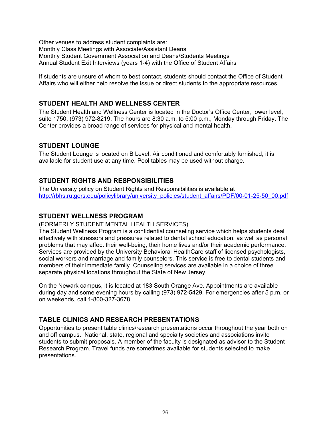Other venues to address student complaints are: Monthly Class Meetings with Associate/Assistant Deans Monthly Student Government Association and Deans/Students Meetings Annual Student Exit Interviews (years 1-4) with the Office of Student Affairs

If students are unsure of whom to best contact, students should contact the Office of Student Affairs who will either help resolve the issue or direct students to the appropriate resources.

# <span id="page-25-0"></span>**STUDENT HEALTH AND WELLNESS CENTER**

The Student Health and Wellness Center is located in the Doctor's Office Center, lower level, suite 1750, (973) 972-8219. The hours are 8:30 a.m. to 5:00 p.m., Monday through Friday. The Center provides a broad range of services for physical and mental health.

# <span id="page-25-1"></span>**STUDENT LOUNGE**

The Student Lounge is located on B Level. Air conditioned and comfortably furnished, it is available for student use at any time. Pool tables may be used without charge.

# <span id="page-25-2"></span>**STUDENT RIGHTS AND RESPONSIBILITIES**

<span id="page-25-3"></span>The University policy on Student Rights and Responsibilities is available at [http://rbhs.rutgers.edu/policylibrary/university\\_policies/student\\_affairs/PDF/00-01-25-50\\_00.pdf](http://rbhs.rutgers.edu/policylibrary/university_policies/student_affairs/PDF/00-01-25-50_00.pdf)

# **STUDENT WELLNESS PROGRAM**

(FORMERLY STUDENT MENTAL HEALTH SERVICES)

The Student Wellness Program is a confidential counseling service which helps students deal effectively with stressors and pressures related to dental school education, as well as personal problems that may affect their well-being, their home lives and/or their academic performance. Services are provided by the University Behavioral HealthCare staff of licensed psychologists, social workers and marriage and family counselors. This service is free to dental students and members of their immediate family. Counseling services are available in a choice of three separate physical locations throughout the State of New Jersey.

On the Newark campus, it is located at 183 South Orange Ave. Appointments are available during day and some evening hours by calling (973) 972-5429. For emergencies after 5 p.m. or on weekends, call 1-800-327-3678.

# <span id="page-25-4"></span>**TABLE CLINICS AND RESEARCH PRESENTATIONS**

Opportunities to present table clinics/research presentations occur throughout the year both on and off campus. National, state, regional and specialty societies and associations invite students to submit proposals. A member of the faculty is designated as advisor to the Student Research Program. Travel funds are sometimes available for students selected to make presentations.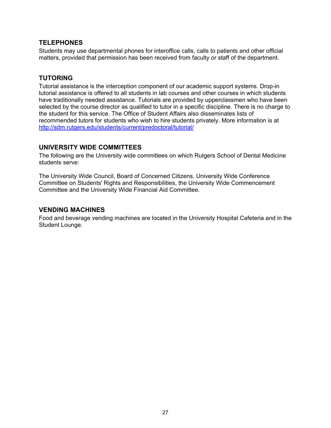#### <span id="page-26-0"></span>**TELEPHONES**

<span id="page-26-1"></span>Students may use departmental phones for interoffice calls, calls to patients and other official matters, provided that permission has been received from faculty or staff of the department.

# **TUTORING**

Tutorial assistance is the interception component of our academic support systems. Drop-in tutorial assistance is offered to all students in lab courses and other courses in which students have traditionally needed assistance. Tutorials are provided by upperclassmen who have been selected by the course director as qualified to tutor in a specific discipline. There is no charge to the student for this service. The Office of Student Affairs also disseminates lists of recommended tutors for students who wish to hire students privately. More information is at <http://sdm.rutgers.edu/students/current/predoctoral/tutorial/>

#### <span id="page-26-2"></span>**UNIVERSITY WIDE COMMITTEES**

The following are the University wide committees on which Rutgers School of Dental Medicine students serve:

The University Wide Council, Board of Concerned Citizens, University Wide Conference Committee on Students' Rights and Responsibilities, the University Wide Commencement Committee and the University Wide Financial Aid Committee.

#### <span id="page-26-3"></span>**VENDING MACHINES**

Food and beverage vending machines are located in the University Hospital Cafeteria and in the Student Lounge.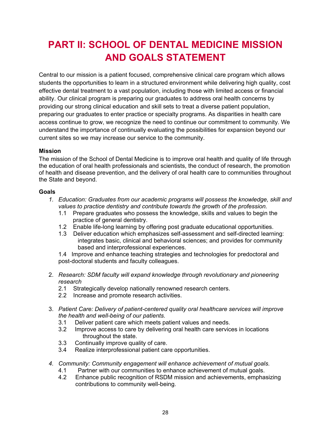# <span id="page-27-0"></span>**PART II: SCHOOL OF DENTAL MEDICINE MISSION AND GOALS STATEMENT**

Central to our mission is a patient focused, comprehensive clinical care program which allows students the opportunities to learn in a structured environment while delivering high quality, cost effective dental treatment to a vast population, including those with limited access or financial ability. Our clinical program is preparing our graduates to address oral health concerns by providing our strong clinical education and skill sets to treat a diverse patient population, preparing our graduates to enter practice or specialty programs. As disparities in health care access continue to grow, we recognize the need to continue our commitment to community. We understand the importance of continually evaluating the possibilities for expansion beyond our current sites so we may increase our service to the community.

#### <span id="page-27-1"></span>**Mission**

The mission of the School of Dental Medicine is to improve oral health and quality of life through the education of oral health professionals and scientists, the conduct of research, the promotion of health and disease prevention, and the delivery of oral health care to communities throughout the State and beyond.

#### <span id="page-27-2"></span>**Goals**

- *1. Education: Graduates from our academic programs will possess the knowledge, skill and values to practice dentistry and contribute towards the growth of the profession.*
	- 1.1 Prepare graduates who possess the knowledge, skills and values to begin the practice of general dentistry.
	- 1.2 Enable life-long learning by offering post graduate educational opportunities.
	- 1.3 Deliver education which emphasizes self-assessment and self-directed learning: integrates basic, clinical and behavioral sciences; and provides for community based and interprofessional experiences.

1.4 Improve and enhance teaching strategies and technologies for predoctoral and post-doctoral students and faculty colleagues.

- 2. *Research: SDM faculty will expand knowledge through revolutionary and pioneering research*
	- 2.1 Strategically develop nationally renowned research centers.
	- 2.2 Increase and promote research activities.
- 3. *Patient Care: Delivery of patient-centered quality oral healthcare services will improve the health and well-being of our patients.*
	- 3.1 Deliver patient care which meets patient values and needs.
	- 3.2 Improve access to care by delivering oral health care services in locations throughout the state.
	- 3.3 Continually improve quality of care.
	- 3.4 Realize interprofessional patient care opportunities.
- *4. Community: Community engagement will enhance achievement of mutual goals.*
	- 4.1 Partner with our communities to enhance achievement of mutual goals.
	- 4.2 Enhance public recognition of RSDM mission and achievements, emphasizing contributions to community well-being.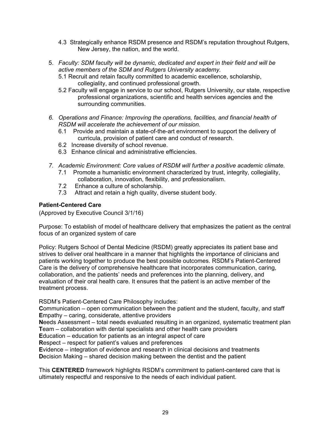- 4.3 Strategically enhance RSDM presence and RSDM's reputation throughout Rutgers, New Jersey, the nation, and the world.
- 5. *Faculty: SDM faculty will be dynamic, dedicated and expert in their field and will be active members of the SDM and Rutgers University academy.*
	- 5.1 Recruit and retain faculty committed to academic excellence, scholarship, collegiality, and continued professional growth.
	- 5.2 Faculty will engage in service to our school, Rutgers University, our state, respective professional organizations, scientific and health services agencies and the surrounding communities.
- *6. Operations and Finance: Improving the operations, facilities, and financial health of RSDM will accelerate the achievement of our mission.*
	- 6.1 Provide and maintain a state-of-the-art environment to support the delivery of curricula, provision of patient care and conduct of research.
	- 6.2 Increase diversity of school revenue.
	- 6.3 Enhance clinical and administrative efficiencies.
- *7. Academic Environment: Core values of RSDM will further a positive academic climate.*
	- 7.1 Promote a humanistic environment characterized by trust, integrity, collegiality, collaboration, innovation, flexibility, and professionalism.
	- 7.2 Enhance a culture of scholarship.
	- 7.3 Attract and retain a high quality, diverse student body.

#### <span id="page-28-0"></span>**Patient-Centered Care**

(Approved by Executive Council 3/1/16)

Purpose: To establish of model of healthcare delivery that emphasizes the patient as the central focus of an organized system of care

Policy: Rutgers School of Dental Medicine (RSDM) greatly appreciates its patient base and strives to deliver oral healthcare in a manner that highlights the importance of clinicians and patients working together to produce the best possible outcomes. RSDM's Patient-Centered Care is the delivery of comprehensive healthcare that incorporates communication, caring, collaboration, and the patients' needs and preferences into the planning, delivery, and evaluation of their oral health care. It ensures that the patient is an active member of the treatment process.

RSDM's Patient-Centered Care Philosophy includes:

**C**ommunication – open communication between the patient and the student, faculty, and staff **E**mpathy – caring, considerate, attentive providers

**N**eeds Assessment – total needs evaluated resulting in an organized, systematic treatment plan **T**eam – collaboration with dental specialists and other health care providers

**E**ducation – education for patients as an integral aspect of care

**R**espect – respect for patient's values and preferences

**E**vidence – integration of evidence and research in clinical decisions and treatments **D**ecision Making – shared decision making between the dentist and the patient

This **CENTERED** framework highlights RSDM's commitment to patient-centered care that is ultimately respectful and responsive to the needs of each individual patient.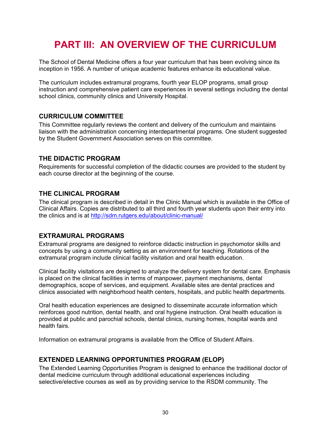# <span id="page-29-0"></span>**PART III: AN OVERVIEW OF THE CURRICULUM**

The School of Dental Medicine offers a four year curriculum that has been evolving since its inception in 1956. A number of unique academic features enhance its educational value.

The curriculum includes extramural programs, fourth year ELOP programs, small group instruction and comprehensive patient care experiences in several settings including the dental school clinics, community clinics and University Hospital.

#### <span id="page-29-1"></span>**CURRICULUM COMMITTEE**

This Committee regularly reviews the content and delivery of the curriculum and maintains liaison with the administration concerning interdepartmental programs. One student suggested by the Student Government Association serves on this committee.

#### <span id="page-29-2"></span>**THE DIDACTIC PROGRAM**

<span id="page-29-3"></span>Requirements for successful completion of the didactic courses are provided to the student by each course director at the beginning of the course.

#### **THE CLINICAL PROGRAM**

The clinical program is described in detail in the Clinic Manual which is available in the Office of Clinical Affairs. Copies are distributed to all third and fourth year students upon their entry into the clinics and is at<http://sdm.rutgers.edu/about/clinic-manual/>

#### <span id="page-29-4"></span>**EXTRAMURAL PROGRAMS**

Extramural programs are designed to reinforce didactic instruction in psychomotor skills and concepts by using a community setting as an environment for teaching. Rotations of the extramural program include clinical facility visitation and oral health education.

Clinical facility visitations are designed to analyze the delivery system for dental care. Emphasis is placed on the clinical facilities in terms of manpower, payment mechanisms, dental demographics, scope of services, and equipment. Available sites are dental practices and clinics associated with neighborhood health centers, hospitals, and public health departments.

Oral health education experiences are designed to disseminate accurate information which reinforces good nutrition, dental health, and oral hygiene instruction. Oral health education is provided at public and parochial schools, dental clinics, nursing homes, hospital wards and health fairs.

<span id="page-29-5"></span>Information on extramural programs is available from the Office of Student Affairs.

#### **EXTENDED LEARNING OPPORTUNITIES PROGRAM (ELOP)**

The Extended Learning Opportunities Program is designed to enhance the traditional doctor of dental medicine curriculum through additional educational experiences including selective/elective courses as well as by providing service to the RSDM community. The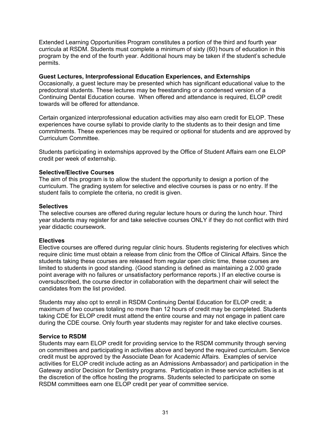Extended Learning Opportunities Program constitutes a portion of the third and fourth year curricula at RSDM. Students must complete a minimum of sixty (60) hours of education in this program by the end of the fourth year. Additional hours may be taken if the student's schedule permits.

#### **Guest Lectures, Interprofessional Education Experiences, and Externships**

Occasionally, a guest lecture may be presented which has significant educational value to the predoctoral students. These lectures may be freestanding or a condensed version of a Continuing Dental Education course. When offered and attendance is required, ELOP credit towards will be offered for attendance.

Certain organized interprofessional education activities may also earn credit for ELOP. These experiences have course syllabi to provide clarity to the students as to their design and time commitments. These experiences may be required or optional for students and are approved by Curriculum Committee.

Students participating in externships approved by the Office of Student Affairs earn one ELOP credit per week of externship.

#### **Selective/Elective Courses**

The aim of this program is to allow the student the opportunity to design a portion of the curriculum. The grading system for selective and elective courses is pass or no entry. If the student fails to complete the criteria, no credit is given.

#### **Selectives**

The selective courses are offered during regular lecture hours or during the lunch hour. Third year students may register for and take selective courses ONLY if they do not conflict with third year didactic coursework.

#### **Electives**

Elective courses are offered during regular clinic hours. Students registering for electives which require clinic time must obtain a release from clinic from the Office of Clinical Affairs. Since the students taking these courses are released from regular open clinic time, these courses are limited to students in good standing. (Good standing is defined as maintaining a 2.000 grade point average with no failures or unsatisfactory performance reports.) If an elective course is oversubscribed, the course director in collaboration with the department chair will select the candidates from the list provided.

Students may also opt to enroll in RSDM Continuing Dental Education for ELOP credit; a maximum of two courses totaling no more than 12 hours of credit may be completed. Students taking CDE for ELOP credit must attend the entire course and may not engage in patient care during the CDE course. Only fourth year students may register for and take elective courses.

#### **Service to RSDM**

Students may earn ELOP credit for providing service to the RSDM community through serving on committees and participating in activities above and beyond the required curriculum. Service credit must be approved by the Associate Dean for Academic Affairs. Examples of service activities for ELOP credit include acting as an Admissions Ambassador) and participation in the Gateway and/or Decision for Dentistry programs. Participation in these service activities is at the discretion of the office hosting the programs. Students selected to participate on some RSDM committees earn one ELOP credit per year of committee service.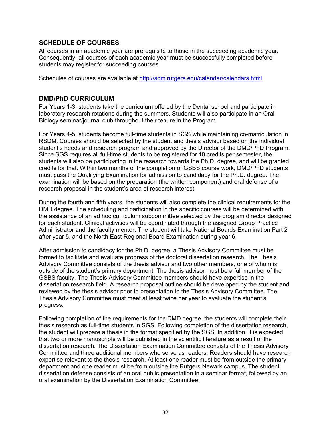# <span id="page-31-0"></span>**SCHEDULE OF COURSES**

All courses in an academic year are prerequisite to those in the succeeding academic year. Consequently, all courses of each academic year must be successfully completed before students may register for succeeding courses.

<span id="page-31-1"></span>Schedules of courses are available at<http://sdm.rutgers.edu/calendar/calendars.html>

#### **DMD/PhD CURRICULUM**

For Years 1-3, students take the curriculum offered by the Dental school and participate in laboratory research rotations during the summers. Students will also participate in an Oral Biology seminar/journal club throughout their tenure in the Program.

For Years 4-5, students become full-time students in SGS while maintaining co-matriculation in RSDM. Courses should be selected by the student and thesis advisor based on the individual student's needs and research program and approved by the Director of the DMD/PhD Program. Since SGS requires all full-time students to be registered for 10 credits per semester, the students will also be participating in the research towards the Ph.D. degree, and will be granted credits for that. Within two months of the completion of GSBS course work, DMD/PhD students must pass the Qualifying Examination for admission to candidacy for the Ph.D. degree. The examination will be based on the preparation (the written component) and oral defense of a research proposal in the student's area of research interest.

During the fourth and fifth years, the students will also complete the clinical requirements for the DMD degree. The scheduling and participation in the specific courses will be determined with the assistance of an ad hoc curriculum subcommittee selected by the program director designed for each student. Clinical activities will be coordinated through the assigned Group Practice Administrator and the faculty mentor. The student will take National Boards Examination Part 2 after year 5, and the North East Regional Board Examination during year 6.

After admission to candidacy for the Ph.D. degree, a Thesis Advisory Committee must be formed to facilitate and evaluate progress of the doctoral dissertation research. The Thesis Advisory Committee consists of the thesis advisor and two other members, one of whom is outside of the student's primary department. The thesis advisor must be a full member of the GSBS faculty. The Thesis Advisory Committee members should have expertise in the dissertation research field. A research proposal outline should be developed by the student and reviewed by the thesis advisor prior to presentation to the Thesis Advisory Committee. The Thesis Advisory Committee must meet at least twice per year to evaluate the student's progress.

Following completion of the requirements for the DMD degree, the students will complete their thesis research as full-time students in SGS. Following completion of the dissertation research, the student will prepare a thesis in the format specified by the SGS. In addition, it is expected that two or more manuscripts will be published in the scientific literature as a result of the dissertation research. The Dissertation Examination Committee consists of the Thesis Advisory Committee and three additional members who serve as readers. Readers should have research expertise relevant to the thesis research. At least one reader must be from outside the primary department and one reader must be from outside the Rutgers Newark campus. The student dissertation defense consists of an oral public presentation in a seminar format, followed by an oral examination by the Dissertation Examination Committee.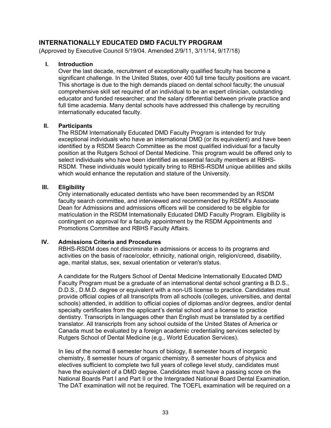# <span id="page-32-0"></span>**INTERNATIONALLY EDUCATED DMD FACULTY PROGRAM**

(Approved by Executive Council 5/19/04. Amended 2/9/11, 3/11/14, 9/17/18)

#### **I. Introduction**

Over the last decade, recruitment of exceptionally qualified faculty has become a significant challenge. In the United States, over 400 full time faculty positions are vacant. This shortage is due to the high demands placed on dental school faculty; the unusual comprehensive skill set required of an individual to be an expert clinician, outstanding educator and funded researcher; and the salary differential between private practice and full time academia. Many dental schools have addressed this challenge by recruiting internationally educated faculty.

#### **II. Participants**

The RSDM Internationally Educated DMD Faculty Program is intended for truly exceptional individuals who have an international DMD (or its equivalent) and have been identified by a RSDM Search Committee as the most qualified individual for a faculty position at the Rutgers School of Dental Medicine. This program would be offered only to select individuals who have been identified as essential faculty members at RBHS-RSDM. These individuals would typically bring to RBHS-RSDM unique abilities and skills which would enhance the reputation and stature of the University.

#### **III. Eligibility**

Only internationally educated dentists who have been recommended by an RSDM faculty search committee, and interviewed and recommended by RSDM's Associate Dean for Admissions and admissions officers will be considered to be eligible for matriculation in the RSDM Internationally Educated DMD Faculty Program. Eligibility is contingent on approval for a faculty appointment by the RSDM Appointments and Promotions Committee and RBHS Faculty Affairs.

#### **IV. Admissions Criteria and Procedures**

RBHS-RSDM does not discriminate in admissions or access to its programs and activities on the basis of race/color, ethnicity, national origin, religion/creed, disability, age, marital status, sex, sexual orientation or veteran's status.

A candidate for the Rutgers School of Dental Medicine Internationally Educated DMD Faculty Program must be a graduate of an international dental school granting a B.D.S., D.D.S., D.M.D. degree or equivalent with a non-US license to practice. Candidates must provide official copies of all transcripts from all schools (colleges, universities, and dental schools) attended, in addition to official copies of diplomas and/or degrees, and/or dental specialty certificates from the applicant's dental school and a license to practice dentistry. Transcripts in languages other than English must be translated by a certified translator. All transcripts from any school outside of the United States of America or Canada must be evaluated by a foreign academic credentialing services selected by Rutgers School of Dental Medicine (e.g., World Education Services).

In lieu of the normal 8 semester hours of biology, 8 semester hours of inorganic chemistry, 8 semester hours of organic chemistry, 8 semester hours of physics and electives sufficient to complete two full years of college level study, candidates must have the equivalent of a DMD degree. Candidates must have a passing score on the National Boards Part I and Part II or the Intergraded National Board Dental Examination. The DAT examination will not be required. The TOEFL examination will be required on a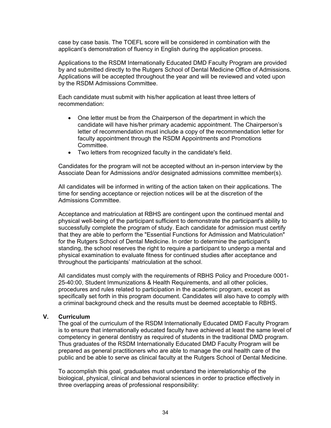case by case basis. The TOEFL score will be considered in combination with the applicant's demonstration of fluency in English during the application process.

Applications to the RSDM Internationally Educated DMD Faculty Program are provided by and submitted directly to the Rutgers School of Dental Medicine Office of Admissions. Applications will be accepted throughout the year and will be reviewed and voted upon by the RSDM Admissions Committee.

Each candidate must submit with his/her application at least three letters of recommendation:

- One letter must be from the Chairperson of the department in which the candidate will have his/her primary academic appointment. The Chairperson's letter of recommendation must include a copy of the recommendation letter for faculty appointment through the RSDM Appointments and Promotions Committee.
- Two letters from recognized faculty in the candidate's field.

Candidates for the program will not be accepted without an in-person interview by the Associate Dean for Admissions and/or designated admissions committee member(s).

All candidates will be informed in writing of the action taken on their applications. The time for sending acceptance or rejection notices will be at the discretion of the Admissions Committee.

Acceptance and matriculation at RBHS are contingent upon the continued mental and physical well-being of the participant sufficient to demonstrate the participant's ability to successfully complete the program of study. Each candidate for admission must certify that they are able to perform the "Essential Functions for Admission and Matriculation" for the Rutgers School of Dental Medicine. In order to determine the participant's standing, the school reserves the right to require a participant to undergo a mental and physical examination to evaluate fitness for continued studies after acceptance and throughout the participants' matriculation at the school.

All candidates must comply with the requirements of RBHS Policy and Procedure 0001- 25-40:00, Student Immunizations & Health Requirements, and all other policies, procedures and rules related to participation in the academic program, except as specifically set forth in this program document. Candidates will also have to comply with a criminal background check and the results must be deemed acceptable to RBHS.

#### **V. Curriculum**

The goal of the curriculum of the RSDM Internationally Educated DMD Faculty Program is to ensure that internationally educated faculty have achieved at least the same level of competency in general dentistry as required of students in the traditional DMD program. Thus graduates of the RSDM Internationally Educated DMD Faculty Program will be prepared as general practitioners who are able to manage the oral health care of the public and be able to serve as clinical faculty at the Rutgers School of Dental Medicine.

To accomplish this goal, graduates must understand the interrelationship of the biological, physical, clinical and behavioral sciences in order to practice effectively in three overlapping areas of professional responsibility: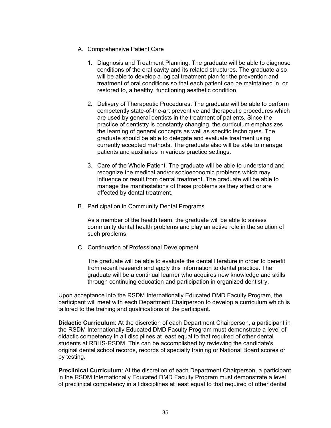- A. Comprehensive Patient Care
	- 1. Diagnosis and Treatment Planning. The graduate will be able to diagnose conditions of the oral cavity and its related structures. The graduate also will be able to develop a logical treatment plan for the prevention and treatment of oral conditions so that each patient can be maintained in, or restored to, a healthy, functioning aesthetic condition.
	- 2. Delivery of Therapeutic Procedures. The graduate will be able to perform competently state-of-the-art preventive and therapeutic procedures which are used by general dentists in the treatment of patients. Since the practice of dentistry is constantly changing, the curriculum emphasizes the learning of general concepts as well as specific techniques. The graduate should be able to delegate and evaluate treatment using currently accepted methods. The graduate also will be able to manage patients and auxiliaries in various practice settings.
	- 3. Care of the Whole Patient. The graduate will be able to understand and recognize the medical and/or socioeconomic problems which may influence or result from dental treatment. The graduate will be able to manage the manifestations of these problems as they affect or are affected by dental treatment.
- B. Participation in Community Dental Programs

As a member of the health team, the graduate will be able to assess community dental health problems and play an active role in the solution of such problems.

C. Continuation of Professional Development

The graduate will be able to evaluate the dental literature in order to benefit from recent research and apply this information to dental practice. The graduate will be a continual learner who acquires new knowledge and skills through continuing education and participation in organized dentistry.

Upon acceptance into the RSDM Internationally Educated DMD Faculty Program, the participant will meet with each Department Chairperson to develop a curriculum which is tailored to the training and qualifications of the participant.

**Didactic Curriculum**: At the discretion of each Department Chairperson, a participant in the RSDM Internationally Educated DMD Faculty Program must demonstrate a level of didactic competency in all disciplines at least equal to that required of other dental students at RBHS-RSDM. This can be accomplished by reviewing the candidate's original dental school records, records of specialty training or National Board scores or by testing.

**Preclinical Curriculum**: At the discretion of each Department Chairperson, a participant in the RSDM Internationally Educated DMD Faculty Program must demonstrate a level of preclinical competency in all disciplines at least equal to that required of other dental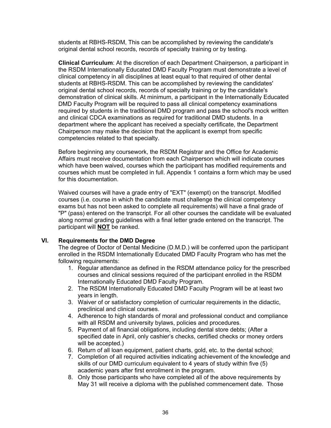students at RBHS-RSDM, This can be accomplished by reviewing the candidate's original dental school records, records of specialty training or by testing.

**Clinical Curriculum**: At the discretion of each Department Chairperson, a participant in the RSDM Internationally Educated DMD Faculty Program must demonstrate a level of clinical competency in all disciplines at least equal to that required of other dental students at RBHS-RSDM. This can be accomplished by reviewing the candidates' original dental school records, records of specialty training or by the candidate's demonstration of clinical skills. At minimum, a participant in the Internationally Educated DMD Faculty Program will be required to pass all clinical competency examinations required by students in the traditional DMD program and pass the school's mock written and clinical CDCA examinations as required for traditional DMD students. In a department where the applicant has received a specialty certificate, the Department Chairperson may make the decision that the applicant is exempt from specific competencies related to that specialty.

Before beginning any coursework, the RSDM Registrar and the Office for Academic Affairs must receive documentation from each Chairperson which will indicate courses which have been waived, courses which the participant has modified requirements and courses which must be completed in full. Appendix 1 contains a form which may be used for this documentation.

Waived courses will have a grade entry of "EXT" (exempt) on the transcript. Modified courses (i.e. course in which the candidate must challenge the clinical competency exams but has not been asked to complete all requirements) will have a final grade of "P" (pass) entered on the transcript. For all other courses the candidate will be evaluated along normal grading guidelines with a final letter grade entered on the transcript. The participant will **NOT** be ranked.

#### **VI. Requirements for the DMD Degree**

The degree of Doctor of Dental Medicine (D.M.D.) will be conferred upon the participant enrolled in the RSDM Internationally Educated DMD Faculty Program who has met the following requirements:

- 1. Regular attendance as defined in the RSDM attendance policy for the prescribed courses and clinical sessions required of the participant enrolled in the RSDM Internationally Educated DMD Faculty Program.
- 2. The RSDM Internationally Educated DMD Faculty Program will be at least two years in length.
- 3. Waiver of or satisfactory completion of curricular requirements in the didactic, preclinical and clinical courses.
- 4. Adherence to high standards of moral and professional conduct and compliance with all RSDM and university bylaws, policies and procedures.
- 5. Payment of all financial obligations, including dental store debts; (After a specified date in April, only cashier's checks, certified checks or money orders will be accepted.)
- 6. Return of all loan equipment, patient charts, gold, etc. to the dental school;
- 7. Completion of all required activities indicating achievement of the knowledge and skills of our DMD curriculum equivalent to 4 years of study within five (5) academic years after first enrollment in the program.
- 8. Only those participants who have completed all of the above requirements by May 31 will receive a diploma with the published commencement date. Those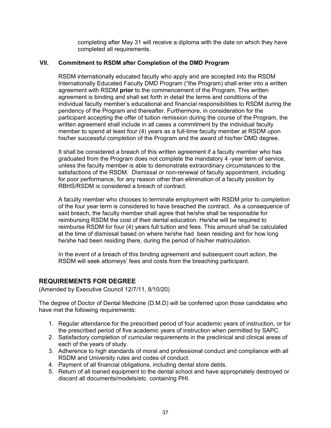completing after May 31 will receive a diploma with the date on which they have completed all requirements.

## **VII. Commitment to RSDM after Completion of the DMD Program**

RSDM internationally educated faculty who apply and are accepted into the RSDM Internationally Educated Faculty DMD Program ("the Program) shall enter into a written agreement with RSDM **prior** to the commencement of the Program. This written agreement is binding and shall set forth in detail the terms and conditions of the individual faculty member's educational and financial responsibilities to RSDM during the pendency of the Program and thereafter. Furthermore, in consideration for the participant accepting the offer of tuition remission during the course of the Program, the written agreement shall include in all cases a commitment by the individual faculty member to spend at least four (4) years as a full-time faculty member at RSDM upon his/her successful completion of the Program and the award of his/her DMD degree.

It shall be considered a breach of this written agreement if a faculty member who has graduated from the Program does not complete the mandatory 4 -year term of service, unless the faculty member is able to demonstrate extraordinary circumstances to the satisfactions of the RSDM. Dismissal or non-renewal of faculty appointment, including for poor performance, for any reason other than elimination of a faculty position by RBHS/RSDM is considered a breach of contract.

A faculty member who chooses to terminate employment with RSDM prior to completion of the four year term is considered to have breached the contract. As a consequence of said breach, the faculty member shall agree that he/she shall be responsible for reimbursing RSDM the cost of their dental education. He/she will be required to reimburse RSDM for four (4) years full tuition and fees. This amount shall be calculated at the time of dismissal based on where he/she had been residing and for how long he/she had been residing there, during the period of his/her matriculation.

In the event of a breach of this binding agreement and subsequent court action, the RSDM will seek attorneys' fees and costs from the breaching participant.

## **REQUIREMENTS FOR DEGREE**

(Amended by Executive Council 12/7/11, 8/10/20)

The degree of Doctor of Dental Medicine (D.M.D) will be conferred upon those candidates who have met the following requirements:

- 1. Regular attendance for the prescribed period of four academic years of instruction, or for the prescribed period of five academic years of instruction when permitted by SAPC.
- 2. Satisfactory completion of curricular requirements in the preclinical and clinical areas of each of the years of study.
- 3. Adherence to high standards of moral and professional conduct and compliance with all RSDM and University rules and codes of conduct.
- 4. Payment of all financial obligations, including dental store debts.
- 5. Return of all loaned equipment to the dental school and have appropriately destroyed or discard all documents/models/etc. containing PHI.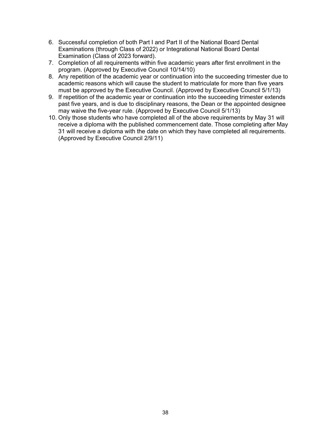- 6. Successful completion of both Part I and Part II of the National Board Dental Examinations (through Class of 2022) or Integrational National Board Dental Examination (Class of 2023 forward).
- 7. Completion of all requirements within five academic years after first enrollment in the program. (Approved by Executive Council 10/14/10)
- 8. Any repetition of the academic year or continuation into the succeeding trimester due to academic reasons which will cause the student to matriculate for more than five years must be approved by the Executive Council. (Approved by Executive Council 5/1/13)
- 9. If repetition of the academic year or continuation into the succeeding trimester extends past five years, and is due to disciplinary reasons, the Dean or the appointed designee may waive the five-year rule. (Approved by Executive Council 5/1/13)
- 10. Only those students who have completed all of the above requirements by May 31 will receive a diploma with the published commencement date. Those completing after May 31 will receive a diploma with the date on which they have completed all requirements. (Approved by Executive Council 2/9/11)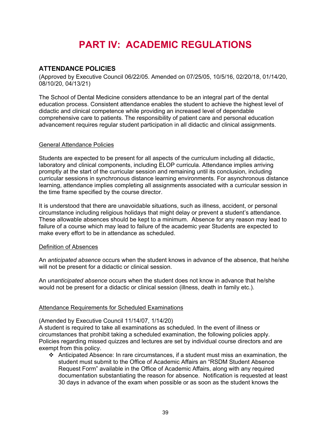# **PART IV: ACADEMIC REGULATIONS**

# **ATTENDANCE POLICIES**

(Approved by Executive Council 06/22/05. Amended on 07/25/05, 10/5/16, 02/20/18, 01/14/20, 08/10/20, 04/13/21)

The School of Dental Medicine considers attendance to be an integral part of the dental education process. Consistent attendance enables the student to achieve the highest level of didactic and clinical competence while providing an increased level of dependable comprehensive care to patients. The responsibility of patient care and personal education advancement requires regular student participation in all didactic and clinical assignments.

## General Attendance Policies

Students are expected to be present for all aspects of the curriculum including all didactic, laboratory and clinical components, including ELOP curricula. Attendance implies arriving promptly at the start of the curricular session and remaining until its conclusion, including curricular sessions in synchronous distance learning environments. For asynchronous distance learning, attendance implies completing all assignments associated with a curricular session in the time frame specified by the course director.

It is understood that there are unavoidable situations, such as illness, accident, or personal circumstance including religious holidays that might delay or prevent a student's attendance. These allowable absences should be kept to a minimum. Absence for any reason may lead to failure of a course which may lead to failure of the academic year Students are expected to make every effort to be in attendance as scheduled.

#### Definition of Absences

An *anticipated absence* occurs when the student knows in advance of the absence, that he/she will not be present for a didactic or clinical session.

An *unanticipated absence* occurs when the student does not know in advance that he/she would not be present for a didactic or clinical session (illness, death in family etc.).

## Attendance Requirements for Scheduled Examinations

#### (Amended by Executive Council 11/14/07, 1/14/20)

A student is required to take all examinations as scheduled. In the event of illness or circumstances that prohibit taking a scheduled examination, the following policies apply. Policies regarding missed quizzes and lectures are set by individual course directors and are exempt from this policy.

 Anticipated Absence: In rare circumstances, if a student must miss an examination, the student must submit to the Office of Academic Affairs an "RSDM Student Absence Request Form" available in the Office of Academic Affairs, along with any required documentation substantiating the reason for absence. Notification is requested at least 30 days in advance of the exam when possible or as soon as the student knows the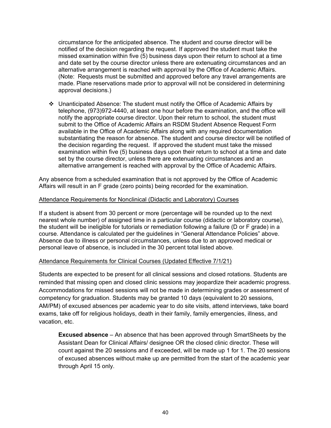circumstance for the anticipated absence. The student and course director will be notified of the decision regarding the request. If approved the student must take the missed examination within five (5) business days upon their return to school at a time and date set by the course director unless there are extenuating circumstances and an alternative arrangement is reached with approval by the Office of Academic Affairs. (Note: Requests must be submitted and approved before any travel arrangements are made. Plane reservations made prior to approval will not be considered in determining approval decisions.)

 $\div$  Unanticipated Absence: The student must notify the Office of Academic Affairs by telephone, (973)972-4440, at least one hour before the examination, and the office will notify the appropriate course director. Upon their return to school, the student must submit to the Office of Academic Affairs an RSDM Student Absence Request Form available in the Office of Academic Affairs along with any required documentation substantiating the reason for absence. The student and course director will be notified of the decision regarding the request. If approved the student must take the missed examination within five (5) business days upon their return to school at a time and date set by the course director, unless there are extenuating circumstances and an alternative arrangement is reached with approval by the Office of Academic Affairs.

Any absence from a scheduled examination that is not approved by the Office of Academic Affairs will result in an F grade (zero points) being recorded for the examination.

#### Attendance Requirements for Nonclinical (Didactic and Laboratory) Courses

If a student is absent from 30 percent or more (percentage will be rounded up to the next nearest whole number) of assigned time in a particular course (didactic or laboratory course), the student will be ineligible for tutorials or remediation following a failure (D or F grade) in a course. Attendance is calculated per the guidelines in "General Attendance Policies" above. Absence due to illness or personal circumstances, unless due to an approved medical or personal leave of absence, is included in the 30 percent total listed above.

## Attendance Requirements for Clinical Courses (Updated Effective 7/1/21)

Students are expected to be present for all clinical sessions and closed rotations. Students are reminded that missing open and closed clinic sessions may jeopardize their academic progress. Accommodations for missed sessions will not be made in determining grades or assessment of competency for graduation. Students may be granted 10 days (equivalent to 20 sessions, AM/PM) of excused absences per academic year to do site visits, attend interviews, take board exams, take off for religious holidays, death in their family, family emergencies, illness, and vacation, etc.

**Excused absence** – An absence that has been approved through SmartSheets by the Assistant Dean for Clinical Affairs/ designee OR the closed clinic director. These will count against the 20 sessions and if exceeded, will be made up 1 for 1. The 20 sessions of excused absences without make up are permitted from the start of the academic year through April 15 only.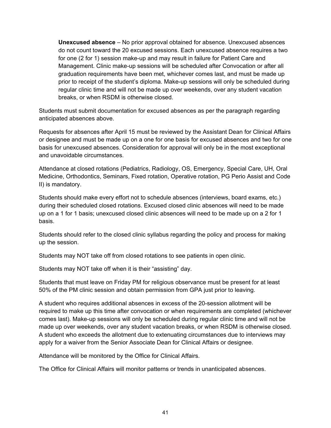**Unexcused absence** – No prior approval obtained for absence. Unexcused absences do not count toward the 20 excused sessions. Each unexcused absence requires a two for one (2 for 1) session make-up and may result in failure for Patient Care and Management. Clinic make-up sessions will be scheduled after Convocation or after all graduation requirements have been met, whichever comes last, and must be made up prior to receipt of the student's diploma. Make-up sessions will only be scheduled during regular clinic time and will not be made up over weekends, over any student vacation breaks, or when RSDM is otherwise closed.

Students must submit documentation for excused absences as per the paragraph regarding anticipated absences above.

Requests for absences after April 15 must be reviewed by the Assistant Dean for Clinical Affairs or designee and must be made up on a one for one basis for excused absences and two for one basis for unexcused absences. Consideration for approval will only be in the most exceptional and unavoidable circumstances.

Attendance at closed rotations (Pediatrics, Radiology, OS, Emergency, Special Care, UH, Oral Medicine, Orthodontics, Seminars, Fixed rotation, Operative rotation, PG Perio Assist and Code II) is mandatory.

Students should make every effort not to schedule absences (interviews, board exams, etc.) during their scheduled closed rotations. Excused closed clinic absences will need to be made up on a 1 for 1 basis; unexcused closed clinic absences will need to be made up on a 2 for 1 basis.

Students should refer to the closed clinic syllabus regarding the policy and process for making up the session.

Students may NOT take off from closed rotations to see patients in open clinic.

Students may NOT take off when it is their "assisting" day.

Students that must leave on Friday PM for religious observance must be present for at least 50% of the PM clinic session and obtain permission from GPA just prior to leaving.

A student who requires additional absences in excess of the 20-session allotment will be required to make up this time after convocation or when requirements are completed (whichever comes last). Make-up sessions will only be scheduled during regular clinic time and will not be made up over weekends, over any student vacation breaks, or when RSDM is otherwise closed. A student who exceeds the allotment due to extenuating circumstances due to interviews may apply for a waiver from the Senior Associate Dean for Clinical Affairs or designee.

Attendance will be monitored by the Office for Clinical Affairs.

The Office for Clinical Affairs will monitor patterns or trends in unanticipated absences.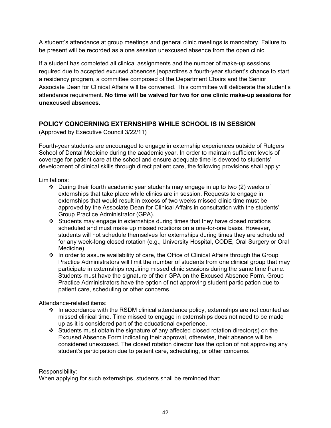A student's attendance at group meetings and general clinic meetings is mandatory. Failure to be present will be recorded as a one session unexcused absence from the open clinic.

If a student has completed all clinical assignments and the number of make-up sessions required due to accepted excused absences jeopardizes a fourth-year student's chance to start a residency program, a committee composed of the Department Chairs and the Senior Associate Dean for Clinical Affairs will be convened. This committee will deliberate the student's attendance requirement. **No time will be waived for two for one clinic make-up sessions for unexcused absences.**

# **POLICY CONCERNING EXTERNSHIPS WHILE SCHOOL IS IN SESSION**

(Approved by Executive Council 3/22/11)

Fourth-year students are encouraged to engage in externship experiences outside of Rutgers School of Dental Medicine during the academic year. In order to maintain sufficient levels of coverage for patient care at the school and ensure adequate time is devoted to students' development of clinical skills through direct patient care, the following provisions shall apply:

Limitations:

- $\div$  During their fourth academic year students may engage in up to two (2) weeks of externships that take place while clinics are in session. Requests to engage in externships that would result in excess of two weeks missed clinic time must be approved by the Associate Dean for Clinical Affairs in consultation with the students' Group Practice Administrator (GPA).
- Students may engage in externships during times that they have closed rotations scheduled and must make up missed rotations on a one-for-one basis. However, students will not schedule themselves for externships during times they are scheduled for any week-long closed rotation (e.g., University Hospital, CODE, Oral Surgery or Oral Medicine).
- \* In order to assure availability of care, the Office of Clinical Affairs through the Group Practice Administrators will limit the number of students from one clinical group that may participate in externships requiring missed clinic sessions during the same time frame. Students must have the signature of their GPA on the Excused Absence Form. Group Practice Administrators have the option of not approving student participation due to patient care, scheduling or other concerns.

Attendance-related items:

- $\cdot \cdot$  In accordance with the RSDM clinical attendance policy, externships are not counted as missed clinical time. Time missed to engage in externships does not need to be made up as it is considered part of the educational experience.
- $\cdot$  Students must obtain the signature of any affected closed rotation director(s) on the Excused Absence Form indicating their approval, otherwise, their absence will be considered unexcused. The closed rotation director has the option of not approving any student's participation due to patient care, scheduling, or other concerns.

Responsibility:

When applying for such externships, students shall be reminded that: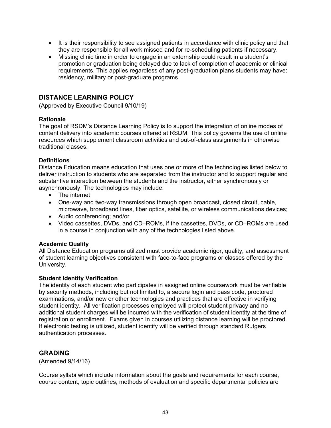- It is their responsibility to see assigned patients in accordance with clinic policy and that they are responsible for all work missed and for re-scheduling patients if necessary.
- Missing clinic time in order to engage in an externship could result in a student's promotion or graduation being delayed due to lack of completion of academic or clinical requirements. This applies regardless of any post-graduation plans students may have: residency, military or post-graduate programs.

# **DISTANCE LEARNING POLICY**

(Approved by Executive Council 9/10/19)

#### **Rationale**

The goal of RSDM's Distance Learning Policy is to support the integration of online modes of content delivery into academic courses offered at RSDM. This policy governs the use of online resources which supplement classroom activities and out-of-class assignments in otherwise traditional classes.

#### **Definitions**

Distance Education means education that uses one or more of the technologies listed below to deliver instruction to students who are separated from the instructor and to support regular and substantive interaction between the students and the instructor, either synchronously or asynchronously. The technologies may include:

- The internet
- One-way and two-way transmissions through open broadcast, closed circuit, cable, microwave, broadband lines, fiber optics, satellite, or wireless communications devices;
- Audio conferencing; and/or
- Video cassettes, DVDs, and CD–ROMs, if the cassettes, DVDs, or CD–ROMs are used in a course in conjunction with any of the technologies listed above.

#### **Academic Quality**

All Distance Education programs utilized must provide academic rigor, quality, and assessment of student learning objectives consistent with face-to-face programs or classes offered by the University.

#### **Student Identity Verification**

The identity of each student who participates in assigned online coursework must be verifiable by security methods, including but not limited to, a secure login and pass code, proctored examinations, and/or new or other technologies and practices that are effective in verifying student identity. All verification processes employed will protect student privacy and no additional student charges will be incurred with the verification of student identity at the time of registration or enrollment. Exams given in courses utilizing distance learning will be proctored. If electronic testing is utilized, student identify will be verified through standard Rutgers authentication processes.

## **GRADING**

(Amended 9/14/16)

Course syllabi which include information about the goals and requirements for each course, course content, topic outlines, methods of evaluation and specific departmental policies are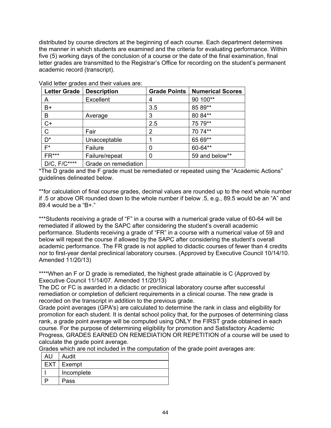distributed by course directors at the beginning of each course. Each department determines the manner in which students are examined and the criteria for evaluating performance. Within five (5) working days of the conclusion of a course or the date of the final examination, final letter grades are transmitted to the Registrar's Office for recording on the student's permanent academic record (transcript).

| <b>Letter Grade</b> | <b>Description</b>   | <b>Grade Points</b> | <b>Numerical Scores</b> |
|---------------------|----------------------|---------------------|-------------------------|
| А                   | Excellent            |                     | 90 100**                |
| $B+$                |                      | 3.5                 | 85 89**                 |
| B                   | Average              | 3                   | 80 84**                 |
| $C+$                |                      | 2.5                 | 75 79**                 |
| $\mathsf{C}$        | Fair                 | 2                   | 70 74**                 |
| $D^*$               | Unacceptable         |                     | 65 69**                 |
| $F^*$               | Failure              |                     | 60-64**                 |
| $FR***$             | Failure/repeat       |                     | 59 and below**          |
| $D/C$ , $F/C***$    | Grade on remediation |                     |                         |

Valid letter grades and their values are:

\*The D grade and the F grade must be remediated or repeated using the "Academic Actions" guidelines delineated below.

\*\*for calculation of final course grades, decimal values are rounded up to the next whole number if .5 or above OR rounded down to the whole number if below .5, e.g., 89.5 would be an "A" and 89.4 would be a "B+."

\*\*\*Students receiving a grade of "F" in a course with a numerical grade value of 60-64 will be remediated if allowed by the SAPC after considering the student's overall academic performance. Students receiving a grade of "FR" in a course with a numerical value of 59 and below will repeat the course if allowed by the SAPC after considering the student's overall academic performance. The FR grade is not applied to didactic courses of fewer than 4 credits nor to first-year dental preclinical laboratory courses. (Approved by Executive Council 10/14/10. Amended 11/20/13)

\*\*\*\*When an F or D grade is remediated, the highest grade attainable is C (Approved by Executive Council 11/14/07. Amended 11/20/13)

The DC or FC is awarded in a didactic or preclinical laboratory course after successful remediation or completion of deficient requirements in a clinical course. The new grade is recorded on the transcript in addition to the previous grade.

Grade point averages (GPA's) are calculated to determine the rank in class and eligibility for promotion for each student. It is dental school policy that, for the purposes of determining class rank, a grade point average will be computed using ONLY the FIRST grade obtained in each course. For the purpose of determining eligibility for promotion and Satisfactory Academic Progress, GRADES EARNED ON REMEDIATION OR REPETITION of a course will be used to calculate the grade point average.

Grades which are not included in the computation of the grade point averages are:

| AU         | Audit      |
|------------|------------|
| <b>EXT</b> | ∣ Exempt   |
|            | Incomplete |
|            | Pass       |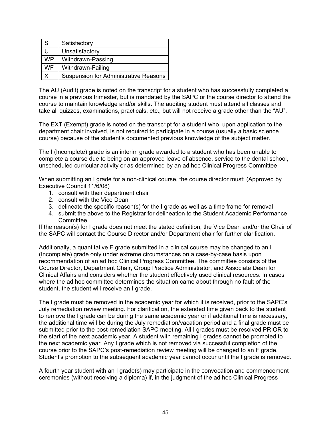| l S       | Satisfactory                                 |
|-----------|----------------------------------------------|
|           | Unsatisfactory                               |
| <b>WP</b> | Withdrawn-Passing                            |
| <b>WF</b> | Withdrawn-Failing                            |
|           | <b>Suspension for Administrative Reasons</b> |

The AU (Audit) grade is noted on the transcript for a student who has successfully completed a course in a previous trimester, but is mandated by the SAPC or the course director to attend the course to maintain knowledge and/or skills. The auditing student must attend all classes and take all quizzes, examinations, practicals, etc., but will not receive a grade other than the "AU".

The EXT (Exempt) grade is noted on the transcript for a student who, upon application to the department chair involved, is not required to participate in a course (usually a basic science course) because of the student's documented previous knowledge of the subject matter.

The I (Incomplete) grade is an interim grade awarded to a student who has been unable to complete a course due to being on an approved leave of absence, service to the dental school, unscheduled curricular activity or as determined by an ad hoc Clinical Progress Committee

When submitting an I grade for a non-clinical course, the course director must: (Approved by Executive Council 11/6/08)

- 1. consult with their department chair
- 2. consult with the Vice Dean
- 3. delineate the specific reason(s) for the I grade as well as a time frame for removal
- 4. submit the above to the Registrar for delineation to the Student Academic Performance **Committee**

If the reason(s) for I grade does not meet the stated definition, the Vice Dean and/or the Chair of the SAPC will contact the Course Director and/or Department chair for further clarification.

Additionally, a quantitative F grade submitted in a clinical course may be changed to an I (Incomplete) grade only under extreme circumstances on a case-by-case basis upon recommendation of an ad hoc Clinical Progress Committee. The committee consists of the Course Director, Department Chair, Group Practice Administrator, and Associate Dean for Clinical Affairs and considers whether the student effectively used clinical resources. In cases where the ad hoc committee determines the situation came about through no fault of the student, the student will receive an I grade.

The I grade must be removed in the academic year for which it is received, prior to the SAPC's July remediation review meeting. For clarification, the extended time given back to the student to remove the I grade can be during the same academic year or if additional time is necessary, the additional time will be during the July remediation/vacation period and a final grade must be submitted prior to the post-remediation SAPC meeting. All I grades must be resolved PRIOR to the start of the next academic year. A student with remaining I grades cannot be promoted to the next academic year. Any I grade which is not removed via successful completion of the course prior to the SAPC's post-remediation review meeting will be changed to an F grade. Student's promotion to the subsequent academic year cannot occur until the I grade is removed.

A fourth year student with an I grade(s) may participate in the convocation and commencement ceremonies (without receiving a diploma) if, in the judgment of the ad hoc Clinical Progress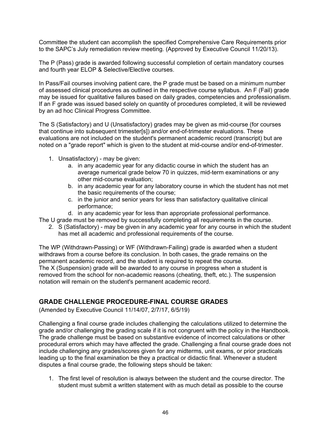Committee the student can accomplish the specified Comprehensive Care Requirements prior to the SAPC's July remediation review meeting. (Approved by Executive Council 11/20/13).

The P (Pass) grade is awarded following successful completion of certain mandatory courses and fourth year ELOP & Selective/Elective courses.

In Pass/Fail courses involving patient care, the P grade must be based on a minimum number of assessed clinical procedures as outlined in the respective course syllabus. An F (Fail) grade may be issued for qualitative failures based on daily grades, competencies and professionalism. If an F grade was issued based solely on quantity of procedures completed, it will be reviewed by an ad hoc Clinical Progress Committee.

The S (Satisfactory) and U (Unsatisfactory) grades may be given as mid-course (for courses that continue into subsequent trimester[s]) and/or end-of-trimester evaluations. These evaluations are not included on the student's permanent academic record (transcript) but are noted on a "grade report" which is given to the student at mid-course and/or end-of-trimester.

- 1. Unsatisfactory) may be given:
	- a. in any academic year for any didactic course in which the student has an average numerical grade below 70 in quizzes, mid-term examinations or any other mid-course evaluation;
	- b. in any academic year for any laboratory course in which the student has not met the basic requirements of the course;
	- c. in the junior and senior years for less than satisfactory qualitative clinical performance;
	- d. in any academic year for less than appropriate professional performance.

The U grade must be removed by successfully completing all requirements in the course.

2. S (Satisfactory) - may be given in any academic year for any course in which the student has met all academic and professional requirements of the course.

The WP (Withdrawn-Passing) or WF (Withdrawn-Failing) grade is awarded when a student withdraws from a course before its conclusion. In both cases, the grade remains on the permanent academic record, and the student is required to repeat the course. The X (Suspension) grade will be awarded to any course in progress when a student is removed from the school for non-academic reasons (cheating, theft, etc.). The suspension notation will remain on the student's permanent academic record.

# **GRADE CHALLENGE PROCEDURE-FINAL COURSE GRADES**

(Amended by Executive Council 11/14/07, 2/7/17, 6/5/19)

Challenging a final course grade includes challenging the calculations utilized to determine the grade and/or challenging the grading scale if it is not congruent with the policy in the Handbook. The grade challenge must be based on substantive evidence of incorrect calculations or other procedural errors which may have affected the grade. Challenging a final course grade does not include challenging any grades/scores given for any midterms, unit exams, or prior practicals leading up to the final examination be they a practical or didactic final. Whenever a student disputes a final course grade, the following steps should be taken:

1. The first level of resolution is always between the student and the course director. The student must submit a written statement with as much detail as possible to the course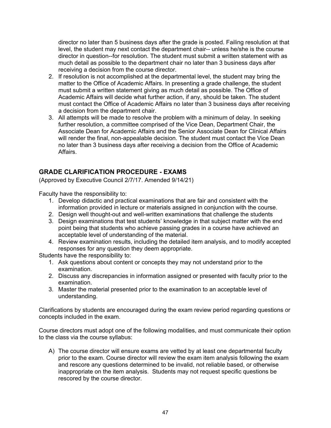director no later than 5 business days after the grade is posted. Failing resolution at that level, the student may next contact the department chair-- unless he/she is the course director in question--for resolution. The student must submit a written statement with as much detail as possible to the department chair no later than 3 business days after receiving a decision from the course director.

- 2. If resolution is not accomplished at the departmental level, the student may bring the matter to the Office of Academic Affairs. In presenting a grade challenge, the student must submit a written statement giving as much detail as possible. The Office of Academic Affairs will decide what further action, if any, should be taken. The student must contact the Office of Academic Affairs no later than 3 business days after receiving a decision from the department chair.
- 3. All attempts will be made to resolve the problem with a minimum of delay. In seeking further resolution, a committee comprised of the Vice Dean, Department Chair, the Associate Dean for Academic Affairs and the Senior Associate Dean for Clinical Affairs will render the final, non-appealable decision. The student must contact the Vice Dean no later than 3 business days after receiving a decision from the Office of Academic Affairs.

# **GRADE CLARIFICATION PROCEDURE - EXAMS**

(Approved by Executive Council 2/7/17. Amended 9/14/21)

Faculty have the responsibility to:

- 1. Develop didactic and practical examinations that are fair and consistent with the information provided in lecture or materials assigned in conjunction with the course.
- 2. Design well thought-out and well-written examinations that challenge the students
- 3. Design examinations that test students' knowledge in that subject matter with the end point being that students who achieve passing grades in a course have achieved an acceptable level of understanding of the material.
- 4. Review examination results, including the detailed item analysis, and to modify accepted responses for any question they deem appropriate.

Students have the responsibility to:

- 1. Ask questions about content or concepts they may not understand prior to the examination.
- 2. Discuss any discrepancies in information assigned or presented with faculty prior to the examination.
- 3. Master the material presented prior to the examination to an acceptable level of understanding.

Clarifications by students are encouraged during the exam review period regarding questions or concepts included in the exam.

Course directors must adopt one of the following modalities, and must communicate their option to the class via the course syllabus:

A) The course director will ensure exams are vetted by at least one departmental faculty prior to the exam. Course director will review the exam item analysis following the exam and rescore any questions determined to be invalid, not reliable based, or otherwise inappropriate on the item analysis. Students may not request specific questions be rescored by the course director.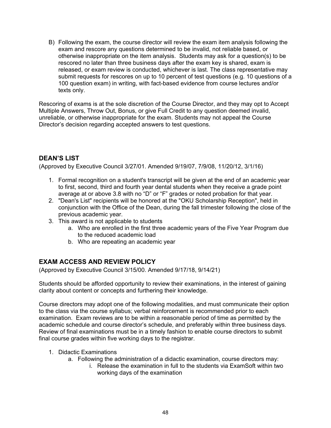B) Following the exam, the course director will review the exam item analysis following the exam and rescore any questions determined to be invalid, not reliable based, or otherwise inappropriate on the item analysis. Students may ask for a question(s) to be rescored no later than three business days after the exam key is shared, exam is released, or exam review is conducted, whichever is last. The class representative may submit requests for rescores on up to 10 percent of test questions (e.g. 10 questions of a 100 question exam) in writing, with fact-based evidence from course lectures and/or texts only.

Rescoring of exams is at the sole discretion of the Course Director, and they may opt to Accept Multiple Answers, Throw Out, Bonus, or give Full Credit to any question deemed invalid, unreliable, or otherwise inappropriate for the exam. Students may not appeal the Course Director's decision regarding accepted answers to test questions.

# **DEAN'S LIST**

(Approved by Executive Council 3/27/01. Amended 9/19/07, 7/9/08, 11/20/12, 3/1/16)

- 1. Formal recognition on a student's transcript will be given at the end of an academic year to first, second, third and fourth year dental students when they receive a grade point average at or above 3.8 with no "D" or "F" grades or noted probation for that year.
- 2. "Dean's List" recipients will be honored at the "OKU Scholarship Reception", held in conjunction with the Office of the Dean, during the fall trimester following the close of the previous academic year.
- 3. This award is not applicable to students
	- a. Who are enrolled in the first three academic years of the Five Year Program due to the reduced academic load
	- b. Who are repeating an academic year

# **EXAM ACCESS AND REVIEW POLICY**

(Approved by Executive Council 3/15/00. Amended 9/17/18, 9/14/21)

Students should be afforded opportunity to review their examinations, in the interest of gaining clarity about content or concepts and furthering their knowledge.

Course directors may adopt one of the following modalities, and must communicate their option to the class via the course syllabus; verbal reinforcement is recommended prior to each examination. Exam reviews are to be within a reasonable period of time as permitted by the academic schedule and course director's schedule, and preferably within three business days. Review of final examinations must be in a timely fashion to enable course directors to submit final course grades within five working days to the registrar.

- 1. Didactic Examinations
	- a. Following the administration of a didactic examination, course directors may:
		- i. Release the examination in full to the students via ExamSoft within two working days of the examination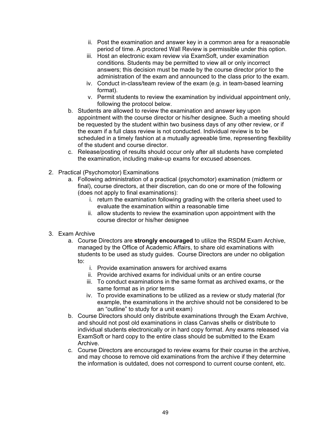- ii. Post the examination and answer key in a common area for a reasonable period of time. A proctored Wall Review is permissible under this option.
- iii. Host an electronic exam review via ExamSoft, under examination conditions. Students may be permitted to view all or only incorrect answers; this decision must be made by the course director prior to the administration of the exam and announced to the class prior to the exam.
- iv. Conduct in-class/team review of the exam (e.g. in team-based learning format).
- v. Permit students to review the examination by individual appointment only, following the protocol below.
- b. Students are allowed to review the examination and answer key upon appointment with the course director or his/her designee. Such a meeting should be requested by the student within two business days of any other review, or if the exam if a full class review is not conducted. Individual review is to be scheduled in a timely fashion at a mutually agreeable time, representing flexibility of the student and course director.
- c. Release/posting of results should occur only after all students have completed the examination, including make-up exams for excused absences.
- 2. Practical (Psychomotor) Examinations
	- a. Following administration of a practical (psychomotor) examination (midterm or final), course directors, at their discretion, can do one or more of the following (does not apply to final examinations):
		- i. return the examination following grading with the criteria sheet used to evaluate the examination within a reasonable time
		- ii. allow students to review the examination upon appointment with the course director or his/her designee
- 3. Exam Archive
	- a. Course Directors are **strongly encouraged** to utilize the RSDM Exam Archive, managed by the Office of Academic Affairs, to share old examinations with students to be used as study guides. Course Directors are under no obligation to:
		- i. Provide examination answers for archived exams
		- ii. Provide archived exams for individual units or an entire course
		- iii. To conduct examinations in the same format as archived exams, or the same format as in prior terms
		- iv. To provide examinations to be utilized as a review or study material (for example, the examinations in the archive should not be considered to be an "outline" to study for a unit exam)
	- b. Course Directors should only distribute examinations through the Exam Archive, and should not post old examinations in class Canvas shells or distribute to individual students electronically or in hard copy format. Any exams released via ExamSoft or hard copy to the entire class should be submitted to the Exam Archive.
	- c. Course Directors are encouraged to review exams for their course in the archive, and may choose to remove old examinations from the archive if they determine the information is outdated, does not correspond to current course content, etc.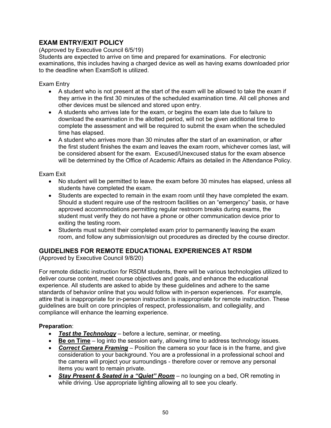# **EXAM ENTRY/EXIT POLICY**

(Approved by Executive Council 6/5/19)

Students are expected to arrive on time and prepared for examinations. For electronic examinations, this includes having a charged device as well as having exams downloaded prior to the deadline when ExamSoft is utilized.

Exam Entry

- A student who is not present at the start of the exam will be allowed to take the exam if they arrive in the first 30 minutes of the scheduled examination time. All cell phones and other devices must be silenced and stored upon entry.
- A students who arrives late for the exam, or begins the exam late due to failure to download the examination in the allotted period, will not be given additional time to complete the assessment and will be required to submit the exam when the scheduled time has elapsed.
- A student who arrives more than 30 minutes after the start of an examination, or after the first student finishes the exam and leaves the exam room, whichever comes last, will be considered absent for the exam. Excused/Unexcused status for the exam absence will be determined by the Office of Academic Affairs as detailed in the Attendance Policy.

Exam Exit

- No student will be permitted to leave the exam before 30 minutes has elapsed, unless all students have completed the exam.
- Students are expected to remain in the exam room until they have completed the exam. Should a student require use of the restroom facilities on an "emergency" basis, or have approved accommodations permitting regular restroom breaks during exams, the student must verify they do not have a phone or other communication device prior to exiting the testing room.
- Students must submit their completed exam prior to permanently leaving the exam room, and follow any submission/sign out procedures as directed by the course director.

# **GUIDELINES FOR REMOTE EDUCATIONAL EXPERIENCES AT RSDM**

(Approved by Executive Council 9/8/20)

For remote didactic instruction for RSDM students, there will be various technologies utilized to deliver course content, meet course objectives and goals, and enhance the educational experience. All students are asked to abide by these guidelines and adhere to the same standards of behavior online that you would follow with in-person experiences. For example, attire that is inappropriate for in-person instruction is inappropriate for remote instruction. These guidelines are built on core principles of respect, professionalism, and collegiality, and compliance will enhance the learning experience.

# **Preparation**:

- *Test the Technology* before a lecture, seminar, or meeting.
- **Be on Time** log into the session early, allowing time to address technology issues.
- *Correct Camera Framing* Position the camera so your face is in the frame, and give consideration to your background. You are a professional in a professional school and the camera will project your surroundings - therefore cover or remove any personal items you want to remain private.
- *Stay Present & Seated in a "Quiet" Room* no lounging on a bed, OR remoting in while driving. Use appropriate lighting allowing all to see you clearly.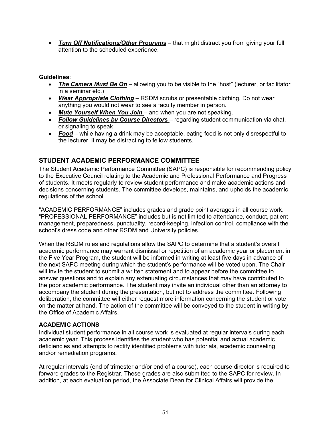• *Turn Off Notifications/Other Programs* – that might distract you from giving your full attention to the scheduled experience.

## **Guidelines**:

- *The Camera Must Be On* allowing you to be visible to the "host" (lecturer, or facilitator in a seminar etc.)
- *Wear Appropriate Clothing* RSDM scrubs or presentable clothing. Do not wear anything you would not wear to see a faculty member in person.
- *Mute Yourself When You Join*  and when you are not speaking.
- *Follow Guidelines by Course Directors*  regarding student communication via chat, or signaling to speak
- *Food* while having a drink may be acceptable, eating food is not only disrespectful to the lecturer, it may be distracting to fellow students.

# **STUDENT ACADEMIC PERFORMANCE COMMITTEE**

The Student Academic Performance Committee (SAPC) is responsible for recommending policy to the Executive Council relating to the Academic and Professional Performance and Progress of students. It meets regularly to review student performance and make academic actions and decisions concerning students. The committee develops, maintains, and upholds the academic regulations of the school.

"ACADEMIC PERFORMANCE" includes grades and grade point averages in all course work. "PROFESSIONAL PERFORMANCE" includes but is not limited to attendance, conduct, patient management, preparedness, punctuality, record-keeping, infection control, compliance with the school's dress code and other RSDM and University policies.

When the RSDM rules and regulations allow the SAPC to determine that a student's overall academic performance may warrant dismissal or repetition of an academic year or placement in the Five Year Program, the student will be informed in writing at least five days in advance of the next SAPC meeting during which the student's performance will be voted upon. The Chair will invite the student to submit a written statement and to appear before the committee to answer questions and to explain any extenuating circumstances that may have contributed to the poor academic performance. The student may invite an individual other than an attorney to accompany the student during the presentation, but not to address the committee. Following deliberation, the committee will either request more information concerning the student or vote on the matter at hand. The action of the committee will be conveyed to the student in writing by the Office of Academic Affairs.

# **ACADEMIC ACTIONS**

Individual student performance in all course work is evaluated at regular intervals during each academic year. This process identifies the student who has potential and actual academic deficiencies and attempts to rectify identified problems with tutorials, academic counseling and/or remediation programs.

At regular intervals (end of trimester and/or end of a course), each course director is required to forward grades to the Registrar. These grades are also submitted to the SAPC for review. In addition, at each evaluation period, the Associate Dean for Clinical Affairs will provide the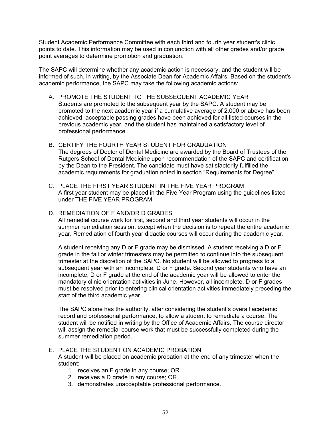Student Academic Performance Committee with each third and fourth year student's clinic points to date. This information may be used in conjunction with all other grades and/or grade point averages to determine promotion and graduation.

The SAPC will determine whether any academic action is necessary, and the student will be informed of such, in writing, by the Associate Dean for Academic Affairs. Based on the student's academic performance, the SAPC may take the following academic actions:

- A. PROMOTE THE STUDENT TO THE SUBSEQUENT ACADEMIC YEAR Students are promoted to the subsequent year by the SAPC. A student may be promoted to the next academic year if a cumulative average of 2.000 or above has been achieved, acceptable passing grades have been achieved for all listed courses in the previous academic year, and the student has maintained a satisfactory level of professional performance.
- B. CERTIFY THE FOURTH YEAR STUDENT FOR GRADUATION The degrees of Doctor of Dental Medicine are awarded by the Board of Trustees of the Rutgers School of Dental Medicine upon recommendation of the SAPC and certification by the Dean to the President. The candidate must have satisfactorily fulfilled the academic requirements for graduation noted in section "Requirements for Degree".
- C. PLACE THE FIRST YEAR STUDENT IN THE FIVE YEAR PROGRAM A first year student may be placed in the Five Year Program using the guidelines listed under THE FIVE YEAR PROGRAM.

#### D. REMEDIATION OF F AND/OR D GRADES

All remedial course work for first, second and third year students will occur in the summer remediation session, except when the decision is to repeat the entire academic year. Remediation of fourth year didactic courses will occur during the academic year.

A student receiving any D or F grade may be dismissed. A student receiving a D or F grade in the fall or winter trimesters may be permitted to continue into the subsequent trimester at the discretion of the SAPC. No student will be allowed to progress to a subsequent year with an incomplete, D or F grade. Second year students who have an incomplete, D or F grade at the end of the academic year will be allowed to enter the mandatory clinic orientation activities in June. However, all incomplete, D or F grades must be resolved prior to entering clinical orientation activities immediately preceding the start of the third academic year.

The SAPC alone has the authority, after considering the student's overall academic record and professional performance, to allow a student to remediate a course. The student will be notified in writing by the Office of Academic Affairs. The course director will assign the remedial course work that must be successfully completed during the summer remediation period.

#### E. PLACE THE STUDENT ON ACADEMIC PROBATION

A student will be placed on academic probation at the end of any trimester when the student:

- 1. receives an F grade in any course; OR
- 2. receives a D grade in any course; OR
- 3. demonstrates unacceptable professional performance.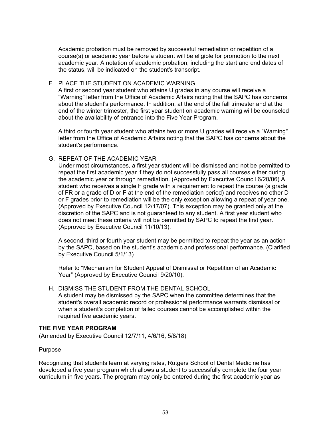Academic probation must be removed by successful remediation or repetition of a course(s) or academic year before a student will be eligible for promotion to the next academic year. A notation of academic probation, including the start and end dates of the status, will be indicated on the student's transcript.

#### F. PLACE THE STUDENT ON ACADEMIC WARNING

A first or second year student who attains U grades in any course will receive a "Warning" letter from the Office of Academic Affairs noting that the SAPC has concerns about the student's performance. In addition, at the end of the fall trimester and at the end of the winter trimester, the first year student on academic warning will be counseled about the availability of entrance into the Five Year Program.

A third or fourth year student who attains two or more U grades will receive a "Warning" letter from the Office of Academic Affairs noting that the SAPC has concerns about the student's performance.

## G. REPEAT OF THE ACADEMIC YEAR

Under most circumstances, a first year student will be dismissed and not be permitted to repeat the first academic year if they do not successfully pass all courses either during the academic year or through remediation. (Approved by Executive Council 6/20/06) A student who receives a single F grade with a requirement to repeat the course (a grade of FR or a grade of D or F at the end of the remediation period) and receives no other D or F grades prior to remediation will be the only exception allowing a repeat of year one. (Approved by Executive Council 12/17/07). This exception may be granted only at the discretion of the SAPC and is not guaranteed to any student. A first year student who does not meet these criteria will not be permitted by SAPC to repeat the first year. (Approved by Executive Council 11/10/13).

A second, third or fourth year student may be permitted to repeat the year as an action by the SAPC, based on the student's academic and professional performance. (Clarified by Executive Council 5/1/13)

Refer to "Mechanism for Student Appeal of Dismissal or Repetition of an Academic Year" (Approved by Executive Council 9/20/10).

#### H. DISMISS THE STUDENT FROM THE DENTAL SCHOOL

A student may be dismissed by the SAPC when the committee determines that the student's overall academic record or professional performance warrants dismissal or when a student's completion of failed courses cannot be accomplished within the required five academic years.

#### **THE FIVE YEAR PROGRAM**

(Amended by Executive Council 12/7/11, 4/6/16, 5/8/18)

#### Purpose

Recognizing that students learn at varying rates, Rutgers School of Dental Medicine has developed a five year program which allows a student to successfully complete the four year curriculum in five years. The program may only be entered during the first academic year as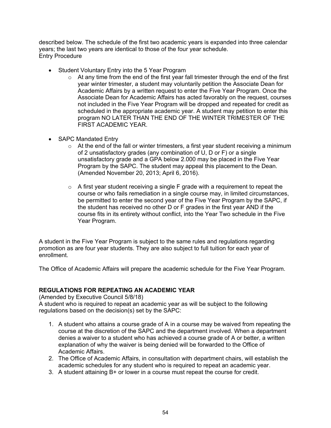described below. The schedule of the first two academic years is expanded into three calendar years; the last two years are identical to those of the four year schedule. Entry Procedure

- Student Voluntary Entry into the 5 Year Program
	- $\circ$  At any time from the end of the first year fall trimester through the end of the first year winter trimester, a student may voluntarily petition the Associate Dean for Academic Affairs by a written request to enter the Five Year Program. Once the Associate Dean for Academic Affairs has acted favorably on the request, courses not included in the Five Year Program will be dropped and repeated for credit as scheduled in the appropriate academic year. A student may petition to enter this program NO LATER THAN THE END OF THE WINTER TRIMESTER OF THE FIRST ACADEMIC YEAR.
- SAPC Mandated Entry
	- $\circ$  At the end of the fall or winter trimesters, a first year student receiving a minimum of 2 unsatisfactory grades (any combination of U, D or F) or a single unsatisfactory grade and a GPA below 2.000 may be placed in the Five Year Program by the SAPC. The student may appeal this placement to the Dean. (Amended November 20, 2013; April 6, 2016).
	- $\circ$  A first year student receiving a single F grade with a requirement to repeat the course or who fails remediation in a single course may, in limited circumstances, be permitted to enter the second year of the Five Year Program by the SAPC, if the student has received no other D or F grades in the first year AND if the course fits in its entirety without conflict, into the Year Two schedule in the Five Year Program.

A student in the Five Year Program is subject to the same rules and regulations regarding promotion as are four year students. They are also subject to full tuition for each year of enrollment.

The Office of Academic Affairs will prepare the academic schedule for the Five Year Program.

## **REGULATIONS FOR REPEATING AN ACADEMIC YEAR**

(Amended by Executive Council 5/8/18)

A student who is required to repeat an academic year as will be subject to the following regulations based on the decision(s) set by the SAPC:

- 1. A student who attains a course grade of A in a course may be waived from repeating the course at the discretion of the SAPC and the department involved. When a department denies a waiver to a student who has achieved a course grade of A or better, a written explanation of why the waiver is being denied will be forwarded to the Office of Academic Affairs.
- 2. The Office of Academic Affairs, in consultation with department chairs, will establish the academic schedules for any student who is required to repeat an academic year.
- 3. A student attaining B+ or lower in a course must repeat the course for credit.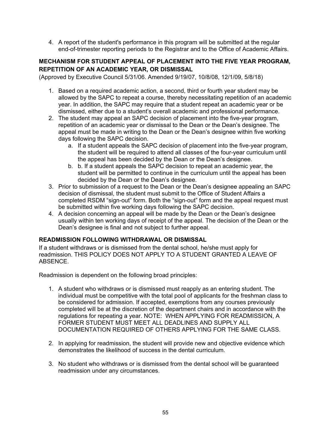4. A report of the student's performance in this program will be submitted at the regular end-of-trimester reporting periods to the Registrar and to the Office of Academic Affairs.

## **MECHANISM FOR STUDENT APPEAL OF PLACEMENT INTO THE FIVE YEAR PROGRAM, REPETITION OF AN ACADEMIC YEAR, OR DISMISSAL**

(Approved by Executive Council 5/31/06. Amended 9/19/07, 10/8/08, 12/1/09, 5/8/18)

- 1. Based on a required academic action, a second, third or fourth year student may be allowed by the SAPC to repeat a course, thereby necessitating repetition of an academic year. In addition, the SAPC may require that a student repeat an academic year or be dismissed, either due to a student's overall academic and professional performance.
- 2. The student may appeal an SAPC decision of placement into the five-year program, repetition of an academic year or dismissal to the Dean or the Dean's designee. The appeal must be made in writing to the Dean or the Dean's designee within five working days following the SAPC decision.
	- a. If a student appeals the SAPC decision of placement into the five-year program, the student will be required to attend all classes of the four-year curriculum until the appeal has been decided by the Dean or the Dean's designee.
	- b. b. If a student appeals the SAPC decision to repeat an academic year, the student will be permitted to continue in the curriculum until the appeal has been decided by the Dean or the Dean's designee.
- 3. Prior to submission of a request to the Dean or the Dean's designee appealing an SAPC decision of dismissal, the student must submit to the Office of Student Affairs a completed RSDM "sign-out" form. Both the "sign-out" form and the appeal request must be submitted within five working days following the SAPC decision.
- 4. A decision concerning an appeal will be made by the Dean or the Dean's designee usually within ten working days of receipt of the appeal. The decision of the Dean or the Dean's designee is final and not subject to further appeal.

## **READMISSION FOLLOWING WITHDRAWAL OR DISMISSAL**

If a student withdraws or is dismissed from the dental school, he/she must apply for readmission. THIS POLICY DOES NOT APPLY TO A STUDENT GRANTED A LEAVE OF ABSENCE.

Readmission is dependent on the following broad principles:

- 1. A student who withdraws or is dismissed must reapply as an entering student. The individual must be competitive with the total pool of applicants for the freshman class to be considered for admission. If accepted, exemptions from any courses previously completed will be at the discretion of the department chairs and in accordance with the regulations for repeating a year. NOTE: WHEN APPLYING FOR READMISSION, A FORMER STUDENT MUST MEET ALL DEADLINES AND SUPPLY ALL DOCUMENTATION REQUIRED OF OTHERS APPLYING FOR THE SAME CLASS.
- 2. In applying for readmission, the student will provide new and objective evidence which demonstrates the likelihood of success in the dental curriculum.
- 3. No student who withdraws or is dismissed from the dental school will be guaranteed readmission under any circumstances.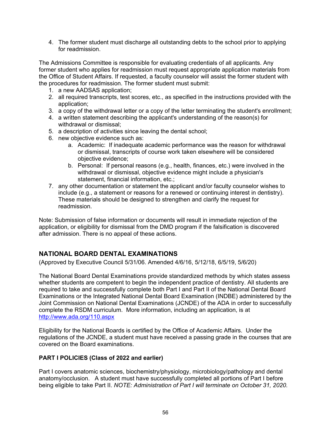4. The former student must discharge all outstanding debts to the school prior to applying for readmission.

The Admissions Committee is responsible for evaluating credentials of all applicants. Any former student who applies for readmission must request appropriate application materials from the Office of Student Affairs. If requested, a faculty counselor will assist the former student with the procedures for readmission. The former student must submit:

- 1. a new AADSAS application;
- 2. all required transcripts, test scores, etc., as specified in the instructions provided with the application;
- 3. a copy of the withdrawal letter or a copy of the letter terminating the student's enrollment;
- 4. a written statement describing the applicant's understanding of the reason(s) for withdrawal or dismissal;
- 5. a description of activities since leaving the dental school;
- 6. new objective evidence such as:
	- a. Academic: If inadequate academic performance was the reason for withdrawal or dismissal, transcripts of course work taken elsewhere will be considered objective evidence;
	- b. Personal: If personal reasons (e.g., health, finances, etc.) were involved in the withdrawal or dismissal, objective evidence might include a physician's statement, financial information, etc.;
- 7. any other documentation or statement the applicant and/or faculty counselor wishes to include (e.g., a statement or reasons for a renewed or continuing interest in dentistry). These materials should be designed to strengthen and clarify the request for readmission.

Note: Submission of false information or documents will result in immediate rejection of the application, or eligibility for dismissal from the DMD program if the falsification is discovered after admission. There is no appeal of these actions.

# **NATIONAL BOARD DENTAL EXAMINATIONS**

(Approved by Executive Council 5/31/06. Amended 4/6/16, 5/12/18, 6/5/19, 5/6/20)

The National Board Dental Examinations provide standardized methods by which states assess whether students are competent to begin the independent practice of dentistry. All students are required to take and successfully complete both Part I and Part II of the National Dental Board Examinations or the Integrated National Dental Board Examination (INDBE) administered by the Joint Commission on National Dental Examinations (JCNDE) of the ADA in order to successfully complete the RSDM curriculum. More information, including an application, is at <http://www.ada.org/110.aspx>

Eligibility for the National Boards is certified by the Office of Academic Affairs. Under the regulations of the JCNDE, a student must have received a passing grade in the courses that are covered on the Board examinations.

# **PART I POLICIES (Class of 2022 and earlier)**

Part I covers anatomic sciences, biochemistry/physiology, microbiology/pathology and dental anatomy/occlusion. A student must have successfully completed all portions of Part I before being eligible to take Part II. *NOTE: Administration of Part I will terminate on October 31, 2020.*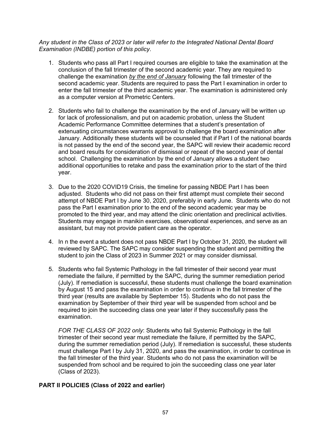*Any student in the Class of 2023 or later will refer to the Integrated National Dental Board Examination (INDBE) portion of this policy*.

- 1. Students who pass all Part I required courses are eligible to take the examination at the conclusion of the fall trimester of the second academic year. They are required to challenge the examination *by the end of January* following the fall trimester of the second academic year. Students are required to pass the Part I examination in order to enter the fall trimester of the third academic year. The examination is administered only as a computer version at Prometric Centers.
- 2. Students who fail to challenge the examination by the end of January will be written up for lack of professionalism, and put on academic probation, unless the Student Academic Performance Committee determines that a student's presentation of extenuating circumstances warrants approval to challenge the board examination after January. Additionally these students will be counseled that if Part I of the national boards is not passed by the end of the second year, the SAPC will review their academic record and board results for consideration of dismissal or repeat of the second year of dental school. Challenging the examination by the end of January allows a student two additional opportunities to retake and pass the examination prior to the start of the third year.
- 3. Due to the 2020 COVID19 Crisis, the timeline for passing NBDE Part I has been adjusted. Students who did not pass on their first attempt must complete their second attempt of NBDE Part I by June 30, 2020, preferably in early June. Students who do not pass the Part I examination prior to the end of the second academic year may be promoted to the third year, and may attend the clinic orientation and preclinical activities. Students may engage in manikin exercises, observational experiences, and serve as an assistant, but may not provide patient care as the operator.
- 4. In n the event a student does not pass NBDE Part I by October 31, 2020, the student will reviewed by SAPC. The SAPC may consider suspending the student and permitting the student to join the Class of 2023 in Summer 2021 or may consider dismissal.
- 5. Students who fail Systemic Pathology in the fall trimester of their second year must remediate the failure, if permitted by the SAPC, during the summer remediation period (July). If remediation is successful, these students must challenge the board examination by August 15 and pass the examination in order to continue in the fall trimester of the third year (results are available by September 15). Students who do not pass the examination by September of their third year will be suspended from school and be required to join the succeeding class one year later if they successfully pass the examination.

*FOR THE CLASS OF 2022 only*: Students who fail Systemic Pathology in the fall trimester of their second year must remediate the failure, if permitted by the SAPC, during the summer remediation period (July). If remediation is successful, these students must challenge Part I by July 31, 2020, and pass the examination, in order to continue in the fall trimester of the third year. Students who do not pass the examination will be suspended from school and be required to join the succeeding class one year later (Class of 2023).

## **PART II POLICIES (Class of 2022 and earlier)**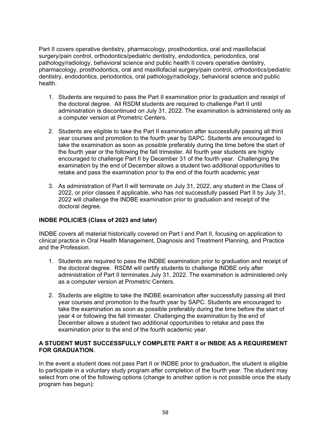Part II covers operative dentistry, pharmacology, prosthodontics, oral and maxillofacial surgery/pain control, orthodontics/pediatric dentistry, endodontics, periodontics, oral pathology/radiology, behavioral science and public health II covers operative dentistry, pharmacology, prosthodontics, oral and maxillofacial surgery/pain control, orthodontics/pediatric dentistry, endodontics, periodontics, oral pathology/radiology, behavioral science and public health.

- 1. Students are required to pass the Part II examination prior to graduation and receipt of the doctoral degree. All RSDM students are required to challenge Part II until administration is discontinued on July 31, 2022. The examination is administered only as a computer version at Prometric Centers.
- 2. Students are eligible to take the Part II examination after successfully passing all third year courses and promotion to the fourth year by SAPC. Students are encouraged to take the examination as soon as possible preferably during the time before the start of the fourth year or the following the fall trimester. All fourth year students are highly encouraged to challenge Part II by December 31 of the fourth year. Challenging the examination by the end of December allows a student two additional opportunities to retake and pass the examination prior to the end of the fourth academic year
- 3. As administration of Part II will terminate on July 31, 2022, any student in the Class of 2022, or prior classes if applicable, who has not successfully passed Part II by July 31, 2022 will challenge the INDBE examination prior to graduation and receipt of the doctoral degree.

# **INDBE POLICIES (Class of 2023 and later)**

INDBE covers all material historically covered on Part I and Part II, focusing on application to clinical practice in Oral Health Management, Diagnosis and Treatment Planning, and Practice and the Profession.

- 1. Students are required to pass the INDBE examination prior to graduation and receipt of the doctoral degree. RSDM will certify students to challenge INDBE only after administration of Part II terminates July 31, 2022. The examination is administered only as a computer version at Prometric Centers.
- 2. Students are eligible to take the INDBE examination after successfully passing all third year courses and promotion to the fourth year by SAPC. Students are encouraged to take the examination as soon as possible preferably during the time before the start of year 4 or following the fall trimester. Challenging the examination by the end of December allows a student two additional opportunities to retake and pass the examination prior to the end of the fourth academic year.

## **A STUDENT MUST SUCCESSFULLY COMPLETE PART II or INBDE AS A REQUIREMENT FOR GRADUATION.**

In the event a student does not pass Part II or INDBE prior to graduation, the student is eligible to participate in a voluntary study program after completion of the fourth year. The student may select from one of the following options (change to another option is not possible once the study program has begun):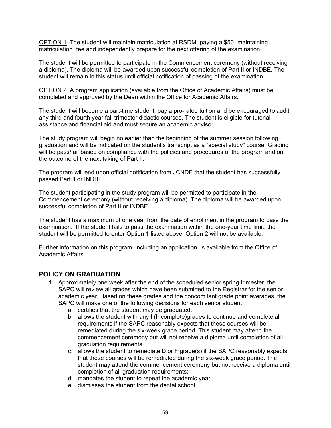OPTION 1. The student will maintain matriculation at RSDM, paying a \$50 "maintaining matriculation" fee and independently prepare for the next offering of the examination.

The student will be permitted to participate in the Commencement ceremony (without receiving a diploma). The diploma will be awarded upon successful completion of Part II or INDBE. The student will remain in this status until official notification of passing of the examination.

OPTION 2. A program application (available from the Office of Academic Affairs) must be completed and approved by the Dean within the Office for Academic Affairs.

The student will become a part-time student, pay a pro-rated tuition and be encouraged to audit any third and fourth year fall trimester didactic courses. The student is eligible for tutorial assistance and financial aid and must secure an academic advisor.

The study program will begin no earlier than the beginning of the summer session following graduation and will be indicated on the student's transcript as a "special study" course. Grading will be pass/fail based on compliance with the policies and procedures of the program and on the outcome of the next taking of Part II.

The program will end upon official notification from JCNDE that the student has successfully passed Part II or INDBE.

The student participating in the study program will be permitted to participate in the Commencement ceremony (without receiving a diploma). The diploma will be awarded upon successful completion of Part II or INDBE.

The student has a maximum of one year from the date of enrollment in the program to pass the examination. If the student fails to pass the examination within the one-year time limit, the student will be permitted to enter Option 1 listed above. Option 2 will not be available.

Further information on this program, including an application, is available from the Office of Academic Affairs.

## **POLICY ON GRADUATION**

- 1. Approximately one week after the end of the scheduled senior spring trimester, the SAPC will review all grades which have been submitted to the Registrar for the senior academic year. Based on these grades and the concomitant grade point averages, the SAPC will make one of the following decisions for each senior student:
	- a. certifies that the student may be graduated;
	- b. allows the student with any I (Incomplete)grades to continue and complete all requirements if the SAPC reasonably expects that these courses will be remediated during the six-week grace period. This student may attend the commencement ceremony but will not receive a diploma until completion of all graduation requirements.
	- c. allows the student to remediate D or F grade(s) if the SAPC reasonably expects that these courses will be remediated during the six-week grace period. The student may attend the commencement ceremony but not receive a diploma until completion of all graduation requirements;
	- d. mandates the student to repeat the academic year;
	- e. dismisses the student from the dental school.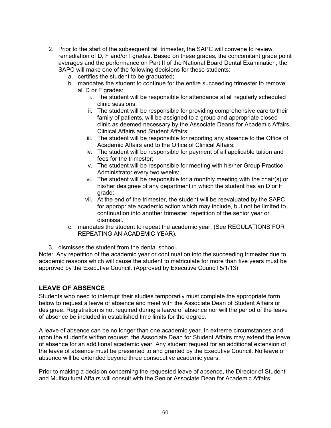- 2. Prior to the start of the subsequent fall trimester, the SAPC will convene to review remediation of D, F and/or I grades. Based on these grades, the concomitant grade point averages and the performance on Part II of the National Board Dental Examination, the SAPC will make one of the following decisions for these students:
	- a. certifies the student to be graduated;
	- b. mandates the student to continue for the entire succeeding trimester to remove all D or F grades:
		- i. The student will be responsible for attendance at all regularly scheduled clinic sessions;
		- ii. The student will be responsible for providing comprehensive care to their family of patients, will be assigned to a group and appropriate closed clinic as deemed necessary by the Associate Deans for Academic Affairs, Clinical Affairs and Student Affairs;
		- iii. The student will be responsible for reporting any absence to the Office of Academic Affairs and to the Office of Clinical Affairs;
		- iv. The student will be responsible for payment of all applicable tuition and fees for the trimester;
		- v. The student will be responsible for meeting with his/her Group Practice Administrator every two weeks;
		- vi. The student will be responsible for a monthly meeting with the chair(s) or his/her designee of any department in which the student has an D or F grade;
		- vii. At the end of the trimester, the student will be reevaluated by the SAPC for appropriate academic action which may include, but not be limited to, continuation into another trimester, repetition of the senior year or dismissal.
	- c. mandates the student to repeat the academic year; (See REGULATIONS FOR REPEATING AN ACADEMIC YEAR).
- 3. dismisses the student from the dental school.

Note: Any repetition of the academic year or continuation into the succeeding trimester due to academic reasons which will cause the student to matriculate for more than five years must be approved by the Executive Council. (Approved by Executive Council 5/1/13)

# **LEAVE OF ABSENCE**

Students who need to interrupt their studies temporarily must complete the appropriate form below to request a leave of absence and meet with the Associate Dean of Student Affairs or designee. Registration is not required during a leave of absence nor will the period of the leave of absence be included in established time limits for the degree.

A leave of absence can be no longer than one academic year. In extreme circumstances and upon the student's written request, the Associate Dean for Student Affairs may extend the leave of absence for an additional academic year. Any student request for an additional extension of the leave of absence must be presented to and granted by the Executive Council. No leave of absence will be extended beyond three consecutive academic years.

Prior to making a decision concerning the requested leave of absence, the Director of Student and Multicultural Affairs will consult with the Senior Associate Dean for Academic Affairs: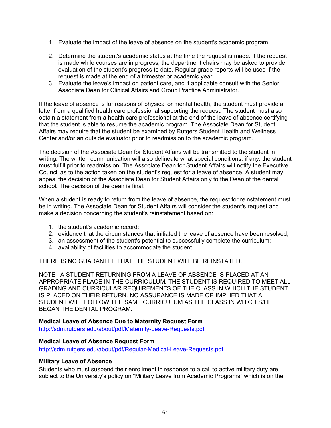- 1. Evaluate the impact of the leave of absence on the student's academic program.
- 2. Determine the student's academic status at the time the request is made. If the request is made while courses are in progress, the department chairs may be asked to provide evaluation of the student's progress to date. Regular grade reports will be used if the request is made at the end of a trimester or academic year.
- 3. Evaluate the leave's impact on patient care, and if applicable consult with the Senior Associate Dean for Clinical Affairs and Group Practice Administrator.

If the leave of absence is for reasons of physical or mental health, the student must provide a letter from a qualified health care professional supporting the request. The student must also obtain a statement from a health care professional at the end of the leave of absence certifying that the student is able to resume the academic program. The Associate Dean for Student Affairs may require that the student be examined by Rutgers Student Health and Wellness Center and/or an outside evaluator prior to readmission to the academic program.

The decision of the Associate Dean for Student Affairs will be transmitted to the student in writing. The written communication will also delineate what special conditions, if any, the student must fulfill prior to readmission. The Associate Dean for Student Affairs will notify the Executive Council as to the action taken on the student's request for a leave of absence. A student may appeal the decision of the Associate Dean for Student Affairs only to the Dean of the dental school. The decision of the dean is final.

When a student is ready to return from the leave of absence, the request for reinstatement must be in writing. The Associate Dean for Student Affairs will consider the student's request and make a decision concerning the student's reinstatement based on:

- 1. the student's academic record;
- 2. evidence that the circumstances that initiated the leave of absence have been resolved;
- 3. an assessment of the student's potential to successfully complete the curriculum;
- 4. availability of facilities to accommodate the student.

THERE IS NO GUARANTEE THAT THE STUDENT WILL BE REINSTATED.

NOTE: A STUDENT RETURNING FROM A LEAVE OF ABSENCE IS PLACED AT AN APPROPRIATE PLACE IN THE CURRICULUM. THE STUDENT IS REQUIRED TO MEET ALL GRADING AND CURRICULAR REQUIREMENTS OF THE CLASS IN WHICH THE STUDENT IS PLACED ON THEIR RETURN. NO ASSURANCE IS MADE OR IMPLIED THAT A STUDENT WILL FOLLOW THE SAME CURRICULUM AS THE CLASS IN WHICH S/HE BEGAN THE DENTAL PROGRAM.

## **Medical Leave of Absence Due to Maternity Request Form**

<http://sdm.rutgers.edu/about/pdf/Maternity-Leave-Requests.pdf>

# **Medical Leave of Absence Request Form**

<http://sdm.rutgers.edu/about/pdf/Regular-Medical-Leave-Requests.pdf>

## **Military Leave of Absence**

Students who must suspend their enrollment in response to a call to active military duty are subject to the University's policy on "Military Leave from Academic Programs" which is on the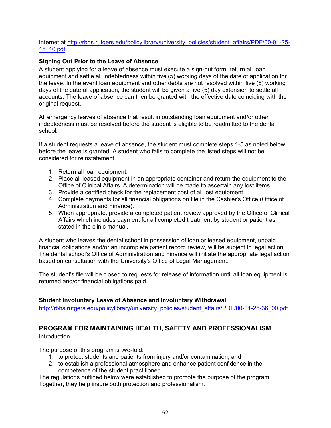## Internet at [http://rbhs.rutgers.edu/policylibrary/university\\_policies/student\\_affairs/PDF/00-01-25-](http://rbhs.rutgers.edu/policylibrary/university_policies/student_affairs/PDF/00-01-25-15_10.pdf) [15\\_10.pdf](http://rbhs.rutgers.edu/policylibrary/university_policies/student_affairs/PDF/00-01-25-15_10.pdf)

## **Signing Out Prior to the Leave of Absence**

A student applying for a leave of absence must execute a sign-out form, return all loan equipment and settle all indebtedness within five (5) working days of the date of application for the leave. In the event loan equipment and other debts are not resolved within five (5) working days of the date of application, the student will be given a five (5) day extension to settle all accounts. The leave of absence can then be granted with the effective date coinciding with the original request.

All emergency leaves of absence that result in outstanding loan equipment and/or other indebtedness must be resolved before the student is eligible to be readmitted to the dental school.

If a student requests a leave of absence, the student must complete steps 1-5 as noted below before the leave is granted. A student who fails to complete the listed steps will not be considered for reinstatement.

- 1. Return all loan equipment.
- 2. Place all leased equipment in an appropriate container and return the equipment to the Office of Clinical Affairs. A determination will be made to ascertain any lost items.
- 3. Provide a certified check for the replacement cost of all lost equipment.
- 4. Complete payments for all financial obligations on file in the Cashier's Office (Office of Administration and Finance).
- 5. When appropriate, provide a completed patient review approved by the Office of Clinical Affairs which includes payment for all completed treatment by student or patient as stated in the clinic manual.

A student who leaves the dental school in possession of loan or leased equipment, unpaid financial obligations and/or an incomplete patient record review, will be subject to legal action. The dental school's Office of Administration and Finance will initiate the appropriate legal action based on consultation with the University's Office of Legal Management.

The student's file will be closed to requests for release of information until all loan equipment is returned and/or financial obligations paid.

## **Student Involuntary Leave of Absence and Involuntary Withdrawal**

[http://rbhs.rutgers.edu/policylibrary/university\\_policies/student\\_affairs/PDF/00-01-25-36\\_00.pdf](http://rbhs.rutgers.edu/policylibrary/university_policies/student_affairs/PDF/00-01-25-36_00.pdf)

# **PROGRAM FOR MAINTAINING HEALTH, SAFETY AND PROFESSIONALISM**

#### Introduction

The purpose of this program is two-fold:

- 1. to protect students and patients from injury and/or contamination; and
- 2. to establish a professional atmosphere and enhance patient confidence in the competence of the student practitioner.

The regulations outlined below were established to promote the purpose of the program. Together, they help insure both protection and professionalism.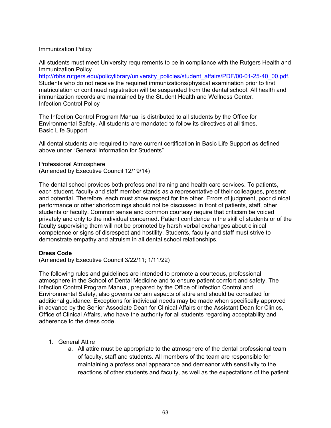#### Immunization Policy

All students must meet University requirements to be in compliance with the Rutgers Health and Immunization Policy

[http://rbhs.rutgers.edu/policylibrary/university\\_policies/student\\_affairs/PDF/00-01-25-40\\_00.pdf.](http://rbhs.rutgers.edu/policylibrary/university_policies/student_affairs/PDF/00-01-25-40_00.pdf) Students who do not receive the required immunizations/physical examination prior to first matriculation or continued registration will be suspended from the dental school. All health and immunization records are maintained by the Student Health and Wellness Center. Infection Control Policy

The Infection Control Program Manual is distributed to all students by the Office for Environmental Safety. All students are mandated to follow its directives at all times. Basic Life Support

All dental students are required to have current certification in Basic Life Support as defined above under "General Information for Students"

Professional Atmosphere (Amended by Executive Council 12/19/14)

The dental school provides both professional training and health care services. To patients, each student, faculty and staff member stands as a representative of their colleagues, present and potential. Therefore, each must show respect for the other. Errors of judgment, poor clinical performance or other shortcomings should not be discussed in front of patients, staff, other students or faculty. Common sense and common courtesy require that criticism be voiced privately and only to the individual concerned. Patient confidence in the skill of students or of the faculty supervising them will not be promoted by harsh verbal exchanges about clinical competence or signs of disrespect and hostility. Students, faculty and staff must strive to demonstrate empathy and altruism in all dental school relationships.

#### **Dress Code**

(Amended by Executive Council 3/22/11; 1/11/22)

The following rules and guidelines are intended to promote a courteous, professional atmosphere in the School of Dental Medicine and to ensure patient comfort and safety. The Infection Control Program Manual, prepared by the Office of Infection Control and Environmental Safety, also governs certain aspects of attire and should be consulted for additional guidance. Exceptions for individual needs may be made when specifically approved in advance by the Senior Associate Dean for Clinical Affairs or the Assistant Dean for Clinics, Office of Clinical Affairs, who have the authority for all students regarding acceptability and adherence to the dress code.

- 1. General Attire
	- a. All attire must be appropriate to the atmosphere of the dental professional team of faculty, staff and students. All members of the team are responsible for maintaining a professional appearance and demeanor with sensitivity to the reactions of other students and faculty, as well as the expectations of the patient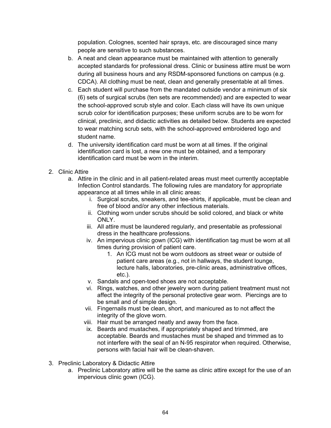population. Colognes, scented hair sprays, etc. are discouraged since many people are sensitive to such substances.

- b. A neat and clean appearance must be maintained with attention to generally accepted standards for professional dress. Clinic or business attire must be worn during all business hours and any RSDM-sponsored functions on campus (e.g. CDCA). All clothing must be neat, clean and generally presentable at all times.
- c. Each student will purchase from the mandated outside vendor a minimum of six (6) sets of surgical scrubs (ten sets are recommended) and are expected to wear the school-approved scrub style and color. Each class will have its own unique scrub color for identification purposes; these uniform scrubs are to be worn for clinical, preclinic, and didactic activities as detailed below. Students are expected to wear matching scrub sets, with the school-approved embroidered logo and student name.
- d. The university identification card must be worn at all times. If the original identification card is lost, a new one must be obtained, and a temporary identification card must be worn in the interim.
- 2. Clinic Attire
	- a. Attire in the clinic and in all patient-related areas must meet currently acceptable Infection Control standards. The following rules are mandatory for appropriate appearance at all times while in all clinic areas:
		- i. Surgical scrubs, sneakers, and tee-shirts, if applicable, must be clean and free of blood and/or any other infectious materials.
		- ii. Clothing worn under scrubs should be solid colored, and black or white ONLY.
		- iii. All attire must be laundered regularly, and presentable as professional dress in the healthcare professions.
		- iv. An impervious clinic gown (ICG) with identification tag must be worn at all times during provision of patient care.
			- 1. An ICG must not be worn outdoors as street wear or outside of patient care areas (e.g., not in hallways, the student lounge, lecture halls, laboratories, pre-clinic areas, administrative offices, etc.).
		- v. Sandals and open-toed shoes are not acceptable.
		- vi. Rings, watches, and other jewelry worn during patient treatment must not affect the integrity of the personal protective gear worn. Piercings are to be small and of simple design.
		- vii. Fingernails must be clean, short, and manicured as to not affect the integrity of the glove worn.
		- viii. Hair must be arranged neatly and away from the face.
		- ix. Beards and mustaches, if appropriately shaped and trimmed, are acceptable. Beards and mustaches must be shaped and trimmed as to not interfere with the seal of an N-95 respirator when required. Otherwise, persons with facial hair will be clean-shaven.
- 3. Preclinic Laboratory & Didactic Attire
	- a. Preclinic Laboratory attire will be the same as clinic attire except for the use of an impervious clinic gown (ICG).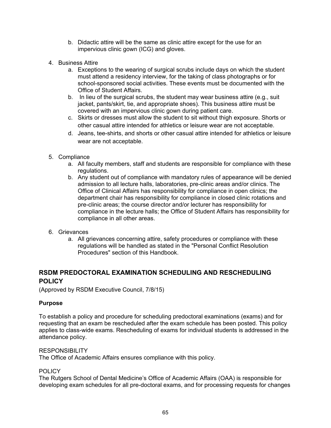- b. Didactic attire will be the same as clinic attire except for the use for an impervious clinic gown (ICG) and gloves.
- 4. Business Attire
	- a. Exceptions to the wearing of surgical scrubs include days on which the student must attend a residency interview, for the taking of class photographs or for school-sponsored social activities. These events must be documented with the Office of Student Affairs.
	- b. In lieu of the surgical scrubs, the student may wear business attire (e.g., suit jacket, pants/skirt, tie, and appropriate shoes). This business attire must be covered with an impervious clinic gown during patient care.
	- c. Skirts or dresses must allow the student to sit without thigh exposure. Shorts or other casual attire intended for athletics or leisure wear are not acceptable.
	- d. Jeans, tee-shirts, and shorts or other casual attire intended for athletics or leisure wear are not acceptable.
- 5. Compliance
	- a. All faculty members, staff and students are responsible for compliance with these regulations.
	- b. Any student out of compliance with mandatory rules of appearance will be denied admission to all lecture halls, laboratories, pre-clinic areas and/or clinics. The Office of Clinical Affairs has responsibility for compliance in open clinics; the department chair has responsibility for compliance in closed clinic rotations and pre-clinic areas; the course director and/or lecturer has responsibility for compliance in the lecture halls; the Office of Student Affairs has responsibility for compliance in all other areas.
- 6. Grievances
	- a. All grievances concerning attire, safety procedures or compliance with these regulations will be handled as stated in the "Personal Conflict Resolution Procedures" section of this Handbook.

# **RSDM PREDOCTORAL EXAMINATION SCHEDULING AND RESCHEDULING POLICY**

(Approved by RSDM Executive Council, 7/8/15)

## **Purpose**

To establish a policy and procedure for scheduling predoctoral examinations (exams) and for requesting that an exam be rescheduled after the exam schedule has been posted. This policy applies to class-wide exams. Rescheduling of exams for individual students is addressed in the attendance policy.

#### **RESPONSIBILITY**

The Office of Academic Affairs ensures compliance with this policy.

#### **POLICY**

The Rutgers School of Dental Medicine's Office of Academic Affairs (OAA) is responsible for developing exam schedules for all pre-doctoral exams, and for processing requests for changes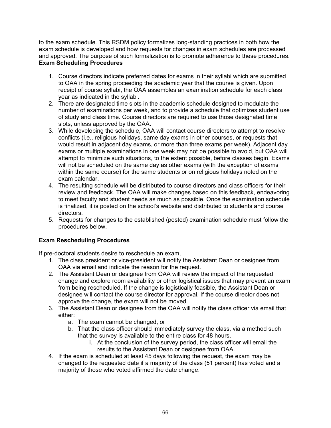to the exam schedule. This RSDM policy formalizes long-standing practices in both how the exam schedule is developed and how requests for changes in exam schedules are processed and approved. The purpose of such formalization is to promote adherence to these procedures. **Exam Scheduling Procedures**

- 1. Course directors indicate preferred dates for exams in their syllabi which are submitted to OAA in the spring proceeding the academic year that the course is given. Upon receipt of course syllabi, the OAA assembles an examination schedule for each class year as indicated in the syllabi.
- 2. There are designated time slots in the academic schedule designed to modulate the number of examinations per week, and to provide a schedule that optimizes student use of study and class time. Course directors are required to use those designated time slots, unless approved by the OAA.
- 3. While developing the schedule, OAA will contact course directors to attempt to resolve conflicts (i.e., religious holidays, same day exams in other courses, or requests that would result in adjacent day exams, or more than three exams per week). Adjacent day exams or multiple examinations in one week may not be possible to avoid, but OAA will attempt to minimize such situations, to the extent possible, before classes begin. Exams will not be scheduled on the same day as other exams (with the exception of exams within the same course) for the same students or on religious holidays noted on the exam calendar.
- 4. The resulting schedule will be distributed to course directors and class officers for their review and feedback. The OAA will make changes based on this feedback, endeavoring to meet faculty and student needs as much as possible. Once the examination schedule is finalized, it is posted on the school's website and distributed to students and course directors.
- 5. Requests for changes to the established (posted) examination schedule must follow the procedures below.

# **Exam Rescheduling Procedures**

If pre-doctoral students desire to reschedule an exam,

- 1. The class president or vice-president will notify the Assistant Dean or designee from OAA via email and indicate the reason for the request.
- 2. The Assistant Dean or designee from OAA will review the impact of the requested change and explore room availability or other logistical issues that may prevent an exam from being rescheduled. If the change is logistically feasible, the Assistant Dean or designee will contact the course director for approval. If the course director does not approve the change, the exam will not be moved.
- 3. The Assistant Dean or designee from the OAA will notify the class officer via email that either:
	- a. The exam cannot be changed, or
	- b. That the class officer should immediately survey the class, via a method such that the survey is available to the entire class for 48 hours.
		- i. At the conclusion of the survey period, the class officer will email the results to the Assistant Dean or designee from OAA.
- 4. If the exam is scheduled at least 45 days following the request, the exam may be changed to the requested date if a majority of the class (51 percent) has voted and a majority of those who voted affirmed the date change.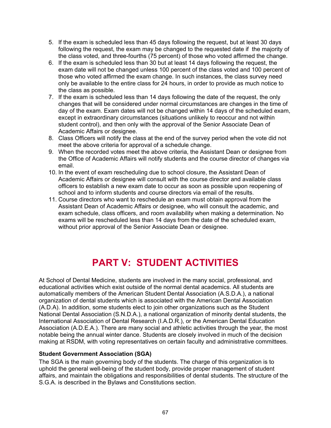- 5. If the exam is scheduled less than 45 days following the request, but at least 30 days following the request, the exam may be changed to the requested date if the majority of the class voted, and three-fourths (75 percent) of those who voted affirmed the change.
- 6. If the exam is scheduled less than 30 but at least 14 days following the request, the exam date will not be changed unless 100 percent of the class voted and 100 percent of those who voted affirmed the exam change. In such instances, the class survey need only be available to the entire class for 24 hours, in order to provide as much notice to the class as possible.
- 7. If the exam is scheduled less than 14 days following the date of the request, the only changes that will be considered under normal circumstances are changes in the time of day of the exam. Exam dates will not be changed within 14 days of the scheduled exam, except in extraordinary circumstances (situations unlikely to reoccur and not within student control), and then only with the approval of the Senior Associate Dean of Academic Affairs or designee.
- 8. Class Officers will notify the class at the end of the survey period when the vote did not meet the above criteria for approval of a schedule change.
- 9. When the recorded votes meet the above criteria, the Assistant Dean or designee from the Office of Academic Affairs will notify students and the course director of changes via email.
- 10. In the event of exam rescheduling due to school closure, the Assistant Dean of Academic Affairs or designee will consult with the course director and available class officers to establish a new exam date to occur as soon as possible upon reopening of school and to inform students and course directors via email of the results.
- 11. Course directors who want to reschedule an exam must obtain approval from the Assistant Dean of Academic Affairs or designee, who will consult the academic, and exam schedule, class officers, and room availability when making a determination. No exams will be rescheduled less than 14 days from the date of the scheduled exam, without prior approval of the Senior Associate Dean or designee.

# **PART V: STUDENT ACTIVITIES**

At School of Dental Medicine, students are involved in the many social, professional, and educational activities which exist outside of the normal dental academics. All students are automatically members of the American Student Dental Association (A.S.D.A.), a national organization of dental students which is associated with the American Dental Association (A.D.A). In addition, some students elect to join other organizations such as the Student National Dental Association (S.N.D.A.), a national organization of minority dental students, the International Association of Dental Research (I.A.D.R.), or the American Dental Education Association (A.D.E.A.). There are many social and athletic activities through the year, the most notable being the annual winter dance. Students are closely involved in much of the decision making at RSDM, with voting representatives on certain faculty and administrative committees.

## **Student Government Association (SGA)**

The SGA is the main governing body of the students. The charge of this organization is to uphold the general well-being of the student body, provide proper management of student affairs, and maintain the obligations and responsibilities of dental students. The structure of the S.G.A. is described in the Bylaws and Constitutions section.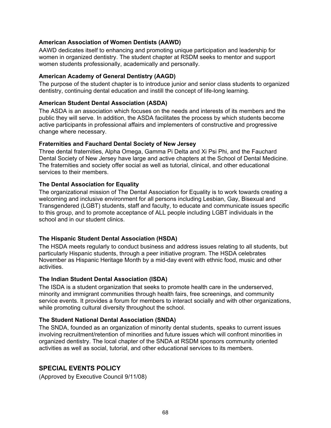## **American Association of Women Dentists (AAWD)**

AAWD dedicates itself to enhancing and promoting unique participation and leadership for women in organized dentistry. The student chapter at RSDM seeks to mentor and support women students professionally, academically and personally.

#### **American Academy of General Dentistry (AAGD)**

The purpose of the student chapter is to introduce junior and senior class students to organized dentistry, continuing dental education and instill the concept of life-long learning.

#### **American Student Dental Association (ASDA)**

The ASDA is an association which focuses on the needs and interests of its members and the public they will serve. In addition, the ASDA facilitates the process by which students become active participants in professional affairs and implementers of constructive and progressive change where necessary.

#### **Fraternities and Fauchard Dental Society of New Jersey**

Three dental fraternities, Alpha Omega, Gamma Pi Delta and Xi Psi Phi, and the Fauchard Dental Society of New Jersey have large and active chapters at the School of Dental Medicine. The fraternities and society offer social as well as tutorial, clinical, and other educational services to their members.

## **The Dental Association for Equality**

The organizational mission of The Dental Association for Equality is to work towards creating a welcoming and inclusive environment for all persons including Lesbian, Gay, Bisexual and Transgendered (LGBT) students, staff and faculty, to educate and communicate issues specific to this group, and to promote acceptance of ALL people including LGBT individuals in the school and in our student clinics.

## **The Hispanic Student Dental Association (HSDA)**

The HSDA meets regularly to conduct business and address issues relating to all students, but particularly Hispanic students, through a peer initiative program. The HSDA celebrates November as Hispanic Heritage Month by a mid-day event with ethnic food, music and other activities.

#### **The Indian Student Dental Association (ISDA)**

The ISDA is a student organization that seeks to promote health care in the underserved, minority and immigrant communities through health fairs, free screenings, and community service events. It provides a forum for members to interact socially and with other organizations, while promoting cultural diversity throughout the school.

## **The Student National Dental Association (SNDA)**

The SNDA, founded as an organization of minority dental students, speaks to current issues involving recruitment/retention of minorities and future issues which will confront minorities in organized dentistry. The local chapter of the SNDA at RSDM sponsors community oriented activities as well as social, tutorial, and other educational services to its members.

## **SPECIAL EVENTS POLICY**

(Approved by Executive Council 9/11/08)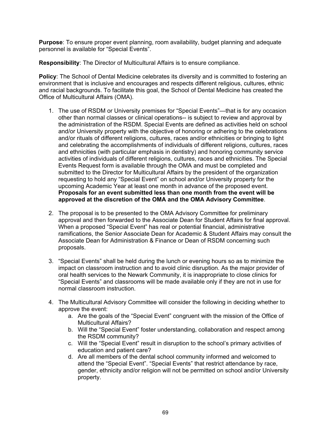**Purpose**: To ensure proper event planning, room availability, budget planning and adequate personnel is available for "Special Events".

**Responsibility**: The Director of Multicultural Affairs is to ensure compliance.

**Policy**: The School of Dental Medicine celebrates its diversity and is committed to fostering an environment that is inclusive and encourages and respects different religious, cultures, ethnic and racial backgrounds. To facilitate this goal, the School of Dental Medicine has created the Office of Multicultural Affairs (OMA).

- 1. The use of RSDM or University premises for "Special Events"—that is for any occasion other than normal classes or clinical operations-- is subject to review and approval by the administration of the RSDM. Special Events are defined as activities held on school and/or University property with the objective of honoring or adhering to the celebrations and/or rituals of different religions, cultures, races and/or ethnicities or bringing to light and celebrating the accomplishments of individuals of different religions, cultures, races and ethnicities (with particular emphasis in dentistry) and honoring community service activities of individuals of different religions, cultures, races and ethnicities. The Special Events Request form is available through the OMA and must be completed and submitted to the Director for Multicultural Affairs by the president of the organization requesting to hold any "Special Event" on school and/or University property for the upcoming Academic Year at least one month in advance of the proposed event. **Proposals for an event submitted less than one month from the event will be approved at the discretion of the OMA and the OMA Advisory Committee**.
- 2. The proposal is to be presented to the OMA Advisory Committee for preliminary approval and then forwarded to the Associate Dean for Student Affairs for final approval. When a proposed "Special Event" has real or potential financial, administrative ramifications, the Senior Associate Dean for Academic & Student Affairs may consult the Associate Dean for Administration & Finance or Dean of RSDM concerning such proposals.
- 3. "Special Events" shall be held during the lunch or evening hours so as to minimize the impact on classroom instruction and to avoid clinic disruption. As the major provider of oral health services to the Newark Community, it is inappropriate to close clinics for "Special Events" and classrooms will be made available only if they are not in use for normal classroom instruction.
- 4. The Multicultural Advisory Committee will consider the following in deciding whether to approve the event:
	- a. Are the goals of the "Special Event" congruent with the mission of the Office of Multicultural Affairs?
	- b. Will the "Special Event" foster understanding, collaboration and respect among the RSDM community?
	- c. Will the "Special Event" result in disruption to the school's primary activities of education and patient care?
	- d. Are all members of the dental school community informed and welcomed to attend the "Special Event". "Special Events" that restrict attendance by race, gender, ethnicity and/or religion will not be permitted on school and/or University property.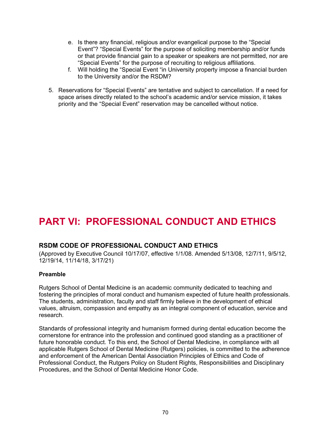- e. Is there any financial, religious and/or evangelical purpose to the "Special Event"? "Special Events" for the purpose of soliciting membership and/or funds or that provide financial gain to a speaker or speakers are not permitted, nor are "Special Events" for the purpose of recruiting to religious affiliations.
- f. Will holding the "Special Event "in University property impose a financial burden to the University and/or the RSDM?
- 5. Reservations for "Special Events" are tentative and subject to cancellation. If a need for space arises directly related to the school's academic and/or service mission, it takes priority and the "Special Event" reservation may be cancelled without notice.

# **PART VI: PROFESSIONAL CONDUCT AND ETHICS**

## **RSDM CODE OF PROFESSIONAL CONDUCT AND ETHICS**

(Approved by Executive Council 10/17/07, effective 1/1/08. Amended 5/13/08, 12/7/11, 9/5/12, 12/19/14, 11/14/18, 3/17/21)

#### **Preamble**

Rutgers School of Dental Medicine is an academic community dedicated to teaching and fostering the principles of moral conduct and humanism expected of future health professionals. The students, administration, faculty and staff firmly believe in the development of ethical values, altruism, compassion and empathy as an integral component of education, service and research.

Standards of professional integrity and humanism formed during dental education become the cornerstone for entrance into the profession and continued good standing as a practitioner of future honorable conduct. To this end, the School of Dental Medicine, in compliance with all applicable Rutgers School of Dental Medicine (Rutgers) policies, is committed to the adherence and enforcement of the American Dental Association Principles of Ethics and Code of Professional Conduct, the Rutgers Policy on Student Rights, Responsibilities and Disciplinary Procedures, and the School of Dental Medicine Honor Code.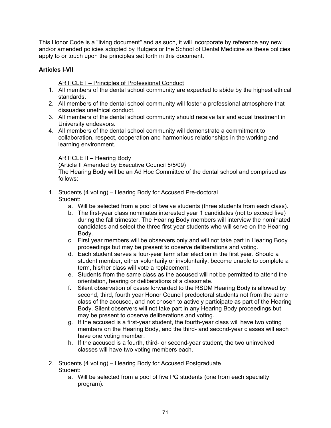This Honor Code is a "living document" and as such, it will incorporate by reference any new and/or amended policies adopted by Rutgers or the School of Dental Medicine as these policies apply to or touch upon the principles set forth in this document.

## **Articles I-VII**

**ARTICLE I - Principles of Professional Conduct** 

- 1. All members of the dental school community are expected to abide by the highest ethical standards.
- 2. All members of the dental school community will foster a professional atmosphere that dissuades unethical conduct.
- 3. All members of the dental school community should receive fair and equal treatment in University endeavors.
- 4. All members of the dental school community will demonstrate a commitment to collaboration, respect, cooperation and harmonious relationships in the working and learning environment.

## ARTICLE II – Hearing Body

(Article II Amended by Executive Council 5/5/09) The Hearing Body will be an Ad Hoc Committee of the dental school and comprised as follows:

- 1. Students (4 voting) Hearing Body for Accused Pre-doctoral Student:
	- a. Will be selected from a pool of twelve students (three students from each class).
	- b. The first-year class nominates interested year 1 candidates (not to exceed five) during the fall trimester. The Hearing Body members will interview the nominated candidates and select the three first year students who will serve on the Hearing Body.
	- c. First year members will be observers only and will not take part in Hearing Body proceedings but may be present to observe deliberations and voting.
	- d. Each student serves a four-year term after election in the first year. Should a student member, either voluntarily or involuntarily, become unable to complete a term, his/her class will vote a replacement.
	- e. Students from the same class as the accused will not be permitted to attend the orientation, hearing or deliberations of a classmate.
	- f. Silent observation of cases forwarded to the RSDM Hearing Body is allowed by second, third, fourth year Honor Council predoctoral students not from the same class of the accused, and not chosen to actively participate as part of the Hearing Body. Silent observers will not take part in any Hearing Body proceedings but may be present to observe deliberations and voting.
	- g. If the accused is a first-year student, the fourth-year class will have two voting members on the Hearing Body, and the third- and second-year classes will each have one voting member.
	- h. If the accused is a fourth, third- or second-year student, the two uninvolved classes will have two voting members each.
- 2. Students (4 voting) Hearing Body for Accused Postgraduate Student:
	- a. Will be selected from a pool of five PG students (one from each specialty program).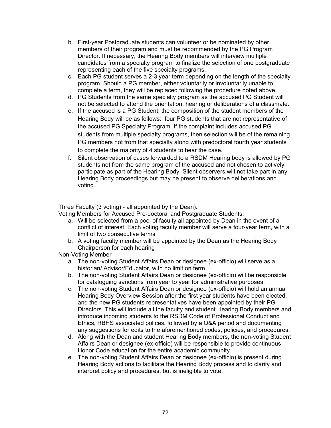- b. First-year Postgraduate students can volunteer or be nominated by other members of their program and must be recommended by the PG Program Director. If necessary, the Hearing Body members will interview multiple candidates from a specialty program to finalize the selection of one postgraduate representing each of the five specialty programs.
- c. Each PG student serves a 2-3 year term depending on the length of the specialty program. Should a PG member, either voluntarily or involuntarily unable to complete a term, they will be replaced following the procedure noted above.
- d. PG Students from the same specialty program as the accused PG Student will not be selected to attend the orientation, hearing or deliberations of a classmate.
- e. If the accused is a PG Student, the composition of the student members of the Hearing Body will be as follows: four PG students that are not representative of the accused PG Specialty Program. If the complaint includes accused PG students from multiple specialty programs, then selection will be of the remaining PG members not from that specialty along with predoctoral fourth year students to complete the majority of 4 students to hear the case.
- f. Silent observation of cases forwarded to a RSDM Hearing body is allowed by PG students not from the same program of the accused and not chosen to actively participate as part of the Hearing Body. Silent observers will not take part in any Hearing Body proceedings but may be present to observe deliberations and voting.

Three Faculty (3 voting) - all appointed by the Dean).

Voting Members for Accused Pre-doctoral and Postgraduate Students:

- a. Will be selected from a pool of faculty all appointed by Dean in the event of a conflict of interest. Each voting faculty member will serve a four-year term, with a limit of two consecutive terms
- b. A voting faculty member will be appointed by the Dean as the Hearing Body Chairperson for each hearing

Non-Voting Member

- a. The non-voting Student Affairs Dean or designee (ex-officio) will serve as a historian/ Advisor/Educator, with no limit on term.
- b. The non-voting Student Affairs Dean or designee (ex-officio) will be responsible for cataloguing sanctions from year to year for administrative purposes.
- c. The non-voting Student Affairs Dean or designee (ex-officio) will hold an annual Hearing Body Overview Session after the first year students have been elected, and the new PG students representatives have been appointed by their PG Directors. This will include all the faculty and student Hearing Body members and introduce incoming students to the RSDM Code of Professional Conduct and Ethics, RBHS associated polices, followed by a Q&A period and documenting any suggestions for edits to the aforementioned codes, policies, and procedures.
- d. Along with the Dean and student Hearing Body members, the non-voting Student Affairs Dean or designee (ex-officio) will be responsible to provide continuous Honor Code education for the entire academic community.
- e. The non-voting Student Affairs Dean or designee (ex-officio) is present during Hearing Body actions to facilitate the Hearing Body process and to clarify and interpret policy and procedures, but is ineligible to vote.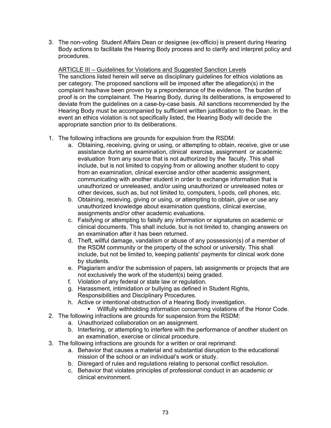3. The non-voting Student Affairs Dean or designee (ex-officio) is present during Hearing Body actions to facilitate the Hearing Body process and to clarify and interpret policy and procedures.

ARTICLE III – Guidelines for Violations and Suggested Sanction Levels The sanctions listed herein will serve as disciplinary guidelines for ethics violations as per category. The proposed sanctions will be imposed after the allegation(s) in the complaint has/have been proven by a preponderance of the evidence. The burden of proof is on the complainant. The Hearing Body, during its deliberations, is empowered to deviate from the guidelines on a case-by-case basis. All sanctions recommended by the Hearing Body must be accompanied by sufficient written justification to the Dean. In the event an ethics violation is not specifically listed, the Hearing Body will decide the appropriate sanction prior to its deliberations.

- 1. The following infractions are grounds for expulsion from the RSDM:
	- a. Obtaining, receiving, giving or using, or attempting to obtain, receive, give or use assistance during an examination, clinical exercise, assignment or academic evaluation from any source that is not authorized by the faculty. This shall include, but is not limited to copying from or allowing another student to copy from an examination, clinical exercise and/or other academic assignment, communicating with another student in order to exchange information that is unauthorized or unreleased, and/or using unauthorized or unreleased notes or other devices, such as, but not limited to, computers, I-pods, cell phones, etc.
	- b. Obtaining, receiving, giving or using, or attempting to obtain, give or use any unauthorized knowledge about examination questions, clinical exercise, assignments and/or other academic evaluations.
	- c. Falsifying or attempting to falsify any information or signatures on academic or clinical documents. This shall include, but is not limited to, changing answers on an examination after it has been returned.
	- d. Theft, willful damage, vandalism or abuse of any possession(s) of a member of the RSDM community or the property of the school or university. This shall include, but not be limited to, keeping patients' payments for clinical work done by students.
	- e. Plagiarism and/or the submission of papers, lab assignments or projects that are not exclusively the work of the student(s) being graded.
	- f. Violation of any federal or state law or regulation.
	- g. Harassment, intimidation or bullying as defined in Student Rights, Responsibilities and Disciplinary Procedures.
	- h. Active or intentional obstruction of a Hearing Body investigation.
		- Willfully withholding information concerning violations of the Honor Code.
- 2. The following infractions are grounds for suspension from the RSDM:
	- a. Unauthorized collaboration on an assignment.
	- b. Interfering, or attempting to interfere with the performance of another student on an examination, exercise or clinical procedure.
- 3. The following infractions are grounds for a written or oral reprimand:
	- a. Behavior that causes a material and substantial disruption to the educational mission of the school or an individual's work or study.
	- b. Disregard of rules and regulations relating to personal conflict resolution.
	- c. Behavior that violates principles of professional conduct in an academic or clinical environment.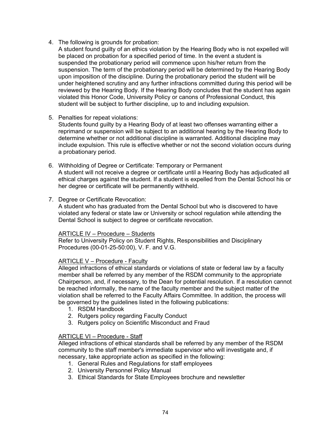- 4. The following is grounds for probation:
	- A student found guilty of an ethics violation by the Hearing Body who is not expelled will be placed on probation for a specified period of time. In the event a student is suspended the probationary period will commence upon his/her return from the suspension. The term of the probationary period will be determined by the Hearing Body upon imposition of the discipline. During the probationary period the student will be under heightened scrutiny and any further infractions committed during this period will be reviewed by the Hearing Body. If the Hearing Body concludes that the student has again violated this Honor Code, University Policy or canons of Professional Conduct, this student will be subject to further discipline, up to and including expulsion.

# 5. Penalties for repeat violations:

Students found guilty by a Hearing Body of at least two offenses warranting either a reprimand or suspension will be subject to an additional hearing by the Hearing Body to determine whether or not additional discipline is warranted. Additional discipline may include expulsion. This rule is effective whether or not the second violation occurs during a probationary period.

- 6. Withholding of Degree or Certificate: Temporary or Permanent A student will not receive a degree or certificate until a Hearing Body has adjudicated all ethical charges against the student. If a student is expelled from the Dental School his or her degree or certificate will be permanently withheld.
- 7. Degree or Certificate Revocation:

A student who has graduated from the Dental School but who is discovered to have violated any federal or state law or University or school regulation while attending the Dental School is subject to degree or certificate revocation.

#### ARTICLE IV – Procedure – Students

Refer to University Policy on Student Rights, Responsibilities and Disciplinary Procedures (00-01-25-50:00), V. F. and V.G.

# ARTICLE V – Procedure - Faculty

Alleged infractions of ethical standards or violations of state or federal law by a faculty member shall be referred by any member of the RSDM community to the appropriate Chairperson, and, if necessary, to the Dean for potential resolution. If a resolution cannot be reached informally, the name of the faculty member and the subject matter of the violation shall be referred to the Faculty Affairs Committee. In addition, the process will be governed by the guidelines listed in the following publications:

- 1. RSDM Handbook
- 2. Rutgers policy regarding Faculty Conduct
- 3. Rutgers policy on Scientific Misconduct and Fraud

# ARTICLE VI – Procedure - Staff

Alleged infractions of ethical standards shall be referred by any member of the RSDM community to the staff member's immediate supervisor who will investigate and, if necessary, take appropriate action as specified in the following:

- 1. General Rules and Regulations for staff employees
- 2. University Personnel Policy Manual
- 3. Ethical Standards for State Employees brochure and newsletter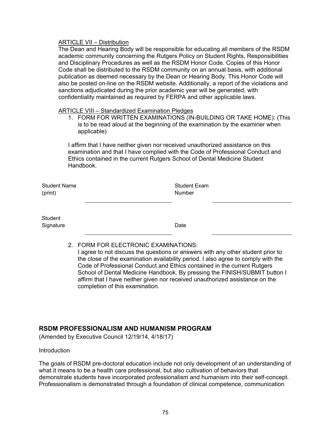# **ARTICLE VII - Distribution**

The Dean and Hearing Body will be responsible for educating all members of the RSDM academic community concerning the Rutgers Policy on Student Rights, Responsibilities and Disciplinary Procedures as well as the RSDM Honor Code. Copies of this Honor Code shall be distributed to the RSDM community on an annual basis, with additional publication as deemed necessary by the Dean or Hearing Body. This Honor Code will also be posted on-line on the RSDM website. Additionally, a report of the violations and sanctions adjudicated during the prior academic year will be generated, with confidentiality maintained as required by FERPA and other applicable laws.

#### ARTICLE VIII – Standardized Examination Pledges

1. FORM FOR WRITTEN EXAMINATIONS (IN-BUILDING OR TAKE HOME): (This is to be read aloud at the beginning of the examination by the examiner when applicable)

I affirm that I have neither given nor received unauthorized assistance on this examination and that I have complied with the Code of Professional Conduct and Ethics contained in the current Rutgers School of Dental Medicine Student Handbook.

Student Name (print)

Student Exam Number

**Student** Signature Date **Date** 

2. FORM FOR ELECTRONIC EXAMINATIONS:

I agree to not discuss the questions or answers with any other student prior to the close of the examination availability period. I also agree to comply with the Code of Professional Conduct and Ethics contained in the current Rutgers School of Dental Medicine Handbook. By pressing the FINISH/SUBMIT button I affirm that I have neither given nor received unauthorized assistance on the completion of this examination.

# **RSDM PROFESSIONALISM AND HUMANISM PROGRAM**

(Amended by Executive Council 12/19/14, 4/18/17)

Introduction

The goals of RSDM pre-doctoral education include not only development of an understanding of what it means to be a health care professional, but also cultivation of behaviors that demonstrate students have incorporated professionalism and humanism into their self-concept. Professionalism is demonstrated through a foundation of clinical competence, communication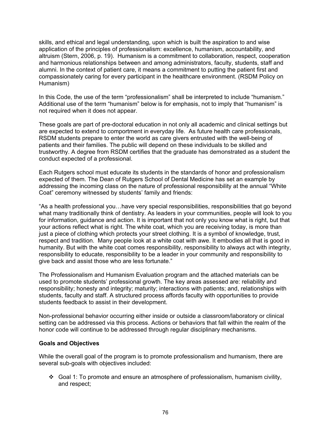skills, and ethical and legal understanding, upon which is built the aspiration to and wise application of the principles of professionalism: excellence, humanism, accountability, and altruism (Stern, 2006, p. 19). Humanism is a commitment to collaboration, respect, cooperation and harmonious relationships between and among administrators, faculty, students, staff and alumni. In the context of patient care, it means a commitment to putting the patient first and compassionately caring for every participant in the healthcare environment. (RSDM Policy on Humanism)

In this Code, the use of the term "professionalism" shall be interpreted to include "humanism." Additional use of the term "humanism" below is for emphasis, not to imply that "humanism" is not required when it does not appear.

These goals are part of pre-doctoral education in not only all academic and clinical settings but are expected to extend to comportment in everyday life. As future health care professionals, RSDM students prepare to enter the world as care givers entrusted with the well-being of patients and their families. The public will depend on these individuals to be skilled and trustworthy. A degree from RSDM certifies that the graduate has demonstrated as a student the conduct expected of a professional.

Each Rutgers school must educate its students in the standards of honor and professionalism expected of them. The Dean of Rutgers School of Dental Medicine has set an example by addressing the incoming class on the nature of professional responsibility at the annual "White Coat" ceremony witnessed by students' family and friends:

"As a health professional you…have very special responsibilities, responsibilities that go beyond what many traditionally think of dentistry. As leaders in your communities, people will look to you for information, guidance and action. It is important that not only you know what is right, but that your actions reflect what is right. The white coat, which you are receiving today, is more than just a piece of clothing which protects your street clothing. It is a symbol of knowledge, trust, respect and tradition. Many people look at a white coat with awe. It embodies all that is good in humanity. But with the white coat comes responsibility, responsibility to always act with integrity, responsibility to educate, responsibility to be a leader in your community and responsibility to give back and assist those who are less fortunate."

The Professionalism and Humanism Evaluation program and the attached materials can be used to promote students' professional growth. The key areas assessed are: reliability and responsibility; honesty and integrity; maturity; interactions with patients; and, relationships with students, faculty and staff. A structured process affords faculty with opportunities to provide students feedback to assist in their development.

Non-professional behavior occurring either inside or outside a classroom/laboratory or clinical setting can be addressed via this process. Actions or behaviors that fall within the realm of the honor code will continue to be addressed through regular disciplinary mechanisms.

#### **Goals and Objectives**

While the overall goal of the program is to promote professionalism and humanism, there are several sub-goals with objectives included:

Goal 1: To promote and ensure an atmosphere of professionalism, humanism civility, and respect;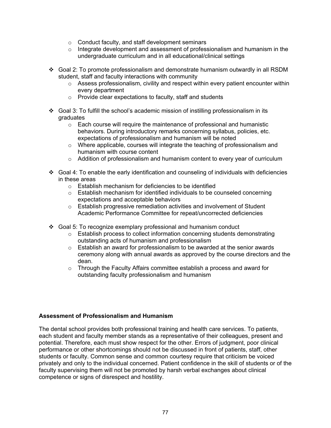- o Conduct faculty, and staff development seminars
- $\circ$  Integrate development and assessment of professionalism and humanism in the undergraduate curriculum and in all educational/clinical settings
- Goal 2: To promote professionalism and demonstrate humanism outwardly in all RSDM student, staff and faculty interactions with community
	- o Assess professionalism, civility and respect within every patient encounter within every department
	- o Provide clear expectations to faculty, staff and students
- Goal 3: To fulfill the school's academic mission of instilling professionalism in its graduates
	- $\circ$  Each course will require the maintenance of professional and humanistic behaviors. During introductory remarks concerning syllabus, policies, etc. expectations of professionalism and humanism will be noted
	- $\circ$  Where applicable, courses will integrate the teaching of professionalism and humanism with course content
	- $\circ$  Addition of professionalism and humanism content to every year of curriculum
- Goal 4: To enable the early identification and counseling of individuals with deficiencies in these areas
	- $\circ$  Establish mechanism for deficiencies to be identified
	- $\circ$  Establish mechanism for identified individuals to be counseled concerning expectations and acceptable behaviors
	- $\circ$  Establish progressive remediation activities and involvement of Student Academic Performance Committee for repeat/uncorrected deficiencies
- $\div$  Goal 5: To recognize exemplary professional and humanism conduct
	- $\circ$  Establish process to collect information concerning students demonstrating outstanding acts of humanism and professionalism
	- $\circ$  Establish an award for professionalism to be awarded at the senior awards ceremony along with annual awards as approved by the course directors and the dean.
	- o Through the Faculty Affairs committee establish a process and award for outstanding faculty professionalism and humanism

# **Assessment of Professionalism and Humanism**

The dental school provides both professional training and health care services. To patients, each student and faculty member stands as a representative of their colleagues, present and potential. Therefore, each must show respect for the other. Errors of judgment, poor clinical performance or other shortcomings should not be discussed in front of patients, staff, other students or faculty. Common sense and common courtesy require that criticism be voiced privately and only to the individual concerned. Patient confidence in the skill of students or of the faculty supervising them will not be promoted by harsh verbal exchanges about clinical competence or signs of disrespect and hostility.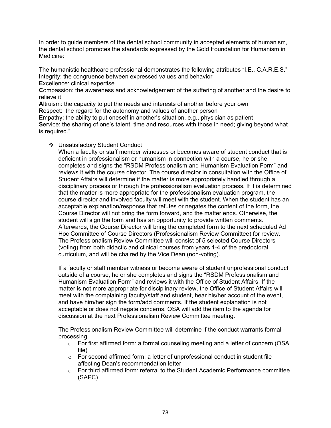In order to guide members of the dental school community in accepted elements of humanism, the dental school promotes the standards expressed by the Gold Foundation for Humanism in Medicine:

The humanistic healthcare professional demonstrates the following attributes "I.E., C.A.R.E.S." **I**ntegrity: the congruence between expressed values and behavior

**E**xcellence: clinical expertise

**C**ompassion: the awareness and acknowledgement of the suffering of another and the desire to relieve it

**A**ltruism: the capacity to put the needs and interests of another before your own

**R**espect: the regard for the autonomy and values of another person

**E**mpathy: the ability to put oneself in another's situation, e.g., physician as patient **S**ervice: the sharing of one's talent, time and resources with those in need; giving beyond what is required."

# Unsatisfactory Student Conduct

When a faculty or staff member witnesses or becomes aware of student conduct that is deficient in professionalism or humanism in connection with a course, he or she completes and signs the "RSDM Professionalism and Humanism Evaluation Form" and reviews it with the course director. The course director in consultation with the Office of Student Affairs will determine if the matter is more appropriately handled through a disciplinary process or through the professionalism evaluation process. If it is determined that the matter is more appropriate for the professionalism evaluation program, the course director and involved faculty will meet with the student. When the student has an acceptable explanation/response that refutes or negates the content of the form, the Course Director will not bring the form forward, and the matter ends. Otherwise, the student will sign the form and has an opportunity to provide written comments. Afterwards, the Course Director will bring the completed form to the next scheduled Ad Hoc Committee of Course Directors (Professionalism Review Committee) for review. The Professionalism Review Committee will consist of 5 selected Course Directors (voting) from both didactic and clinical courses from years 1-4 of the predoctoral curriculum, and will be chaired by the Vice Dean (non-voting).

If a faculty or staff member witness or become aware of student unprofessional conduct outside of a course, he or she completes and signs the "RSDM Professionalism and Humanism Evaluation Form" and reviews it with the Office of Student Affairs. If the matter is not more appropriate for disciplinary review, the Office of Student Affairs will meet with the complaining faculty/staff and student, hear his/her account of the event, and have him/her sign the form/add comments. If the student explanation is not acceptable or does not negate concerns, OSA will add the item to the agenda for discussion at the next Professionalism Review Committee meeting.

The Professionalism Review Committee will determine if the conduct warrants formal processing.

- $\circ$  For first affirmed form: a formal counseling meeting and a letter of concern (OSA file)
- $\circ$  For second affirmed form: a letter of unprofessional conduct in student file affecting Dean's recommendation letter
- $\circ$  For third affirmed form: referral to the Student Academic Performance committee (SAPC)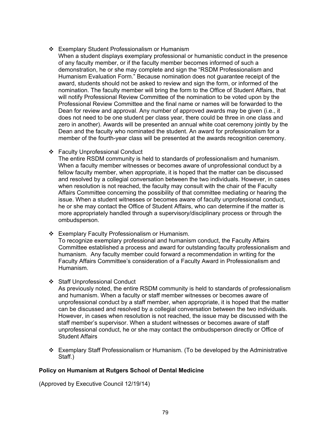- Exemplary Student Professionalism or Humanism
	- When a student displays exemplary professional or humanistic conduct in the presence of any faculty member, or if the faculty member becomes informed of such a demonstration, he or she may complete and sign the "RSDM Professionalism and Humanism Evaluation Form." Because nomination does not guarantee receipt of the award, students should not be asked to review and sign the form, or informed of the nomination. The faculty member will bring the form to the Office of Student Affairs, that will notify Professional Review Committee of the nomination to be voted upon by the Professional Review Committee and the final name or names will be forwarded to the Dean for review and approval. Any number of approved awards may be given (i.e., it does not need to be one student per class year, there could be three in one class and zero in another). Awards will be presented an annual white coat ceremony jointly by the Dean and the faculty who nominated the student. An award for professionalism for a member of the fourth-year class will be presented at the awards recognition ceremony.

Faculty Unprofessional Conduct

The entire RSDM community is held to standards of professionalism and humanism. When a faculty member witnesses or becomes aware of unprofessional conduct by a fellow faculty member, when appropriate, it is hoped that the matter can be discussed and resolved by a collegial conversation between the two individuals. However, in cases when resolution is not reached, the faculty may consult with the chair of the Faculty Affairs Committee concerning the possibility of that committee mediating or hearing the issue. When a student witnesses or becomes aware of faculty unprofessional conduct, he or she may contact the Office of Student Affairs, who can determine if the matter is more appropriately handled through a supervisory/disciplinary process or through the ombudsperson.

Exemplary Faculty Professionalism or Humanism.

To recognize exemplary professional and humanism conduct, the Faculty Affairs Committee established a process and award for outstanding faculty professionalism and humanism. Any faculty member could forward a recommendation in writing for the Faculty Affairs Committee's consideration of a Faculty Award in Professionalism and Humanism.

Staff Unprofessional Conduct

As previously noted, the entire RSDM community is held to standards of professionalism and humanism. When a faculty or staff member witnesses or becomes aware of unprofessional conduct by a staff member, when appropriate, it is hoped that the matter can be discussed and resolved by a collegial conversation between the two individuals. However, in cases when resolution is not reached, the issue may be discussed with the staff member's supervisor. When a student witnesses or becomes aware of staff unprofessional conduct, he or she may contact the ombudsperson directly or Office of Student Affairs

 Exemplary Staff Professionalism or Humanism. (To be developed by the Administrative Staff.)

# **Policy on Humanism at Rutgers School of Dental Medicine**

(Approved by Executive Council 12/19/14)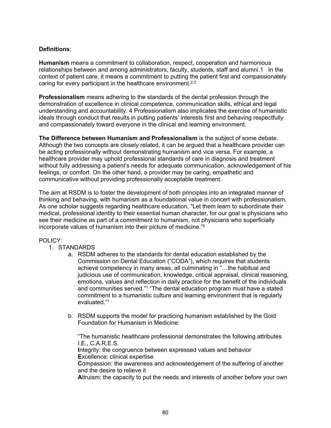# **Definitions**:

**Humanism** means a commitment to collaboration, respect, cooperation and harmonious relationships between and among administrators, faculty, students, staff and alumni.1 In the context of patient care, it means a commitment to putting the patient first and compassionately caring for every participant in the healthcare environment.<sup>2,3</sup>

**Professionalism** means adhering to the standards of the dental profession through the demonstration of excellence in clinical competence, communication skills, ethical and legal understanding and accountability. 4 Professionalism also implicates the exercise of humanistic ideals through conduct that results in putting patients' interests first and behaving respectfully and compassionately toward everyone in the clinical and learning environment.

**The Difference between Humanism and Professionalism** is the subject of some debate. Although the two concepts are closely related, it can be argued that a healthcare provider can be acting professionally without demonstrating humanism and vice versa. For example, a healthcare provider may uphold professional standards of care in diagnosis and treatment without fully addressing a patient's needs for adequate communication, acknowledgement of his feelings, or comfort. On the other hand, a provider may be caring, empathetic and communicative without providing professionally acceptable treatment.

The aim at RSDM is to foster the development of both principles into an integrated manner of thinking and behaving, with humanism as a foundational value in concert with professionalism. As one scholar suggests regarding healthcare education, "Let them learn to subordinate their medical, professional identity to their essential human character, for our goal is physicians who see their medicine as part of a commitment to humanism, not physicians who superficially incorporate values of humanism into their picture of medicine."5

# POLICY:

- 1. STANDARDS
	- a. RSDM adheres to the standards for dental education established by the Commission on Dental Education ("CODA"), which requires that students achieve competency in many areas, all culminating in "…the habitual and judicious use of communication, knowledge, critical appraisal, clinical reasoning, emotions, values and reflection in daily practice for the benefit of the individuals and communities served."1 "The dental education program must have a stated commitment to a humanistic culture and learning environment that is regularly evaluated."1
	- b. RSDM supports the model for practicing humanism established by the Gold Foundation for Humanism in Medicine:

"The humanistic healthcare professional demonstrates the following attributes I.E., C.A.R.E.S. **I**ntegrity: the congruence between expressed values and behavior **E**xcellence: clinical expertise **C**ompassion: the awareness and acknowledgement of the suffering of another and the desire to relieve it **A**ltruism: the capacity to put the needs and interests of another before your own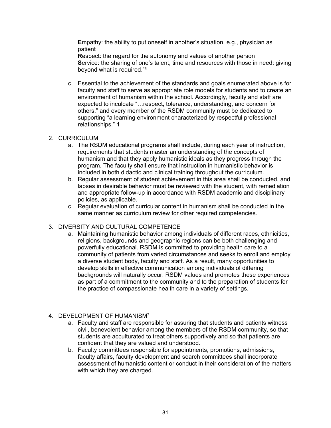**E**mpathy: the ability to put oneself in another's situation, e.g., physician as patient

**R**espect: the regard for the autonomy and values of another person **S**ervice: the sharing of one's talent, time and resources with those in need; giving beyond what is required."<sup>6</sup>

c. Essential to the achievement of the standards and goals enumerated above is for faculty and staff to serve as appropriate role models for students and to create an environment of humanism within the school. Accordingly, faculty and staff are expected to inculcate "…respect, tolerance, understanding, and concern for others," and every member of the RSDM community must be dedicated to supporting "a learning environment characterized by respectful professional relationships." 1

# 2. CURRICULUM

- a. The RSDM educational programs shall include, during each year of instruction, requirements that students master an understanding of the concepts of humanism and that they apply humanistic ideals as they progress through the program. The faculty shall ensure that instruction in humanistic behavior is included in both didactic and clinical training throughout the curriculum.
- b. Regular assessment of student achievement in this area shall be conducted, and lapses in desirable behavior must be reviewed with the student, with remediation and appropriate follow-up in accordance with RSDM academic and disciplinary policies, as applicable.
- c. Regular evaluation of curricular content in humanism shall be conducted in the same manner as curriculum review for other required competencies.

# 3. DIVERSITY AND CULTURAL COMPETENCE

a. Maintaining humanistic behavior among individuals of different races, ethnicities, religions, backgrounds and geographic regions can be both challenging and powerfully educational. RSDM is committed to providing health care to a community of patients from varied circumstances and seeks to enroll and employ a diverse student body, faculty and staff. As a result, many opportunities to develop skills in effective communication among individuals of differing backgrounds will naturally occur. RSDM values and promotes these experiences as part of a commitment to the community and to the preparation of students for the practice of compassionate health care in a variety of settings.

# 4. DEVELOPMENT OF HUMANISM7

- a. Faculty and staff are responsible for assuring that students and patients witness civil, benevolent behavior among the members of the RSDM community, so that students are acculturated to treat others supportively and so that patients are confident that they are valued and understood.
- b. Faculty committees responsible for appointments, promotions, admissions, faculty affairs, faculty development and search committees shall incorporate assessment of humanistic content or conduct in their consideration of the matters with which they are charged.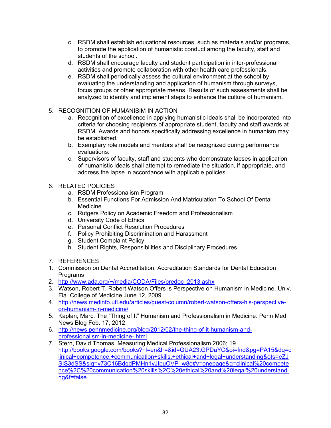- c. RSDM shall establish educational resources, such as materials and/or programs, to promote the application of humanistic conduct among the faculty, staff and students of the school.
- d. RSDM shall encourage faculty and student participation in inter-professional activities and promote collaboration with other health care professionals.
- e. RSDM shall periodically assess the cultural environment at the school by evaluating the understanding and application of humanism through surveys, focus groups or other appropriate means. Results of such assessments shall be analyzed to identify and implement steps to enhance the culture of humanism.
- 5. RECOGNITION OF HUMANISIM IN ACTION
	- a. Recognition of excellence in applying humanistic ideals shall be incorporated into criteria for choosing recipients of appropriate student, faculty and staff awards at RSDM. Awards and honors specifically addressing excellence in humanism may be established.
	- b. Exemplary role models and mentors shall be recognized during performance evaluations.
	- c. Supervisors of faculty, staff and students who demonstrate lapses in application of humanistic ideals shall attempt to remediate the situation, if appropriate, and address the lapse in accordance with applicable policies.
- 6. RELATED POLICIES
	- a. RSDM Professionalism Program
	- b. Essential Functions For Admission And Matriculation To School Of Dental Medicine
	- c. Rutgers Policy on Academic Freedom and Professionalism
	- d. University Code of Ethics
	- e. Personal Conflict Resolution Procedures
	- f. Policy Prohibiting Discrimination and Harassment
	- g. Student Complaint Policy
	- h. Student Rights, Responsibilities and Disciplinary Procedures
- 7. REFERENCES
- 1. Commission on Dental Accreditation. Accreditation Standards for Dental Education **Programs**
- 2. [http://www.ada.org/~/media/CODA/Files/predoc\\_2013.ashx](http://www.ada.org/%7E/media/CODA/Files/predoc_2013.ashx)
- 3. Watson, Robert T. Robert Watson Offers is Perspective on Humanism in Medicine. Univ. Fla .College of Medicine June 12, 2009
- 4. [http://news.medinfo.ufl.edu/articles/guest-column/robert-watson-offers-his-perspective](http://news.medinfo.ufl.edu/articles/guest-column/robert-watson-offers-his-perspective-on-humanism-in-medicine/)[on-humanism-in-medicine/](http://news.medinfo.ufl.edu/articles/guest-column/robert-watson-offers-his-perspective-on-humanism-in-medicine/)
- 5. Kaplan, Marc. The "Thing of It" Humanism and Professionalism in Medicine. Penn Med News Blog Feb. 17, 2012
- 6. [http://news.pennmedicine.org/blog/2012/02/the-thing-of-it-humanism-and](http://news.pennmedicine.org/blog/2012/02/the-thing-of-it-humanism-and-professionalism-in-medicine-.html)[professionalism-in-medicine-.html](http://news.pennmedicine.org/blog/2012/02/the-thing-of-it-humanism-and-professionalism-in-medicine-.html)
- 7. Stern, David Thomas. Measuring Medical Professionalism 2006; 19 [http://books.google.com/books?hl=en&lr=&id=GUA23tGPDaYC&oi=fnd&pg=PA15&dq=c](http://books.google.com/books?hl=en&lr=&id=GUA23tGPDaYC&oi=fnd&pg=PA15&dq=clinical+competence,+communication+skills,+ethical+and+legal+understanding&ots=eZJSIS3dSS&sig=y73C16BdqdPMHn1yJIpuOVP_w8o#v=onepage&q=clinical%20competence%2C%20communication%20skills%2C%20ethical%20and%20legal%20understanding&f=false) [linical+competence,+communication+skills,+ethical+and+legal+understanding&ots=eZJ](http://books.google.com/books?hl=en&lr=&id=GUA23tGPDaYC&oi=fnd&pg=PA15&dq=clinical+competence,+communication+skills,+ethical+and+legal+understanding&ots=eZJSIS3dSS&sig=y73C16BdqdPMHn1yJIpuOVP_w8o#v=onepage&q=clinical%20competence%2C%20communication%20skills%2C%20ethical%20and%20legal%20understanding&f=false) [SIS3dSS&sig=y73C16BdqdPMHn1yJIpuOVP\\_w8o#v=onepage&q=clinical%20compete](http://books.google.com/books?hl=en&lr=&id=GUA23tGPDaYC&oi=fnd&pg=PA15&dq=clinical+competence,+communication+skills,+ethical+and+legal+understanding&ots=eZJSIS3dSS&sig=y73C16BdqdPMHn1yJIpuOVP_w8o#v=onepage&q=clinical%20competence%2C%20communication%20skills%2C%20ethical%20and%20legal%20understanding&f=false) [nce%2C%20communication%20skills%2C%20ethical%20and%20legal%20understandi](http://books.google.com/books?hl=en&lr=&id=GUA23tGPDaYC&oi=fnd&pg=PA15&dq=clinical+competence,+communication+skills,+ethical+and+legal+understanding&ots=eZJSIS3dSS&sig=y73C16BdqdPMHn1yJIpuOVP_w8o#v=onepage&q=clinical%20competence%2C%20communication%20skills%2C%20ethical%20and%20legal%20understanding&f=false) [ng&f=false](http://books.google.com/books?hl=en&lr=&id=GUA23tGPDaYC&oi=fnd&pg=PA15&dq=clinical+competence,+communication+skills,+ethical+and+legal+understanding&ots=eZJSIS3dSS&sig=y73C16BdqdPMHn1yJIpuOVP_w8o#v=onepage&q=clinical%20competence%2C%20communication%20skills%2C%20ethical%20and%20legal%20understanding&f=false)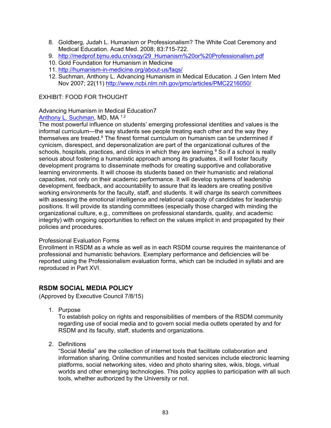- 8. Goldberg, Judah L. Humanism or Professionalism? The White Coat Ceremony and Medical Education. Acad Med. 2008; 83:715-722.
- 9. [http://medprof.bjmu.edu.cn/xsqy/29\\_Humanism%20or%20Professionalism.pdf](http://medprof.bjmu.edu.cn/xsqy/29_Humanism%20or%20Professionalism.pdf)
- 10. Gold Foundation for Humanism in Medicine
- 11. <http://humanism-in-medicine.org/about-us/faqs/>
- 12. Suchman, Anthony L. Advancing Humanism in Medical Education. J Gen Intern Med Nov 2007; 22(11)<http://www.ncbi.nlm.nih.gov/pmc/articles/PMC2216050/>

# EXHIBIT: FOOD FOR THOUGHT

# Advancing Humanism in Medical Education7

# [Anthony L. Suchman,](http://www.ncbi.nlm.nih.gov/pubmed/?term=Suchman%20AL%5Bauth%5D) MD, MA<sup>1,2</sup>

The most powerful influence on students' emerging professional identities and values is the informal curriculum—the way students see people treating each other and the way they themselves are treated.<sup>8</sup> The finest formal curriculum on humanism can be undermined if cynicism, disrespect, and depersonalization are part of the organizational cultures of the schools, hospitals, practices, and clinics in which they are learning.<sup>9</sup> So if a school is really serious about fostering a humanistic approach among its graduates, it will foster faculty development programs to disseminate methods for creating supportive and collaborative learning environments. It will choose its students based on their humanistic and relational capacities, not only on their academic performance. It will develop systems of leadership development, feedback, and accountability to assure that its leaders are creating positive working environments for the faculty, staff, and students. It will charge its search committees with assessing the emotional intelligence and relational capacity of candidates for leadership positions. It will provide its standing committees (especially those charged with minding the organizational culture, e.g., committees on professional standards, quality, and academic integrity) with ongoing opportunities to reflect on the values implicit in and propagated by their policies and procedures.

# Professional Evaluation Forms

Enrollment in RSDM as a whole as well as in each RSDM course requires the maintenance of professional and humanistic behaviors. Exemplary performance and deficiencies will be reported using the Professionalism evaluation forms, which can be included in syllabi and are reproduced in Part XVI.

# **RSDM SOCIAL MEDIA POLICY**

(Approved by Executive Council 7/8/15)

1. Purpose

To establish policy on rights and responsibilities of members of the RSDM community regarding use of social media and to govern social media outlets operated by and for RSDM and its faculty, staff, students and organizations.

2. Definitions

"Social Media" are the collection of internet tools that facilitate collaboration and information sharing. Online communities and hosted services include electronic learning platforms, social networking sites, video and photo sharing sites, wikis, blogs, virtual worlds and other emerging technologies. This policy applies to participation with all such tools, whether authorized by the University or not.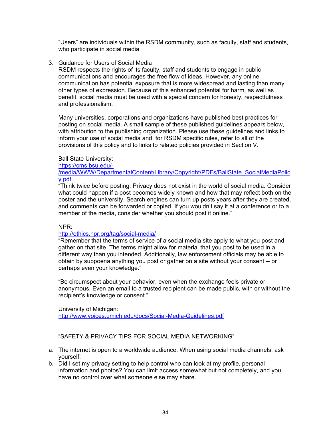"Users" are individuals within the RSDM community, such as faculty, staff and students, who participate in social media.

3. Guidance for Users of Social Media

RSDM respects the rights of its faculty, staff and students to engage in public communications and encourages the free flow of ideas. However, any online communication has potential exposure that is more widespread and lasting than many other types of expression. Because of this enhanced potential for harm, as well as benefit, social media must be used with a special concern for honesty, respectfulness and professionalism.

Many universities, corporations and organizations have published best practices for posting on social media. A small sample of these published guidelines appears below, with attribution to the publishing organization. Please use these guidelines and links to inform your use of social media and, for RSDM specific rules, refer to all of the provisions of this policy and to links to related policies provided in Section V.

# Ball State University:

#### [https://cms.bsu.edu/-](https://cms.bsu.edu/-/media/WWW/DepartmentalContent/Library/Copyright/PDFs/BallState_SocialMediaPolicy.pdf)

[/media/WWW/DepartmentalContent/Library/Copyright/PDFs/BallState\\_SocialMediaPolic](https://cms.bsu.edu/-/media/WWW/DepartmentalContent/Library/Copyright/PDFs/BallState_SocialMediaPolicy.pdf) [y.pdf](https://cms.bsu.edu/-/media/WWW/DepartmentalContent/Library/Copyright/PDFs/BallState_SocialMediaPolicy.pdf)

"Think twice before posting: Privacy does not exist in the world of social media. Consider what could happen if a post becomes widely known and how that may reflect both on the poster and the university. Search engines can turn up posts years after they are created, and comments can be forwarded or copied. If you wouldn't say it at a conference or to a member of the media, consider whether you should post it online."

# NPR:

# <http://ethics.npr.org/tag/social-media/>

"Remember that the terms of service of a social media site apply to what you post and gather on that site. The terms might allow for material that you post to be used in a different way than you intended. Additionally, law enforcement officials may be able to obtain by subpoena anything you post or gather on a site without your consent -- or perhaps even your knowledge."

"Be circumspect about your behavior, even when the exchange feels private or anonymous. Even an email to a trusted recipient can be made public, with or without the recipient's knowledge or consent."

University of Michigan:

<http://www.voices.umich.edu/docs/Social-Media-Guidelines.pdf>

"SAFETY & PRIVACY TIPS FOR SOCIAL MEDIA NETWORKING"

- a. The internet is open to a worldwide audience. When using social media channels, ask yourself:
- b. Did I set my privacy setting to help control who can look at my profile, personal information and photos? You can limit access somewhat but not completely, and you have no control over what someone else may share.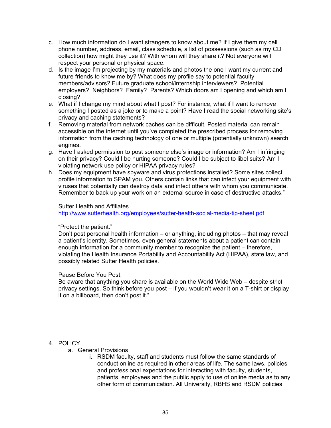- c. How much information do I want strangers to know about me? If I give them my cell phone number, address, email, class schedule, a list of possessions (such as my CD collection) how might they use it? With whom will they share it? Not everyone will respect your personal or physical space.
- d. Is the image I'm projecting by my materials and photos the one I want my current and future friends to know me by? What does my profile say to potential faculty members/advisors? Future graduate school/internship interviewers? Potential employers? Neighbors? Family? Parents? Which doors am I opening and which am I closing?
- e. What if I change my mind about what I post? For instance, what if I want to remove something I posted as a joke or to make a point? Have I read the social networking site's privacy and caching statements?
- f. Removing material from network caches can be difficult. Posted material can remain accessible on the internet until you've completed the prescribed process for removing information from the caching technology of one or multiple (potentially unknown) search engines.
- g. Have I asked permission to post someone else's image or information? Am I infringing on their privacy? Could I be hurting someone? Could I be subject to libel suits? Am I violating network use policy or HIPAA privacy rules?
- h. Does my equipment have spyware and virus protections installed? Some sites collect profile information to SPAM you. Others contain links that can infect your equipment with viruses that potentially can destroy data and infect others with whom you communicate. Remember to back up your work on an external source in case of destructive attacks."

#### Sutter Health and Affiliates

<http://www.sutterhealth.org/employees/sutter-health-social-media-tip-sheet.pdf>

# "Protect the patient."

Don't post personal health information – or anything, including photos – that may reveal a patient's identity. Sometimes, even general statements about a patient can contain enough information for a community member to recognize the patient – therefore, violating the Health Insurance Portability and Accountability Act (HIPAA), state law, and possibly related Sutter Health policies.

# Pause Before You Post.

Be aware that anything you share is available on the World Wide Web – despite strict privacy settings. So think before you post – if you wouldn't wear it on a T-shirt or display it on a billboard, then don't post it."

# 4. POLICY

- a. General Provisions
	- i. RSDM faculty, staff and students must follow the same standards of conduct online as required in other areas of life. The same laws, policies and professional expectations for interacting with faculty, students, patients, employees and the public apply to use of online media as to any other form of communication. All University, RBHS and RSDM policies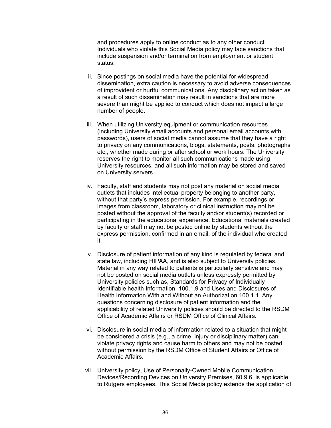and procedures apply to online conduct as to any other conduct. Individuals who violate this Social Media policy may face sanctions that include suspension and/or termination from employment or student status.

- ii. Since postings on social media have the potential for widespread dissemination, extra caution is necessary to avoid adverse consequences of improvident or hurtful communications. Any disciplinary action taken as a result of such dissemination may result in sanctions that are more severe than might be applied to conduct which does not impact a large number of people.
- iii. When utilizing University equipment or communication resources (including University email accounts and personal email accounts with passwords), users of social media cannot assume that they have a right to privacy on any communications, blogs, statements, posts, photographs etc., whether made during or after school or work hours. The University reserves the right to monitor all such communications made using University resources, and all such information may be stored and saved on University servers.
- iv. Faculty, staff and students may not post any material on social media outlets that includes intellectual property belonging to another party, without that party's express permission. For example, recordings or images from classroom, laboratory or clinical instruction may not be posted without the approval of the faculty and/or student(s) recorded or participating in the educational experience. Educational materials created by faculty or staff may not be posted online by students without the express permission, confirmed in an email, of the individual who created it.
- v. Disclosure of patient information of any kind is regulated by federal and state law, including HIPAA, and is also subject to University policies. Material in any way related to patients is particularly sensitive and may not be posted on social media outlets unless expressly permitted by University policies such as, Standards for Privacy of Individually Identifiable health Information, 100.1.9 and Uses and Disclosures of Health Information With and Without an Authorization 100.1.1. Any questions concerning disclosure of patient information and the applicability of related University policies should be directed to the RSDM Office of Academic Affairs or RSDM Office of Clinical Affairs.
- vi. Disclosure in social media of information related to a situation that might be considered a crisis (e.g., a crime, injury or disciplinary matter) can violate privacy rights and cause harm to others and may not be posted without permission by the RSDM Office of Student Affairs or Office of Academic Affairs.
- vii. University policy, Use of Personally-Owned Mobile Communication Devices/Recording Devices on University Premises, 60.9.6, is applicable to Rutgers employees. This Social Media policy extends the application of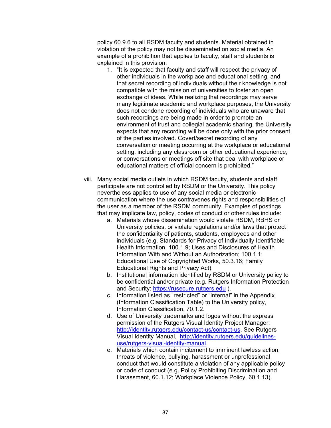policy 60.9.6 to all RSDM faculty and students. Material obtained in violation of the policy may not be disseminated on social media. An example of a prohibition that applies to faculty, staff and students is explained in this provision:

- 1. "It is expected that faculty and staff will respect the privacy of other individuals in the workplace and educational setting, and that secret recording of individuals without their knowledge is not compatible with the mission of universities to foster an open exchange of ideas. While realizing that recordings may serve many legitimate academic and workplace purposes, the University does not condone recording of individuals who are unaware that such recordings are being made In order to promote an environment of trust and collegial academic sharing, the University expects that any recording will be done only with the prior consent of the parties involved. Covert/secret recording of any conversation or meeting occurring at the workplace or educational setting, including any classroom or other educational experience, or conversations or meetings off site that deal with workplace or educational matters of official concern is prohibited."
- viii. Many social media outlets in which RSDM faculty, students and staff participate are not controlled by RSDM or the University. This policy nevertheless applies to use of any social media or electronic communication where the use contravenes rights and responsibilities of the user as a member of the RSDM community. Examples of postings that may implicate law, policy, codes of conduct or other rules include:
	- a. Materials whose dissemination would violate RSDM, RBHS or University policies, or violate regulations and/or laws that protect the confidentiality of patients, students, employees and other individuals (e.g. Standards for Privacy of Individually Identifiable Health Information, 100.1.9; Uses and Disclosures of Health Information With and Without an Authorization; 100.1.1; Educational Use of Copyrighted Works, 50.3.16; Family Educational Rights and Privacy Act).
	- b. Institutional information identified by RSDM or University policy to be confidential and/or private (e.g. Rutgers Information Protection and Security: [https://rusecure.rutgers.edu](https://rusecure.rutgers.edu/) ).
	- c. Information listed as "restricted" or "internal" in the Appendix (Information Classification Table) to the University policy, Information Classification, 70.1.2.
	- d. Use of University trademarks and logos without the express permission of the Rutgers Visual Identity Project Manager: [http://identity.rutgers.edu/contact-us/contact-us.](http://identity.rutgers.edu/contact-us/contact-us) See Rutgers Visual Identity Manual, [http://identity.rutgers.edu/guidelines](http://identity.rutgers.edu/guidelines-use/rutgers-visual-identity-manual)[use/rutgers-visual-identity-manual.](http://identity.rutgers.edu/guidelines-use/rutgers-visual-identity-manual)
	- e. Materials which contain incitement to imminent lawless action, threats of violence, bullying, harassment or unprofessional conduct that would constitute a violation of any applicable policy or code of conduct (e.g. Policy Prohibiting Discrimination and Harassment, 60.1.12; Workplace Violence Policy, 60.1.13).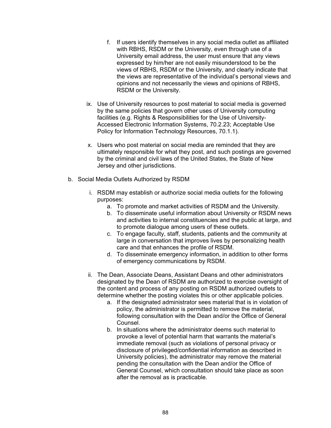- f. If users identify themselves in any social media outlet as affiliated with RBHS, RSDM or the University, even through use of a University email address, the user must ensure that any views expressed by him/her are not easily misunderstood to be the views of RBHS, RSDM or the University, and clearly indicate that the views are representative of the individual's personal views and opinions and not necessarily the views and opinions of RBHS, RSDM or the University.
- ix. Use of University resources to post material to social media is governed by the same policies that govern other uses of University computing facilities (e.g. Rights & Responsibilities for the Use of University-Accessed Electronic Information Systems, 70.2.23; Acceptable Use Policy for Information Technology Resources, 70.1.1).
- x. Users who post material on social media are reminded that they are ultimately responsible for what they post, and such postings are governed by the criminal and civil laws of the United States, the State of New Jersey and other jurisdictions.
- b. Social Media Outlets Authorized by RSDM
	- i. RSDM may establish or authorize social media outlets for the following purposes:
		- a. To promote and market activities of RSDM and the University.
		- b. To disseminate useful information about University or RSDM news and activities to internal constituencies and the public at large, and to promote dialogue among users of these outlets.
		- c. To engage faculty, staff, students, patients and the community at large in conversation that improves lives by personalizing health care and that enhances the profile of RSDM.
		- d. To disseminate emergency information, in addition to other forms of emergency communications by RSDM.
	- ii. The Dean, Associate Deans, Assistant Deans and other administrators designated by the Dean of RSDM are authorized to exercise oversight of the content and process of any posting on RSDM authorized outlets to determine whether the posting violates this or other applicable policies.
		- a. If the designated administrator sees material that is in violation of policy, the administrator is permitted to remove the material, following consultation with the Dean and/or the Office of General **Counsel**
		- b. In situations where the administrator deems such material to provoke a level of potential harm that warrants the material's immediate removal (such as violations of personal privacy or disclosure of privileged/confidential information as described in University policies), the administrator may remove the material pending the consultation with the Dean and/or the Office of General Counsel, which consultation should take place as soon after the removal as is practicable.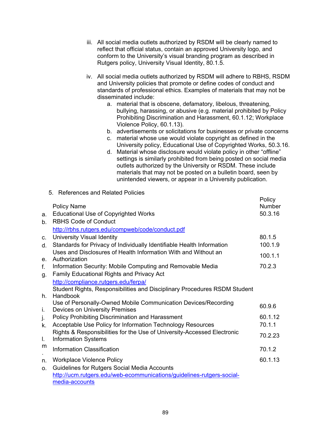- iii. All social media outlets authorized by RSDM will be clearly named to reflect that official status, contain an approved University logo, and conform to the University's visual branding program as described in Rutgers policy, University Visual Identity, 80.1.5.
- iv. All social media outlets authorized by RSDM will adhere to RBHS, RSDM and University policies that promote or define codes of conduct and standards of professional ethics. Examples of materials that may not be disseminated include:
	- a. material that is obscene, defamatory, libelous, threatening, bullying, harassing, or abusive (e.g. material prohibited by Policy Prohibiting Discrimination and Harassment, 60.1.12; Workplace Violence Policy, 60.1.13).
	- b. advertisements or solicitations for businesses or private concerns
	- c. material whose use would violate copyright as defined in the University policy, Educational Use of Copyrighted Works, 50.3.16.
	- d. Material whose disclosure would violate policy in other "offline" settings is similarly prohibited from being posted on social media outlets authorized by the University or RSDM. These include materials that may not be posted on a bulletin board, seen by unintended viewers, or appear in a University publication.

|                |                                                                           | Policy        |
|----------------|---------------------------------------------------------------------------|---------------|
|                | <b>Policy Name</b>                                                        | <b>Number</b> |
| a.             | <b>Educational Use of Copyrighted Works</b>                               | 50.3.16       |
| $b_{-}$        | <b>RBHS Code of Conduct</b>                                               |               |
|                | http://rbhs.rutgers.edu/compweb/code/conduct.pdf                          |               |
| C <sub>1</sub> | <b>University Visual Identity</b>                                         | 80.1.5        |
| $d_{-}$        | Standards for Privacy of Individually Identifiable Health Information     | 100.1.9       |
|                | Uses and Disclosures of Health Information With and Without an            | 100.1.1       |
| e.             | Authorization                                                             |               |
| f.             | Information Security: Mobile Computing and Removable Media                | 70.2.3        |
| g.             | <b>Family Educational Rights and Privacy Act</b>                          |               |
|                | http://compliance.rutgers.edu/ferpa/                                      |               |
|                | Student Rights, Responsibilities and Disciplinary Procedures RSDM Student |               |
| h.             | Handbook                                                                  |               |
|                | Use of Personally-Owned Mobile Communication Devices/Recording            | 60.9.6        |
| i.             | Devices on University Premises                                            |               |
| j.             | <b>Policy Prohibiting Discrimination and Harassment</b>                   | 60.1.12       |
| k.             | Acceptable Use Policy for Information Technology Resources                | 70.1.1        |
|                | Rights & Responsibilities for the Use of University-Accessed Electronic   | 70.2.23       |
| L.             | <b>Information Systems</b>                                                |               |
| m              | <b>Information Classification</b>                                         | 70.1.2        |
|                |                                                                           |               |
| n.             | <b>Workplace Violence Policy</b>                                          | 60.1.13       |
| O <sub>1</sub> | Guidelines for Rutgers Social Media Accounts                              |               |
|                | http://ucm.rutgers.edu/web-ecommunications/guidelines-rutgers-social-     |               |
|                | media-accounts                                                            |               |

5. References and Related Policies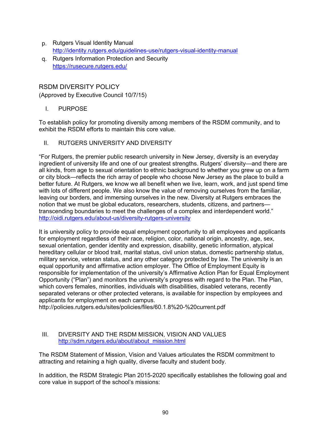- p. Rutgers Visual Identity Manual <http://identity.rutgers.edu/guidelines-use/rutgers-visual-identity-manual>
- q. Rutgers Information Protection and Security <https://rusecure.rutgers.edu/>

# RSDM DIVERSITY POLICY

(Approved by Executive Council 10/7/15)

I. PURPOSE

To establish policy for promoting diversity among members of the RSDM community, and to exhibit the RSDM efforts to maintain this core value.

II. RUTGERS UNIVERSITY AND DIVERSITY

"For Rutgers, the premier public research university in New Jersey, diversity is an everyday ingredient of university life and one of our greatest strengths. Rutgers' diversity—and there are all kinds, from age to sexual orientation to ethnic background to whether you grew up on a farm or city block—reflects the rich array of people who choose New Jersey as the place to build a better future. At Rutgers, we know we all benefit when we live, learn, work, and just spend time with lots of different people. We also know the value of removing ourselves from the familiar, leaving our borders, and immersing ourselves in the new. Diversity at Rutgers embraces the notion that we must be global educators, researchers, students, citizens, and partners transcending boundaries to meet the challenges of a complex and interdependent world." <http://oidi.rutgers.edu/about-us/diversity-rutgers-university>

It is university policy to provide equal employment opportunity to all employees and applicants for employment regardless of their race, religion, color, national origin, ancestry, age, sex, sexual orientation, gender identity and expression, disability, genetic information, atypical hereditary cellular or blood trait, marital status, civil union status, domestic partnership status, military service, veteran status, and any other category protected by law. The university is an equal opportunity and affirmative action employer. The Office of Employment Equity is responsible for implementation of the university's Affirmative Action Plan for Equal Employment Opportunity ("Plan") and monitors the university's progress with regard to the Plan. The Plan, which covers females, minorities, individuals with disabilities, disabled veterans, recently separated veterans or other protected veterans, is available for inspection by employees and applicants for employment on each campus.

http://policies.rutgers.edu/sites/policies/files/60.1.8%20-%20current.pdf

# III. DIVERSITY AND THE RSDM MISSION, VISION AND VALUES [http://sdm.rutgers.edu/about/about\\_mission.html](http://sdm.rutgers.edu/about/about_mission.html)

The RSDM Statement of Mission, Vision and Values articulates the RSDM commitment to attracting and retaining a high quality, diverse faculty and student body.

In addition, the RSDM Strategic Plan 2015-2020 specifically establishes the following goal and core value in support of the school's missions: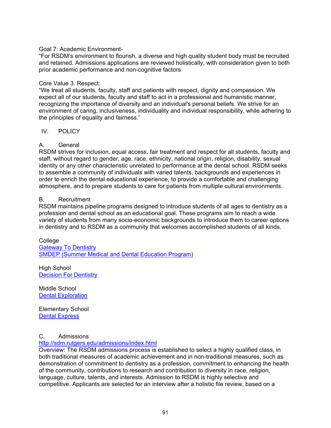## Goal 7: Academic Environment-

"For RSDM's environment to flourish, a diverse and high quality student body must be recruited and retained. Admissions applications are reviewed holistically, with consideration given to both prior academic performance and non-cognitive factors

#### Core Value 3. Respect:

"We treat all students, faculty, staff and patients with respect, dignity and compassion. We expect all of our students, faculty and staff to act in a professional and humanistic manner, recognizing the importance of diversity and an individual's personal beliefs. We strive for an environment of caring, inclusiveness, individuality and individual responsibility, while adhering to the principles of equality and fairness."

#### IV. POLICY

# A. General

RSDM strives for inclusion, equal access, fair treatment and respect for all students, faculty and staff, without regard to gender, age, race, ethnicity, national origin, religion, disability, sexual identity or any other characteristic unrelated to performance at the dental school. RSDM seeks to assemble a community of individuals with varied talents, backgrounds and experiences in order to enrich the dental educational experience, to provide a comfortable and challenging atmosphere, and to prepare students to care for patients from multiple cultural environments.

#### B. Recruitment

RSDM maintains pipeline programs designed to introduce students of all ages to dentistry as a profession and dental school as an educational goal. These programs aim to reach a wide variety of students from many socio-economic backgrounds to introduce them to career options in dentistry and to RSDM as a community that welcomes accomplished students of all kinds.

College [Gateway To Dentistry](http://sdm.rutgers.edu/pipline/gateway/gateway.htm) [SMDEP \(Summer Medical and Dental Education Program\)](http://www.shpep.org/site/rutgers-the-state-university-of-new-jersey/)

High School [Decision For Dentistry](http://sdm.rutgers.edu/pipline/decision/index.htm)

Middle School [Dental Exploration](http://sdm.rutgers.edu/pipline/gateway/dental_exploration.htm)

Elementary School [Dental Express](http://sdm.rutgers.edu/pipline/gateway/dental_express.htm)

# C. Admissions

#### <http://sdm.rutgers.edu/admissions/index.html>

Overview: The RSDM admissions process is established to select a highly qualified class, in both traditional measures of academic achievement and in non-traditional measures, such as demonstration of commitment to dentistry as a profession, commitment to enhancing the health of the community, contributions to research and contribution to diversity in race, religion, language, culture, talents, and interests. Admission to RSDM is highly selective and competitive. Applicants are selected for an interview after a holistic file review, based on a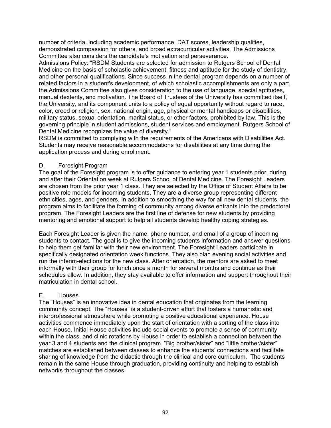number of criteria, including academic performance, DAT scores, leadership qualities, demonstrated compassion for others, and broad extracurricular activities. The Admissions Committee also considers the candidate's motivation and perseverance.

Admissions Policy: "RSDM Students are selected for admission to Rutgers School of Dental Medicine on the basis of scholastic achievement, fitness and aptitude for the study of dentistry, and other personal qualifications. Since success in the dental program depends on a number of related factors in a student's development, of which scholastic accomplishments are only a part, the Admissions Committee also gives consideration to the use of language, special aptitudes, manual dexterity, and motivation. The Board of Trustees of the University has committed itself, the University, and its component units to a policy of equal opportunity without regard to race, color, creed or religion, sex, national origin, age, physical or mental handicaps or disabilities, military status, sexual orientation, marital status, or other factors, prohibited by law. This is the governing principle in student admissions, student services and employment. Rutgers School of Dental Medicine recognizes the value of diversity."

RSDM is committed to complying with the requirements of the Americans with Disabilities Act. Students may receive reasonable accommodations for disabilities at any time during the application process and during enrollment.

# D. Foresight Program

The goal of the Foresight program is to offer guidance to entering year 1 students prior, during, and after their Orientation week at Rutgers School of Dental Medicine. The Foresight Leaders are chosen from the prior year 1 class. They are selected by the Office of Student Affairs to be positive role models for incoming students. They are a diverse group representing different ethnicities, ages, and genders. In addition to smoothing the way for all new dental students, the program aims to facilitate the forming of community among diverse entrants into the predoctoral program. The Foresight Leaders are the first line of defense for new students by providing mentoring and emotional support to help all students develop healthy coping strategies.

Each Foresight Leader is given the name, phone number, and email of a group of incoming students to contact. The goal is to give the incoming students information and answer questions to help them get familiar with their new environment. The Foresight Leaders participate in specifically designated orientation week functions. They also plan evening social activities and run the interim-elections for the new class. After orientation, the mentors are asked to meet informally with their group for lunch once a month for several months and continue as their schedules allow. In addition, they stay available to offer information and support throughout their matriculation in dental school.

# E. Houses

The "Houses" is an innovative idea in dental education that originates from the learning community concept. The "Houses" is a student-driven effort that fosters a humanistic and interprofessional atmosphere while promoting a positive educational experience. House activities commence immediately upon the start of orientation with a sorting of the class into each House. Initial House activities include social events to promote a sense of community within the class, and clinic rotations by House in order to establish a connection between the year 3 and 4 students and the clinical program. "Big brother/sister" and "little brother/sister" matches are established between classes to enhance the students' connections and facilitate sharing of knowledge from the didactic through the clinical and core curriculum. The students remain in the same House through graduation, providing continuity and helping to establish networks throughout the classes.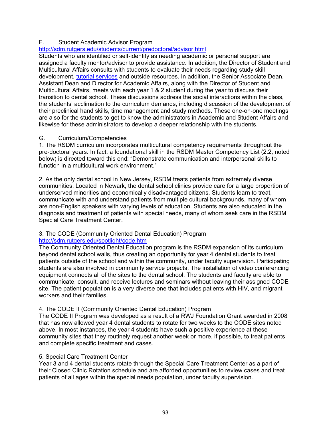# F. Student Academic Advisor Program

# <http://sdm.rutgers.edu/students/current/predoctoral/advisor.html>

Students who are identified or self-identify as needing academic or personal support are assigned a faculty mentor/advisor to provide assistance. In addition, the Director of Student and Multicultural Affairs consults with students to evaluate their needs regarding study skill development, [tutorial services](http://sdm.rutgers.edu/students/current/predoctoral/tutorial/index.html) and outside resources. In addition, the Senior Associate Dean, Assistant Dean and Director for Academic Affairs, along with the Director of Student and Multicultural Affairs, meets with each year 1 & 2 student during the year to discuss their transition to dental school. These discussions address the social interactions within the class, the students' acclimation to the curriculum demands, including discussion of the development of their preclinical hand skills, time management and study methods. These one-on-one meetings are also for the students to get to know the administrators in Academic and Student Affairs and likewise for these administrators to develop a deeper relationship with the students.

#### G. Curriculum/Competencies

1. The RSDM curriculum incorporates multicultural competency requirements throughout the pre-doctoral years. In fact, a foundational skill in the RSDM Master Competency List (2.2, noted below) is directed toward this end: "Demonstrate communication and interpersonal skills to function in a multicultural work environment."

2. As the only dental school in New Jersey, RSDM treats patients from extremely diverse communities. Located in Newark, the dental school clinics provide care for a large proportion of underserved minorities and economically disadvantaged citizens. Students learn to treat, communicate with and understand patients from multiple cultural backgrounds, many of whom are non-English speakers with varying levels of education. Students are also educated in the diagnosis and treatment of patients with special needs, many of whom seek care in the RSDM Special Care Treatment Center.

# 3. The CODE (Community Oriented Dental Education) Program

# <http://sdm.rutgers.edu/spotlight/code.htm>

The Community Oriented Dental Education program is the RSDM expansion of its curriculum beyond dental school walls, thus creating an opportunity for year 4 dental students to treat patients outside of the school and within the community, under faculty supervision. Participating students are also involved in community service projects. The installation of video conferencing equipment connects all of the sites to the dental school. The students and faculty are able to communicate, consult, and receive lectures and seminars without leaving their assigned CODE site. The patient population is a very diverse one that includes patients with HIV, and migrant workers and their families.

# 4. The CODE II (Community Oriented Dental Education) Program

The CODE II Program was developed as a result of a RWJ Foundation Grant awarded in 2008 that has now allowed year 4 dental students to rotate for two weeks to the CODE sites noted above. In most instances, the year 4 students have such a positive experience at these community sites that they routinely request another week or more, if possible, to treat patients and complete specific treatment and cases.

# 5. Special Care Treatment Center

Year 3 and 4 dental students rotate through the Special Care Treatment Center as a part of their Closed Clinic Rotation schedule and are afforded opportunities to review cases and treat patients of all ages within the special needs population, under faculty supervision.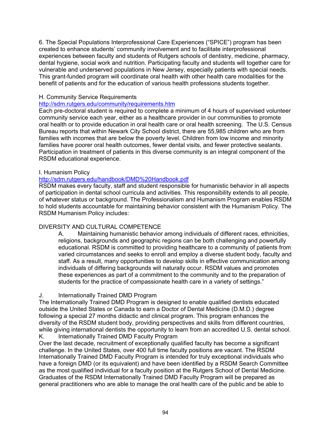6. The Special Populations Interprofessional Care Experiences ("SPICE") program has been created to enhance students' community involvement and to facilitate interprofessional experiences between faculty and students of Rutgers schools of dentistry, medicine, pharmacy, dental hygiene, social work and nutrition. Participating faculty and students will together care for vulnerable and underserved populations in New Jersey, especially patients with special needs. This grant-funded program will coordinate oral health with other health care modalities for the benefit of patients and for the education of various health professions students together.

## H. Community Service Requirements

# <http://sdm.rutgers.edu/community/requirements.htm>

Each pre-doctoral student is required to complete a minimum of 4 hours of supervised volunteer community service each year, either as a healthcare provider in our communities to promote oral health or to provide education in oral health care or oral health screening. The U.S. Census Bureau reports that within Newark City School district, there are 55,985 children who are from families with incomes that are below the poverty level. Children from low income and minority families have poorer oral health outcomes, fewer dental visits, and fewer protective sealants. Participation in treatment of patients in this diverse community is an integral component of the RSDM educational experience.

#### I. Humanism Policy

# <http://sdm.rutgers.edu/handbook/DMD%20Handbook.pdf>

RSDM makes every faculty, staff and student responsible for humanistic behavior in all aspects of participation in dental school curricula and activities. This responsibility extends to all people, of whatever status or background. The Professionalism and Humanism Program enables RSDM to hold students accountable for maintaining behavior consistent with the Humanism Policy. The RSDM Humanism Policy includes:

# DIVERSITY AND CULTURAL COMPETENCE

A. Maintaining humanistic behavior among individuals of different races, ethnicities, religions, backgrounds and geographic regions can be both challenging and powerfully educational. RSDM is committed to providing healthcare to a community of patients from varied circumstances and seeks to enroll and employ a diverse student body, faculty and staff. As a result, many opportunities to develop skills in effective communication among individuals of differing backgrounds will naturally occur. RSDM values and promotes these experiences as part of a commitment to the community and to the preparation of students for the practice of compassionate health care in a variety of settings."

# J. Internationally Trained DMD Program

The Internationally Trained DMD Program is designed to enable qualified dentists educated outside the United States or Canada to earn a Doctor of Dental Medicine (D.M.D.) degree following a special 27 months didactic and clinical program. This program enhances the diversity of the RSDM student body, providing perspectives and skills from different countries, while giving international dentists the opportunity to learn from an accredited U.S. dental school. K. Internationally Trained DMD Faculty Program

Over the last decade, recruitment of exceptionally qualified faculty has become a significant challenge. In the United States, over 400 full time faculty positions are vacant. The RSDM Internationally Trained DMD Faculty Program is intended for truly exceptional individuals who have a foreign DMD (or its equivalent) and have been identified by a RSDM Search Committee as the most qualified individual for a faculty position at the Rutgers School of Dental Medicine. Graduates of the RSDM Internationally Trained DMD Faculty Program will be prepared as general practitioners who are able to manage the oral health care of the public and be able to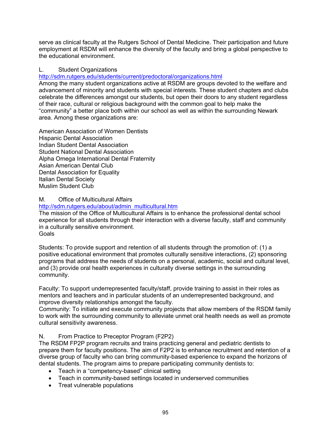serve as clinical faculty at the Rutgers School of Dental Medicine. Their participation and future employment at RSDM will enhance the diversity of the faculty and bring a global perspective to the educational environment.

# L. Student Organizations

<http://sdm.rutgers.edu/students/current/predoctoral/organizations.html>

Among the many student organizations active at RSDM are groups devoted to the welfare and advancement of minority and students with special interests. These student chapters and clubs celebrate the differences amongst our students, but open their doors to any student regardless of their race, cultural or religious background with the common goal to help make the "community" a better place both within our school as well as within the surrounding Newark area. Among these organizations are:

American Association of Women Dentists Hispanic Dental Association Indian Student Dental Association Student National Dental Association Alpha Omega International Dental Fraternity Asian American Dental Club Dental Association for Equality Italian Dental Society Muslim Student Club

# M. Office of Multicultural Affairs

[http://sdm.rutgers.edu/about/admin\\_multicultural.htm](http://sdm.rutgers.edu/about/admin_multicultural.htm)

The mission of the Office of Multicultural Affairs is to enhance the professional dental school experience for all students through their interaction with a diverse faculty, staff and community in a culturally sensitive environment. Goals

Students: To provide support and retention of all students through the promotion of: (1) a positive educational environment that promotes culturally sensitive interactions, (2) sponsoring programs that address the needs of students on a personal, academic, social and cultural level, and (3) provide oral health experiences in culturally diverse settings in the surrounding community.

Faculty: To support underrepresented faculty/staff, provide training to assist in their roles as mentors and teachers and in particular students of an underrepresented background, and improve diversity relationships amongst the faculty.

Community: To initiate and execute community projects that allow members of the RSDM family to work with the surrounding community to alleviate unmet oral health needs as well as promote cultural sensitivity awareness.

# N. From Practice to Preceptor Program (F2P2)

The RSDM FP2P program recruits and trains practicing general and pediatric dentists to prepare them for faculty positions. The aim of F2P2 is to enhance recruitment and retention of a diverse group of faculty who can bring community-based experience to expand the horizons of dental students. The program aims to prepare participating community dentists to:

- Teach in a "competency-based" clinical setting
- Teach in community-based settings located in underserved communities
- Treat vulnerable populations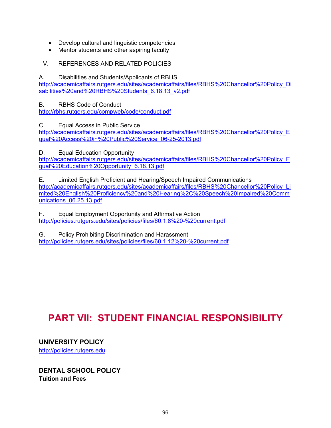- Develop cultural and linguistic competencies
- Mentor students and other aspiring faculty
- V. REFERENCES AND RELATED POLICIES

# A. Disabilities and Students/Applicants of RBHS

[http://academicaffairs.rutgers.edu/sites/academicaffairs/files/RBHS%20Chancellor%20Policy\\_Di](http://academicaffairs.rutgers.edu/sites/academicaffairs/files/RBHS%20Chancellor%20Policy_Disabilities%20and%20RBHS%20Students_6.18.13_v2.pdf) [sabilities%20and%20RBHS%20Students\\_6.18.13\\_v2.pdf](http://academicaffairs.rutgers.edu/sites/academicaffairs/files/RBHS%20Chancellor%20Policy_Disabilities%20and%20RBHS%20Students_6.18.13_v2.pdf)

B. RBHS Code of Conduct

<http://rbhs.rutgers.edu/compweb/code/conduct.pdf>

C. Equal Access in Public Service

[http://academicaffairs.rutgers.edu/sites/academicaffairs/files/RBHS%20Chancellor%20Policy\\_E](http://academicaffairs.rutgers.edu/sites/academicaffairs/files/RBHS%20Chancellor%20Policy_Equal%20Access%20in%20Public%20Service_06-25-2013.pdf) [qual%20Access%20in%20Public%20Service\\_06-25-2013.pdf](http://academicaffairs.rutgers.edu/sites/academicaffairs/files/RBHS%20Chancellor%20Policy_Equal%20Access%20in%20Public%20Service_06-25-2013.pdf)

D. Equal Education Opportunity

[http://academicaffairs.rutgers.edu/sites/academicaffairs/files/RBHS%20Chancellor%20Policy\\_E](http://academicaffairs.rutgers.edu/sites/academicaffairs/files/RBHS%20Chancellor%20Policy_Equal%20Education%20Opportunity_6.18.13.pdf) [qual%20Education%20Opportunity\\_6.18.13.pdf](http://academicaffairs.rutgers.edu/sites/academicaffairs/files/RBHS%20Chancellor%20Policy_Equal%20Education%20Opportunity_6.18.13.pdf)

E. Limited English Proficient and Hearing/Speech Impaired Communications [http://academicaffairs.rutgers.edu/sites/academicaffairs/files/RBHS%20Chancellor%20Policy\\_Li](http://academicaffairs.rutgers.edu/sites/academicaffairs/files/RBHS%20Chancellor%20Policy_Limited%20English%20Proficiency%20and%20Hearing%2C%20Speech%20Impaired%20Communications_06.25.13.pdf) [mited%20English%20Proficiency%20and%20Hearing%2C%20Speech%20Impaired%20Comm](http://academicaffairs.rutgers.edu/sites/academicaffairs/files/RBHS%20Chancellor%20Policy_Limited%20English%20Proficiency%20and%20Hearing%2C%20Speech%20Impaired%20Communications_06.25.13.pdf) [unications\\_06.25.13.pdf](http://academicaffairs.rutgers.edu/sites/academicaffairs/files/RBHS%20Chancellor%20Policy_Limited%20English%20Proficiency%20and%20Hearing%2C%20Speech%20Impaired%20Communications_06.25.13.pdf)

F. Equal Employment Opportunity and Affirmative Action <http://policies.rutgers.edu/sites/policies/files/60.1.8%20-%20current.pdf>

G. Policy Prohibiting Discrimination and Harassment <http://policies.rutgers.edu/sites/policies/files/60.1.12%20-%20current.pdf>

# **PART VII: STUDENT FINANCIAL RESPONSIBILITY**

**UNIVERSITY POLICY**  [http://policies.rutgers.edu](http://policies.rutgers.edu/)

**DENTAL SCHOOL POLICY Tuition and Fees**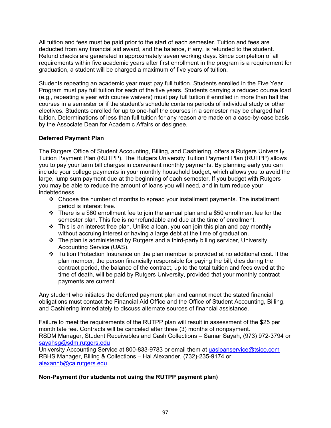All tuition and fees must be paid prior to the start of each semester. Tuition and fees are deducted from any financial aid award, and the balance, if any, is refunded to the student. Refund checks are generated in approximately seven working days. Since completion of all requirements within five academic years after first enrollment in the program is a requirement for graduation, a student will be charged a maximum of five years of tuition.

Students repeating an academic year must pay full tuition. Students enrolled in the Five Year Program must pay full tuition for each of the five years. Students carrying a reduced course load (e.g., repeating a year with course waivers) must pay full tuition if enrolled in more than half the courses in a semester or if the student's schedule contains periods of individual study or other electives. Students enrolled for up to one-half the courses in a semester may be charged half tuition. Determinations of less than full tuition for any reason are made on a case-by-case basis by the Associate Dean for Academic Affairs or designee.

# **Deferred Payment Plan**

The Rutgers Office of Student Accounting, Billing, and Cashiering, offers a Rutgers University Tuition Payment Plan (RUTPP). The Rutgers University Tuition Payment Plan (RUTPP) allows you to pay your term bill charges in convenient monthly payments. By planning early you can include your college payments in your monthly household budget, which allows you to avoid the large, lump sum payment due at the beginning of each semester. If you budget with Rutgers you may be able to reduce the amount of loans you will need, and in turn reduce your indebtedness.

- \* Choose the number of months to spread your installment payments. The installment period is interest free.
- $\div$  There is a \$60 enrollment fee to join the annual plan and a \$50 enrollment fee for the semester plan. This fee is nonrefundable and due at the time of enrollment.
- $\cdot \cdot$  This is an interest free plan. Unlike a loan, you can join this plan and pay monthly without accruing interest or having a large debt at the time of graduation.
- $\div$  The plan is administered by Rutgers and a third-party billing servicer, University Accounting Service (UAS).
- Tuition Protection Insurance on the plan member is provided at no additional cost. If the plan member, the person financially responsible for paying the bill, dies during the contract period, the balance of the contract, up to the total tuition and fees owed at the time of death, will be paid by Rutgers University, provided that your monthly contract payments are current.

Any student who initiates the deferred payment plan and cannot meet the stated financial obligations must contact the Financial Aid Office and the Office of Student Accounting, Billing, and Cashiering immediately to discuss alternate sources of financial assistance.

Failure to meet the requirements of the RUTPP plan will result in assessment of the \$25 per month late fee. Contracts will be canceled after three (3) months of nonpayment. RSDM Manager, Student Receivables and Cash Collections – Samar Sayah, (973) 972-3794 or [sayahsg@sdm.rutgers.edu](mailto:sayahsg@sdm.rutgers.edu)

University Accounting Service at 800-833-9783 or email them at [uasloanservice@tsico.com](mailto:uasloanservice@tsico.com) RBHS Manager, Billing & Collections – Hal Alexander, (732)-235-9174 or [alexanhb@ca.rutgers.edu](mailto:alexanhb@ca.rutgers.edu)

# **Non-Payment (for students not using the RUTPP payment plan)**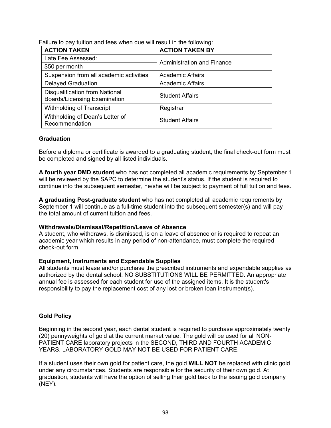| <b>ACTION TAKEN</b>                                                          | <b>ACTION TAKEN BY</b>            |  |
|------------------------------------------------------------------------------|-----------------------------------|--|
| Late Fee Assessed:                                                           | <b>Administration and Finance</b> |  |
| \$50 per month                                                               |                                   |  |
| Suspension from all academic activities                                      | <b>Academic Affairs</b>           |  |
| <b>Delayed Graduation</b>                                                    | <b>Academic Affairs</b>           |  |
| <b>Disqualification from National</b><br><b>Boards/Licensing Examination</b> | <b>Student Affairs</b>            |  |
| Withholding of Transcript                                                    | Registrar                         |  |
| Withholding of Dean's Letter of<br>Recommendation                            | <b>Student Affairs</b>            |  |

Failure to pay tuition and fees when due will result in the following:

# **Graduation**

Before a diploma or certificate is awarded to a graduating student, the final check-out form must be completed and signed by all listed individuals.

**A fourth year DMD student** who has not completed all academic requirements by September 1 will be reviewed by the SAPC to determine the student's status. If the student is required to continue into the subsequent semester, he/she will be subject to payment of full tuition and fees.

**A graduating Post-graduate student** who has not completed all academic requirements by September 1 will continue as a full-time student into the subsequent semester(s) and will pay the total amount of current tuition and fees.

#### **Withdrawals/Dismissal/Repetition/Leave of Absence**

A student, who withdraws, is dismissed, is on a leave of absence or is required to repeat an academic year which results in any period of non-attendance, must complete the required check-out form.

# **Equipment, Instruments and Expendable Supplies**

All students must lease and/or purchase the prescribed instruments and expendable supplies as authorized by the dental school. NO SUBSTITUTIONS WILL BE PERMITTED. An appropriate annual fee is assessed for each student for use of the assigned items. It is the student's responsibility to pay the replacement cost of any lost or broken loan instrument(s).

# **Gold Policy**

Beginning in the second year, each dental student is required to purchase approximately twenty (20) pennyweights of gold at the current market value. The gold will be used for all NON-PATIENT CARE laboratory projects in the SECOND, THIRD AND FOURTH ACADEMIC YEARS. LABORATORY GOLD MAY NOT BE USED FOR PATIENT CARE.

If a student uses their own gold for patient care, the gold **WILL NOT** be replaced with clinic gold under any circumstances. Students are responsible for the security of their own gold. At graduation, students will have the option of selling their gold back to the issuing gold company (NEY).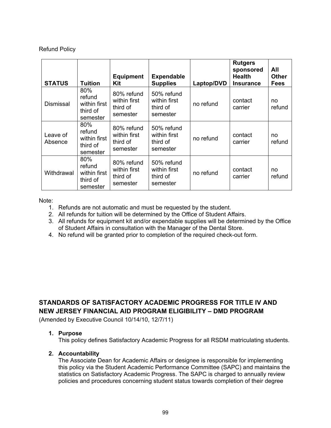# Refund Policy

| <b>STATUS</b>       | <b>Tuition</b>                                        | <b>Equipment</b><br>Kit                            | <b>Expendable</b><br><b>Supplies</b>               | Laptop/DVD | <b>Rutgers</b><br>sponsored<br><b>Health</b><br><b>Insurance</b> | All<br><b>Other</b><br><b>Fees</b> |
|---------------------|-------------------------------------------------------|----------------------------------------------------|----------------------------------------------------|------------|------------------------------------------------------------------|------------------------------------|
| <b>Dismissal</b>    | 80%<br>refund<br>within first<br>third of<br>semester | 80% refund<br>within first<br>third of<br>semester | 50% refund<br>within first<br>third of<br>semester | no refund  | contact<br>carrier                                               | no<br>refund                       |
| Leave of<br>Absence | 80%<br>refund<br>within first<br>third of<br>semester | 80% refund<br>within first<br>third of<br>semester | 50% refund<br>within first<br>third of<br>semester | no refund  | contact<br>carrier                                               | no<br>refund                       |
| Withdrawal          | 80%<br>refund<br>within first<br>third of<br>semester | 80% refund<br>within first<br>third of<br>semester | 50% refund<br>within first<br>third of<br>semester | no refund  | contact<br>carrier                                               | no<br>refund                       |

Note:

- 1. Refunds are not automatic and must be requested by the student.
- 2. All refunds for tuition will be determined by the Office of Student Affairs.
- 3. All refunds for equipment kit and/or expendable supplies will be determined by the Office of Student Affairs in consultation with the Manager of the Dental Store.
- 4. No refund will be granted prior to completion of the required check-out form.

**STANDARDS OF SATISFACTORY ACADEMIC PROGRESS FOR TITLE IV AND NEW JERSEY FINANCIAL AID PROGRAM ELIGIBILITY – DMD PROGRAM**

(Amended by Executive Council 10/14/10, 12/7/11)

# **1. Purpose**

This policy defines Satisfactory Academic Progress for all RSDM matriculating students.

# **2. Accountability**

The Associate Dean for Academic Affairs or designee is responsible for implementing this policy via the Student Academic Performance Committee (SAPC) and maintains the statistics on Satisfactory Academic Progress. The SAPC is charged to annually review policies and procedures concerning student status towards completion of their degree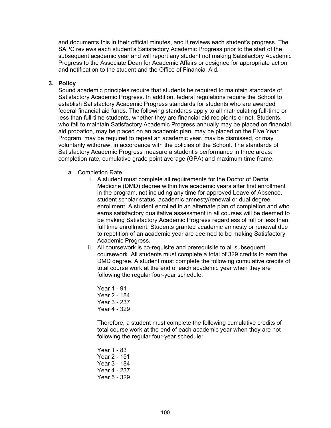and documents this in their official minutes, and it reviews each student's progress. The SAPC reviews each student's Satisfactory Academic Progress prior to the start of the subsequent academic year and will report any student not making Satisfactory Academic Progress to the Associate Dean for Academic Affairs or designee for appropriate action and notification to the student and the Office of Financial Aid.

# **3. Policy**

Sound academic principles require that students be required to maintain standards of Satisfactory Academic Progress. In addition, federal regulations require the School to establish Satisfactory Academic Progress standards for students who are awarded federal financial aid funds. The following standards apply to all matriculating full-time or less than full-time students, whether they are financial aid recipients or not. Students, who fail to maintain Satisfactory Academic Progress annually may be placed on financial aid probation, may be placed on an academic plan, may be placed on the Five Year Program, may be required to repeat an academic year, may be dismissed, or may voluntarily withdraw, in accordance with the policies of the School. The standards of Satisfactory Academic Progress measure a student's performance in three areas: completion rate, cumulative grade point average (GPA) and maximum time frame.

- a. Completion Rate
	- i. A student must complete all requirements for the Doctor of Dental Medicine (DMD) degree within five academic years after first enrollment in the program, not including any time for approved Leave of Absence, student scholar status, academic amnesty/renewal or dual degree enrollment. A student enrolled in an alternate plan of completion and who earns satisfactory qualitative assessment in all courses will be deemed to be making Satisfactory Academic Progress regardless of full or less than full time enrollment. Students granted academic amnesty or renewal due to repetition of an academic year are deemed to be making Satisfactory Academic Progress.
	- ii. All coursework is co-requisite and prerequisite to all subsequent coursework. All students must complete a total of 329 credits to earn the DMD degree. A student must complete the following cumulative credits of total course work at the end of each academic year when they are following the regular four-year schedule:
		- Year 1 91 Year 2 - 184 Year 3 - 237 Year 4 - 329

Therefore, a student must complete the following cumulative credits of total course work at the end of each academic year when they are not following the regular four-year schedule:

Year 1 - 83 Year 2 - 151 Year 3 - 184 Year 4 - 237 Year 5 - 329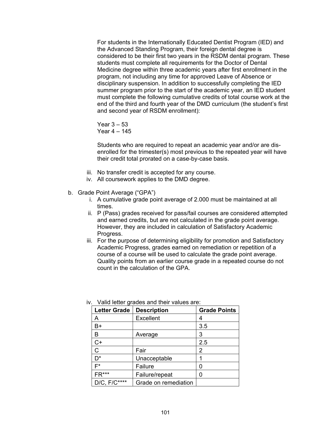For students in the Internationally Educated Dentist Program (IED) and the Advanced Standing Program, their foreign dental degree is considered to be their first two years in the RSDM dental program. These students must complete all requirements for the Doctor of Dental Medicine degree within three academic years after first enrollment in the program, not including any time for approved Leave of Absence or disciplinary suspension. In addition to successfully completing the IED summer program prior to the start of the academic year, an IED student must complete the following cumulative credits of total course work at the end of the third and fourth year of the DMD curriculum (the student's first and second year of RSDM enrollment):

Year 3 – 53 Year 4 – 145

Students who are required to repeat an academic year and/or are disenrolled for the trimester(s) most previous to the repeated year will have their credit total prorated on a case-by-case basis.

- iii. No transfer credit is accepted for any course.
- iv. All coursework applies to the DMD degree.
- b. Grade Point Average ("GPA")
	- i. A cumulative grade point average of 2.000 must be maintained at all times.
	- ii. P (Pass) grades received for pass/fail courses are considered attempted and earned credits, but are not calculated in the grade point average. However, they are included in calculation of Satisfactory Academic Progress.
	- iii. For the purpose of determining eligibility for promotion and Satisfactory Academic Progress, grades earned on remediation or repetition of a course of a course will be used to calculate the grade point average. Quality points from an earlier course grade in a repeated course do not count in the calculation of the GPA.

| <b>Letter Grade</b> | <b>Description</b>   | <b>Grade Points</b> |
|---------------------|----------------------|---------------------|
| А                   | <b>Excellent</b>     | 4                   |
| B+                  |                      | 3.5                 |
| в                   | Average              | 3                   |
| $C+$                |                      | 2.5                 |
| C                   | Fair                 | 2                   |
| D <sup>*</sup>      | Unacceptable         |                     |
| $F^*$               | Failure              |                     |
| $FR***$             | Failure/repeat       |                     |
| $D/C, F/C***$       | Grade on remediation |                     |

iv. Valid letter grades and their values are: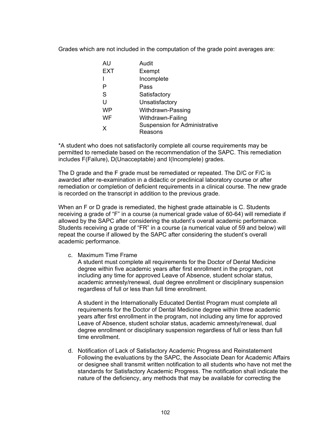Grades which are not included in the computation of the grade point averages are:

| AU         | Audit                                |
|------------|--------------------------------------|
| <b>EXT</b> | Exempt                               |
|            | Incomplete                           |
| P          | Pass                                 |
| S          | Satisfactory                         |
| U          | Unsatisfactory                       |
| <b>WP</b>  | Withdrawn-Passing                    |
| WF         | Withdrawn-Failing                    |
| X          | <b>Suspension for Administrative</b> |
|            | Reasons                              |

\*A student who does not satisfactorily complete all course requirements may be permitted to remediate based on the recommendation of the SAPC. This remediation includes F(Failure), D(Unacceptable) and I(Incomplete) grades.

The D grade and the F grade must be remediated or repeated. The D/C or F/C is awarded after re-examination in a didactic or preclinical laboratory course or after remediation or completion of deficient requirements in a clinical course. The new grade is recorded on the transcript in addition to the previous grade.

When an F or D grade is remediated, the highest grade attainable is C. Students receiving a grade of "F" in a course (a numerical grade value of 60-64) will remediate if allowed by the SAPC after considering the student's overall academic performance. Students receiving a grade of "FR" in a course (a numerical value of 59 and below) will repeat the course if allowed by the SAPC after considering the student's overall academic performance.

c. Maximum Time Frame

A student must complete all requirements for the Doctor of Dental Medicine degree within five academic years after first enrollment in the program, not including any time for approved Leave of Absence, student scholar status, academic amnesty/renewal, dual degree enrollment or disciplinary suspension regardless of full or less than full time enrollment.

A student in the Internationally Educated Dentist Program must complete all requirements for the Doctor of Dental Medicine degree within three academic years after first enrollment in the program, not including any time for approved Leave of Absence, student scholar status, academic amnesty/renewal, dual degree enrollment or disciplinary suspension regardless of full or less than full time enrollment.

d. Notification of Lack of Satisfactory Academic Progress and Reinstatement Following the evaluations by the SAPC, the Associate Dean for Academic Affairs or designee shall transmit written notification to all students who have not met the standards for Satisfactory Academic Progress. The notification shall indicate the nature of the deficiency, any methods that may be available for correcting the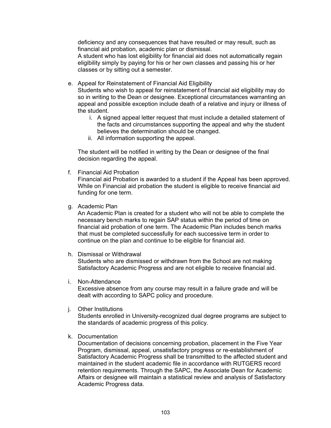deficiency and any consequences that have resulted or may result, such as financial aid probation, academic plan or dismissal.

A student who has lost eligibility for financial aid does not automatically regain eligibility simply by paying for his or her own classes and passing his or her classes or by sitting out a semester.

e. Appeal for Reinstatement of Financial Aid Eligibility

Students who wish to appeal for reinstatement of financial aid eligibility may do so in writing to the Dean or designee. Exceptional circumstances warranting an appeal and possible exception include death of a relative and injury or illness of the student.

- i. A signed appeal letter request that must include a detailed statement of the facts and circumstances supporting the appeal and why the student believes the determination should be changed.
- ii. All information supporting the appeal.

The student will be notified in writing by the Dean or designee of the final decision regarding the appeal.

f. Financial Aid Probation

Financial aid Probation is awarded to a student if the Appeal has been approved. While on Financial aid probation the student is eligible to receive financial aid funding for one term.

g. Academic Plan

An Academic Plan is created for a student who will not be able to complete the necessary bench marks to regain SAP status within the period of time on financial aid probation of one term. The Academic Plan includes bench marks that must be completed successfully for each successive term in order to continue on the plan and continue to be eligible for financial aid.

h. Dismissal or Withdrawal

Students who are dismissed or withdrawn from the School are not making Satisfactory Academic Progress and are not eligible to receive financial aid.

i. Non-Attendance

Excessive absence from any course may result in a failure grade and will be dealt with according to SAPC policy and procedure.

j. Other Institutions

Students enrolled in University-recognized dual degree programs are subject to the standards of academic progress of this policy.

k. Documentation

Documentation of decisions concerning probation, placement in the Five Year Program, dismissal, appeal, unsatisfactory progress or re-establishment of Satisfactory Academic Progress shall be transmitted to the affected student and maintained in the student academic file in accordance with RUTGERS record retention requirements. Through the SAPC, the Associate Dean for Academic Affairs or designee will maintain a statistical review and analysis of Satisfactory Academic Progress data.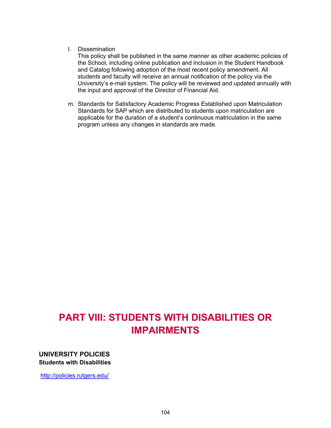#### l. Dissemination

This policy shall be published in the same manner as other academic policies of the School, including online publication and inclusion in the Student Handbook and Catalog following adoption of the most recent policy amendment. All students and faculty will receive an annual notification of the policy via the University's e-mail system. The policy will be reviewed and updated annually with the input and approval of the Director of Financial Aid.

m. Standards for Satisfactory Academic Progress Established upon Matriculation Standards for SAP which are distributed to students upon matriculation are applicable for the duration of a student's continuous matriculation in the same program unless any changes in standards are made.

# **PART VIII: STUDENTS WITH DISABILITIES OR IMPAIRMENTS**

**UNIVERSITY POLICIES Students with Disabilities**

<http://policies.rutgers.edu/>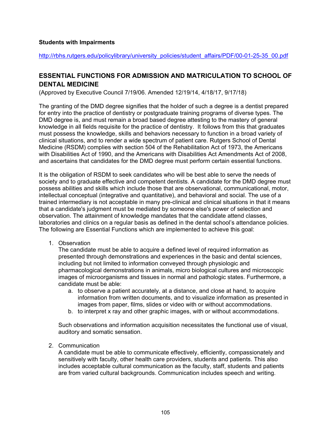#### **Students with Impairments**

[http://rbhs.rutgers.edu/policylibrary/university\\_policies/student\\_affairs/PDF/00-01-25-35\\_00.pdf](http://rbhs.rutgers.edu/policylibrary/university_policies/student_affairs/PDF/00-01-25-35_00.pdf)

# **ESSENTIAL FUNCTIONS FOR ADMISSION AND MATRICULATION TO SCHOOL OF DENTAL MEDICINE**

(Approved by Executive Council 7/19/06. Amended 12/19/14, 4/18/17, 9/17/18)

The granting of the DMD degree signifies that the holder of such a degree is a dentist prepared for entry into the practice of dentistry or postgraduate training programs of diverse types. The DMD degree is, and must remain a broad based degree attesting to the mastery of general knowledge in all fields requisite for the practice of dentistry. It follows from this that graduates must possess the knowledge, skills and behaviors necessary to function in a broad variety of clinical situations, and to render a wide spectrum of patient care. Rutgers School of Dental Medicine (RSDM) complies with section 504 of the Rehabilitation Act of 1973, the Americans with Disabilities Act of 1990, and the Americans with Disabilities Act Amendments Act of 2008, and ascertains that candidates for the DMD degree must perform certain essential functions.

It is the obligation of RSDM to seek candidates who will be best able to serve the needs of society and to graduate effective and competent dentists. A candidate for the DMD degree must possess abilities and skills which include those that are observational, communicational, motor, intellectual conceptual (integrative and quantitative), and behavioral and social. The use of a trained intermediary is not acceptable in many pre-clinical and clinical situations in that it means that a candidate's judgment must be mediated by someone else's power of selection and observation. The attainment of knowledge mandates that the candidate attend classes, laboratories and clinics on a regular basis as defined in the dental school's attendance policies. The following are Essential Functions which are implemented to achieve this goal:

1. Observation

The candidate must be able to acquire a defined level of required information as presented through demonstrations and experiences in the basic and dental sciences, including but not limited to information conveyed through physiologic and pharmacological demonstrations in animals, micro biological cultures and microscopic images of microorganisms and tissues in normal and pathologic states. Furthermore, a candidate must be able:

- a. to observe a patient accurately, at a distance, and close at hand, to acquire information from written documents, and to visualize information as presented in images from paper, films, slides or video with or without accommodations.
- b. to interpret x ray and other graphic images, with or without accommodations.

Such observations and information acquisition necessitates the functional use of visual, auditory and somatic sensation.

2. Communication

A candidate must be able to communicate effectively, efficiently, compassionately and sensitively with faculty, other health care providers, students and patients. This also includes acceptable cultural communication as the faculty, staff, students and patients are from varied cultural backgrounds. Communication includes speech and writing.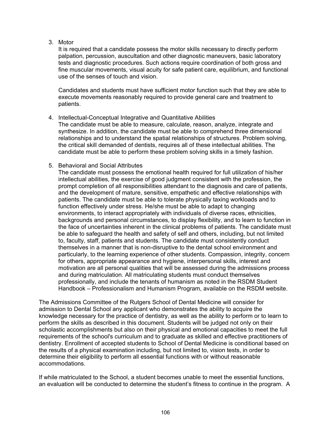3. Motor

It is required that a candidate possess the motor skills necessary to directly perform palpation, percussion, auscultation and other diagnostic maneuvers, basic laboratory tests and diagnostic procedures. Such actions require coordination of both gross and fine muscular movements, visual acuity for safe patient care, equilibrium, and functional use of the senses of touch and vision.

Candidates and students must have sufficient motor function such that they are able to execute movements reasonably required to provide general care and treatment to patients.

4. Intellectual-Conceptual Integrative and Quantitative Abilities

The candidate must be able to measure, calculate, reason, analyze, integrate and synthesize. In addition, the candidate must be able to comprehend three dimensional relationships and to understand the spatial relationships of structures. Problem solving, the critical skill demanded of dentists, requires all of these intellectual abilities. The candidate must be able to perform these problem solving skills in a timely fashion.

5. Behavioral and Social Attributes

The candidate must possess the emotional health required for full utilization of his/her intellectual abilities, the exercise of good judgment consistent with the profession, the prompt completion of all responsibilities attendant to the diagnosis and care of patients, and the development of mature, sensitive, empathetic and effective relationships with patients. The candidate must be able to tolerate physically taxing workloads and to function effectively under stress. He/she must be able to adapt to changing environments, to interact appropriately with individuals of diverse races, ethnicities, backgrounds and personal circumstances, to display flexibility, and to learn to function in the face of uncertainties inherent in the clinical problems of patients. The candidate must be able to safeguard the health and safety of self and others, including, but not limited to, faculty, staff, patients and students. The candidate must consistently conduct themselves in a manner that is non-disruptive to the dental school environment and particularly, to the learning experience of other students. Compassion, integrity, concern for others, appropriate appearance and hygiene, interpersonal skills, interest and motivation are all personal qualities that will be assessed during the admissions process and during matriculation. All matriculating students must conduct themselves professionally, and include the tenants of humanism as noted in the RSDM Student Handbook – Professionalism and Humanism Program, available on the RSDM website.

The Admissions Committee of the Rutgers School of Dental Medicine will consider for admission to Dental School any applicant who demonstrates the ability to acquire the knowledge necessary for the practice of dentistry, as well as the ability to perform or to learn to perform the skills as described in this document. Students will be judged not only on their scholastic accomplishments but also on their physical and emotional capacities to meet the full requirements of the school's curriculum and to graduate as skilled and effective practitioners of dentistry. Enrollment of accepted students to School of Dental Medicine is conditional based on the results of a physical examination including, but not limited to, vision tests, in order to determine their eligibility to perform all essential functions with or without reasonable accommodations.

If while matriculated to the School, a student becomes unable to meet the essential functions, an evaluation will be conducted to determine the student's fitness to continue in the program. A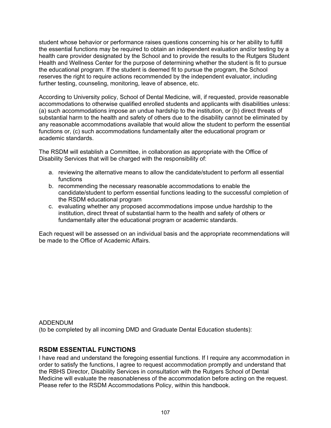student whose behavior or performance raises questions concerning his or her ability to fulfill the essential functions may be required to obtain an independent evaluation and/or testing by a health care provider designated by the School and to provide the results to the Rutgers Student Health and Wellness Center for the purpose of determining whether the student is fit to pursue the educational program. If the student is deemed fit to pursue the program, the School reserves the right to require actions recommended by the independent evaluator, including further testing, counseling, monitoring, leave of absence, etc.

According to University policy, School of Dental Medicine, will, if requested, provide reasonable accommodations to otherwise qualified enrolled students and applicants with disabilities unless: (a) such accommodations impose an undue hardship to the institution, or (b) direct threats of substantial harm to the health and safety of others due to the disability cannot be eliminated by any reasonable accommodations available that would allow the student to perform the essential functions or, (c) such accommodations fundamentally alter the educational program or academic standards.

The RSDM will establish a Committee, in collaboration as appropriate with the Office of Disability Services that will be charged with the responsibility of:

- a. reviewing the alternative means to allow the candidate/student to perform all essential functions
- b. recommending the necessary reasonable accommodations to enable the candidate/student to perform essential functions leading to the successful completion of the RSDM educational program
- c. evaluating whether any proposed accommodations impose undue hardship to the institution, direct threat of substantial harm to the health and safety of others or fundamentally alter the educational program or academic standards.

Each request will be assessed on an individual basis and the appropriate recommendations will be made to the Office of Academic Affairs.

ADDENDUM (to be completed by all incoming DMD and Graduate Dental Education students):

# **RSDM ESSENTIAL FUNCTIONS**

I have read and understand the foregoing essential functions. If I require any accommodation in order to satisfy the functions, I agree to request accommodation promptly and understand that the RBHS Director, Disability Services in consultation with the Rutgers School of Dental Medicine will evaluate the reasonableness of the accommodation before acting on the request. Please refer to the RSDM Accommodations Policy, within this handbook.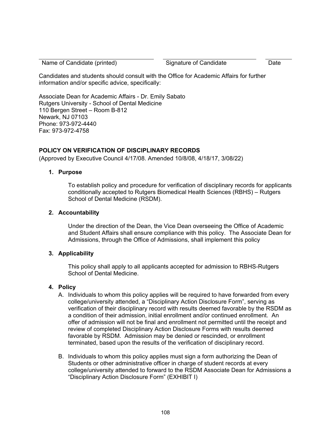Name of Candidate (printed) Signature of Candidate Date

Candidates and students should consult with the Office for Academic Affairs for further information and/or specific advice, specifically:

Associate Dean for Academic Affairs - Dr. Emily Sabato Rutgers University - School of Dental Medicine 110 Bergen Street – Room B-812 Newark, NJ 07103 Phone: 973-972-4440 Fax: 973-972-4758

# **POLICY ON VERIFICATION OF DISCIPLINARY RECORDS**

(Approved by Executive Council 4/17/08. Amended 10/8/08, 4/18/17, 3/08/22)

# **1. Purpose**

To establish policy and procedure for verification of disciplinary records for applicants conditionally accepted to Rutgers Biomedical Health Sciences (RBHS) – Rutgers School of Dental Medicine (RSDM).

# **2. Accountability**

Under the direction of the Dean, the Vice Dean overseeing the Office of Academic and Student Affairs shall ensure compliance with this policy. The Associate Dean for Admissions, through the Office of Admissions, shall implement this policy

# **3. Applicability**

This policy shall apply to all applicants accepted for admission to RBHS-Rutgers School of Dental Medicine.

# **4. Policy**

- A. Individuals to whom this policy applies will be required to have forwarded from every college/university attended, a "Disciplinary Action Disclosure Form", serving as verification of their disciplinary record with results deemed favorable by the RSDM as a condition of their admission, initial enrollment and/or continued enrollment. An offer of admission will not be final and enrollment not permitted until the receipt and review of completed Disciplinary Action Disclosure Forms with results deemed favorable by RSDM. Admission may be denied or rescinded, or enrollment terminated, based upon the results of the verification of disciplinary record.
- B. Individuals to whom this policy applies must sign a form authorizing the Dean of Students or other administrative officer in charge of student records at every college/university attended to forward to the RSDM Associate Dean for Admissions a "Disciplinary Action Disclosure Form" (EXHIBIT I)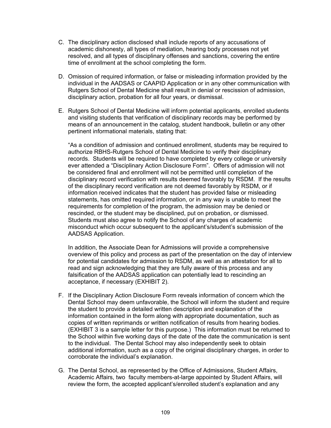- C. The disciplinary action disclosed shall include reports of any accusations of academic dishonesty, all types of mediation, hearing body processes not yet resolved, and all types of disciplinary offenses and sanctions, covering the entire time of enrollment at the school completing the form.
- D. Omission of required information, or false or misleading information provided by the individual in the AADSAS or CAAPID Application or in any other communication with Rutgers School of Dental Medicine shall result in denial or rescission of admission, disciplinary action, probation for all four years, or dismissal.
- E. Rutgers School of Dental Medicine will inform potential applicants, enrolled students and visiting students that verification of disciplinary records may be performed by means of an announcement in the catalog, student handbook, bulletin or any other pertinent informational materials, stating that:

"As a condition of admission and continued enrollment, students may be required to authorize RBHS-Rutgers School of Dental Medicine to verify their disciplinary records. Students will be required to have completed by every college or university ever attended a "Disciplinary Action Disclosure Form". Offers of admission will not be considered final and enrollment will not be permitted until completion of the disciplinary record verification with results deemed favorably by RSDM. If the results of the disciplinary record verification are not deemed favorably by RSDM, or if information received indicates that the student has provided false or misleading statements, has omitted required information, or in any way is unable to meet the requirements for completion of the program, the admission may be denied or rescinded, or the student may be disciplined, put on probation, or dismissed. Students must also agree to notify the School of any charges of academic misconduct which occur subsequent to the applicant's/student's submission of the AADSAS Application.

In addition, the Associate Dean for Admissions will provide a comprehensive overview of this policy and process as part of the presentation on the day of interview for potential candidates for admission to RSDM, as well as an attestation for all to read and sign acknowledging that they are fully aware of this process and any falsification of the AADSAS application can potentially lead to rescinding an acceptance, if necessary (EXHIBIT 2).

- F. If the Disciplinary Action Disclosure Form reveals information of concern which the Dental School may deem unfavorable, the School will inform the student and require the student to provide a detailed written description and explanation of the information contained in the form along with appropriate documentation, such as copies of written reprimands or written notification of results from hearing bodies. (EXHIBIT 3 is a sample letter for this purpose.) This information must be returned to the School within five working days of the date of the date the communication is sent to the individual. The Dental School may also independently seek to obtain additional information, such as a copy of the original disciplinary charges, in order to corroborate the individual's explanation.
- G. The Dental School, as represented by the Office of Admissions, Student Affairs, Academic Affairs, two faculty members-at-large appointed by Student Affairs, will review the form, the accepted applicant's/enrolled student's explanation and any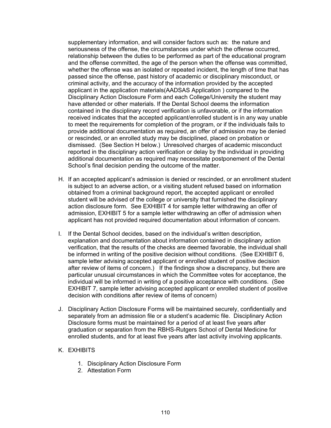supplementary information, and will consider factors such as: the nature and seriousness of the offense, the circumstances under which the offense occurred, relationship between the duties to be performed as part of the educational program and the offense committed, the age of the person when the offense was committed, whether the offense was an isolated or repeated incident, the length of time that has passed since the offense, past history of academic or disciplinary misconduct, or criminal activity, and the accuracy of the information provided by the accepted applicant in the application materials(AADSAS Application ) compared to the Disciplinary Action Disclosure Form and each College/University the student may have attended or other materials. If the Dental School deems the information contained in the disciplinary record verification is unfavorable, or if the information received indicates that the accepted applicant/enrolled student is in any way unable to meet the requirements for completion of the program, or if the individuals fails to provide additional documentation as required, an offer of admission may be denied or rescinded, or an enrolled study may be disciplined, placed on probation or dismissed. (See Section H below.) Unresolved charges of academic misconduct reported in the disciplinary action verification or delay by the individual in providing additional documentation as required may necessitate postponement of the Dental School's final decision pending the outcome of the matter.

- H. If an accepted applicant's admission is denied or rescinded, or an enrollment student is subject to an adverse action, or a visiting student refused based on information obtained from a criminal background report, the accepted applicant or enrolled student will be advised of the college or university that furnished the disciplinary action disclosure form. See EXHIBIT 4 for sample letter withdrawing an offer of admission, EXHIBIT 5 for a sample letter withdrawing an offer of admission when applicant has not provided required documentation about information of concern.
- I. If the Dental School decides, based on the individual's written description, explanation and documentation about information contained in disciplinary action verification, that the results of the checks are deemed favorable, the individual shall be informed in writing of the positive decision without conditions. (See EXHIBIT 6, sample letter advising accepted applicant or enrolled student of positive decision after review of items of concern.) If the findings show a discrepancy, but there are particular unusual circumstances in which the Committee votes for acceptance, the individual will be informed in writing of a positive acceptance with conditions. (See EXHIBIT 7, sample letter advising accepted applicant or enrolled student of positive decision with conditions after review of items of concern)
- J. Disciplinary Action Disclosure Forms will be maintained securely, confidentially and separately from an admission file or a student's academic file. Disciplinary Action Disclosure forms must be maintained for a period of at least five years after graduation or separation from the RBHS-Rutgers School of Dental Medicine for enrolled students, and for at least five years after last activity involving applicants.

#### K. EXHIBITS

- 1. Disciplinary Action Disclosure Form
- 2. Attestation Form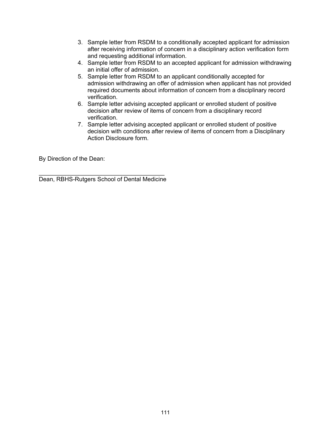- 3. Sample letter from RSDM to a conditionally accepted applicant for admission after receiving information of concern in a disciplinary action verification form and requesting additional information.
- 4. Sample letter from RSDM to an accepted applicant for admission withdrawing an initial offer of admission.
- 5. Sample letter from RSDM to an applicant conditionally accepted for admission withdrawing an offer of admission when applicant has not provided required documents about information of concern from a disciplinary record verification.
- 6. Sample letter advising accepted applicant or enrolled student of positive decision after review of items of concern from a disciplinary record verification.
- 7. Sample letter advising accepted applicant or enrolled student of positive decision with conditions after review of items of concern from a Disciplinary Action Disclosure form.

By Direction of the Dean:

\_\_\_\_\_\_\_\_\_\_\_\_\_\_\_\_\_\_\_\_\_\_\_\_\_\_\_\_\_\_\_\_\_\_\_\_\_\_ Dean, RBHS-Rutgers School of Dental Medicine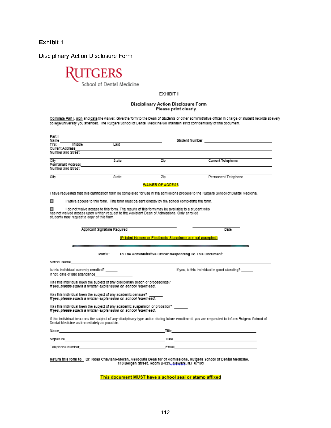Disciplinary Action Disclosure Form



EXHIBIT I

#### Disciplinary Action Disclosure Form Please print clearly.

Complete Part I, sign and date the walver. Give the form to the Dean of Students or other administrative officer in charge of student records at every college/university you attended. The Rutgers School of Dental Medicine will maintain strict confidentiality of this document.

| Part I<br>Name<br>First<br>Current Address<br>Number and Street                                                                                                                                                                                   | Middle                                                                                                                                 | Last                         |                                                            | Student Number and the student was a         |  |  |
|---------------------------------------------------------------------------------------------------------------------------------------------------------------------------------------------------------------------------------------------------|----------------------------------------------------------------------------------------------------------------------------------------|------------------------------|------------------------------------------------------------|----------------------------------------------|--|--|
| City<br>Number and Street                                                                                                                                                                                                                         | Permanent Address                                                                                                                      | State                        | Zip                                                        | Current Telephone                            |  |  |
| City                                                                                                                                                                                                                                              |                                                                                                                                        | State                        | Zip                                                        | Permanent Telephone                          |  |  |
| <b>WAIVER OF ACCESS</b>                                                                                                                                                                                                                           |                                                                                                                                        |                              |                                                            |                                              |  |  |
|                                                                                                                                                                                                                                                   | I have requested that this certification form be completed for use in the admissions process to the Rutgers School of Dental Medicine. |                              |                                                            |                                              |  |  |
| о                                                                                                                                                                                                                                                 | I walve access to this form. The form must be sent directly by the school completing the form.                                         |                              |                                                            |                                              |  |  |
| I do not walve access to this form. The results of this form may be available to a student who<br>о<br>has not walved access upon written request to the Assistant Dean of Admissions. Only enrolled<br>students may request a copy of this form. |                                                                                                                                        |                              |                                                            |                                              |  |  |
|                                                                                                                                                                                                                                                   |                                                                                                                                        | Applicant Signature Reguired |                                                            | Date                                         |  |  |
| (Printed Names or Electronic Signatures are not accepted)                                                                                                                                                                                         |                                                                                                                                        |                              |                                                            |                                              |  |  |
|                                                                                                                                                                                                                                                   |                                                                                                                                        |                              |                                                            |                                              |  |  |
|                                                                                                                                                                                                                                                   |                                                                                                                                        | Part II:                     | To The Administrative Officer Responding To This Document: |                                              |  |  |
| School Name                                                                                                                                                                                                                                       |                                                                                                                                        |                              |                                                            |                                              |  |  |
|                                                                                                                                                                                                                                                   | is this individual currently enrolled? _____<br>If not, date of last attendance                                                        |                              |                                                            | if yes, is this individual in good standing? |  |  |
| Has this individual been the subject of any disciplinary action or proceedings?<br>If yes, please attach a written explanation on school letterhead.                                                                                              |                                                                                                                                        |                              |                                                            |                                              |  |  |
| Has this individual been the subject of any academic censure?<br>If yes, please attach a written explanation on school letterhead.                                                                                                                |                                                                                                                                        |                              |                                                            |                                              |  |  |
| Has this individual been the subject of any academic suspension or probation?<br>If yes, please attach a written explanation on school letterhead.                                                                                                |                                                                                                                                        |                              |                                                            |                                              |  |  |
| If this individual becomes the subject of any disciplinary-type action during future enrollment, you are requested to inform Rutgers School of<br>Dental Medicine as immediately as possible.                                                     |                                                                                                                                        |                              |                                                            |                                              |  |  |
|                                                                                                                                                                                                                                                   |                                                                                                                                        |                              |                                                            |                                              |  |  |
|                                                                                                                                                                                                                                                   |                                                                                                                                        |                              |                                                            |                                              |  |  |
|                                                                                                                                                                                                                                                   |                                                                                                                                        |                              |                                                            |                                              |  |  |
| Return this form to: Dr. Rosa Chaviano-Moran, Associate Dean for of Admissions, Rutgers School of Dental Medicine.<br>110 Bergen Street, Room B-823, Newark, NJ 07103                                                                             |                                                                                                                                        |                              |                                                            |                                              |  |  |

This document MUST have a school seal or stamp affixed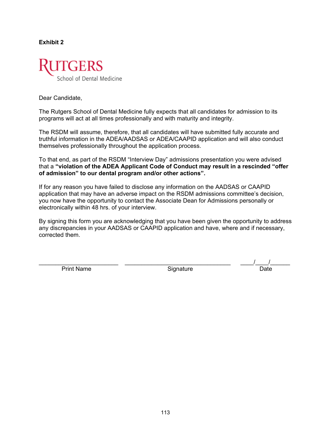

Dear Candidate,

The Rutgers School of Dental Medicine fully expects that all candidates for admission to its programs will act at all times professionally and with maturity and integrity.

The RSDM will assume, therefore, that all candidates will have submitted fully accurate and truthful information in the ADEA/AADSAS or ADEA/CAAPID application and will also conduct themselves professionally throughout the application process.

To that end, as part of the RSDM "Interview Day" admissions presentation you were advised that a **"violation of the ADEA Applicant Code of Conduct may result in a rescinded "offer of admission" to our dental program and/or other actions".**

If for any reason you have failed to disclose any information on the AADSAS or CAAPID application that may have an adverse impact on the RSDM admissions committee's decision, you now have the opportunity to contact the Associate Dean for Admissions personally or electronically within 48 hrs. of your interview.

By signing this form you are acknowledging that you have been given the opportunity to address any discrepancies in your AADSAS or CAAPID application and have, where and if necessary, corrected them.

Print Name **Signature Date Date Date Date** 

\_\_\_\_\_\_\_\_\_\_\_\_\_\_\_\_\_\_\_\_\_\_\_\_ \_\_\_\_\_\_\_\_\_\_\_\_\_\_\_\_\_\_\_\_\_\_\_\_\_\_\_\_\_\_\_\_ \_\_\_\_/\_\_\_\_/\_\_\_\_\_\_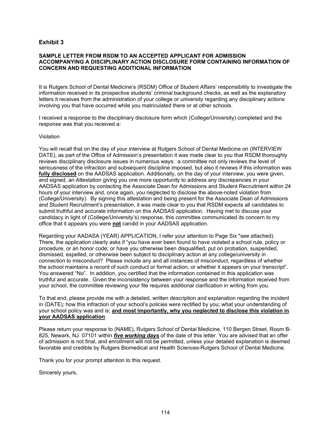#### **SAMPLE LETTER FROM RSDM TO AN ACCEPTED APPLICANT FOR ADMISSION ACCOMPANYING A DISCIPLINARY ACTION DISCLOSURE FORM CONTAINING INFORMATION OF CONCERN AND REQUESTING ADDITIONAL INFORMATION**

It is Rutgers School of Dental Medicine's (RSDM) Office of Student Affairs' responsibility to investigate the information received in its prospective students' criminal background checks, as well as the explanatory letters it receives from the administration of your college or university regarding any disciplinary actions involving you that have occurred while you matriculated there or at other schools.

I received a response to the disciplinary disclosure form which (College/University) completed and the response was that you received a:

#### Violation

You will recall that on the day of your interview at Rutgers School of Dental Medicine on (INTERVIEW DATE), as part of the Office of Admission's presentation it was made clear to you that RSDM thoroughly reviews disciplinary disclosure issues in numerous ways: a committee not only reviews the level of seriousness of the infraction and subsequent discipline imposed, but also it reviews if this information was **fully disclosed** on the AADSAS application. Additionally, on the day of your interview, you were given, and signed, an Attestation giving you one more opportunity to address any discrepancies in your AADSAS application by contacting the Associate Dean for Admissions and Student Recruitment within 24 hours of your interview and, once again, you neglected to disclose the above-noted violation from (College/University). By signing this attestation and being present for the Associate Dean of Admissions and Student Recruitment's presentation, it was made clear to you that RSDM expects all candidates to submit truthful and accurate information on this AADSAS application. Having met to discuss your candidacy in light of (College/University's) response, this committee communicated its concern to my office that it appears you were **not** candid in your AADSAS application.

Regarding your AADASA (YEAR) APPLICATION, I refer your attention to Page Six \*see attached). There, the application clearly asks if "you have ever been found to have violated a school rule, policy or procedure, or an honor code; or have you otherwise been disqualified, put on probation, suspended, dismissed, expelled, or otherwise been subject to disciplinary action at any college/university in connection to misconduct? Please include any and all instances of misconduct, regardless of whether the school maintains a record of such conduct or formal action, or whether it appears on your transcript". You answered "No". In addition, you certified that the information contained in this application was truthful and accurate. Given the inconsistency between your response and the information received from your school, the committee reviewing your file requires additional clarification in writing from you.

To that end, please provide me with a detailed, written description and explanation regarding the incident in (DATE); how this infraction of your school's policies were rectified by you; what your understanding of your school policy was and is; **and most importantly, why you neglected to disclose this violation in your AADSAS application**.

Please return your response to (NAME), Rutgers School of Dental Medicine, 110 Bergen Street, Room B-825, Newark, NJ 07101 within *five working days* of the date of this letter. You are advised that an offer of admission is not final, and enrollment will not be permitted, unless your detailed explanation is deemed favorable and credible by Rutgers Biomedical and Health Sciences-Rutgers School of Dental Medicine.

Thank you for your prompt attention to this request.

Sincerely yours,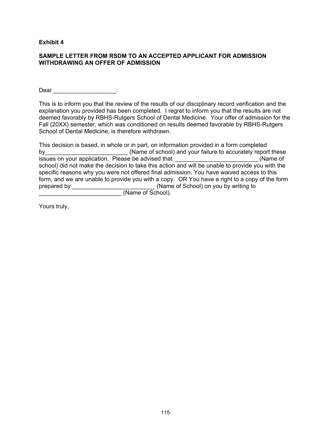#### **SAMPLE LETTER FROM RSDM TO AN ACCEPTED APPLICANT FOR ADMISSION WITHDRAWING AN OFFER OF ADMISSION**

 $\mathsf{Dear}$   $\qquad \qquad \vdots$ 

This is to inform you that the review of the results of our disciplinary record verification and the explanation you provided has been completed. I regret to inform you that the results are not deemed favorably by RBHS-Rutgers School of Dental Medicine. Your offer of admission for the Fall (20XX) semester, which was conditioned on results deemed favorable by RBHS-Rutgers School of Dental Medicine, is therefore withdrawn.

This decision is based, in whole or in part, on information provided in a form completed by by the same of school) and your failure to accurately report these issues on your application. Please be advised that **the example of the set of the set of the set of the set of** school) did not make the decision to take this action and will be unable to provide you with the specific reasons why you were not offered final admission. You have waived access to this form, and we are unable to provide you with a copy. OR You have a right to a copy of the form prepared by \_\_\_\_\_\_\_\_\_\_\_\_\_\_\_\_\_\_\_\_\_\_\_\_\_\_\_\_(Name of School) on you by writing to \_\_\_\_\_\_\_\_\_\_\_\_\_\_\_\_\_\_\_\_\_\_\_\_\_ (Name of School).

Yours truly,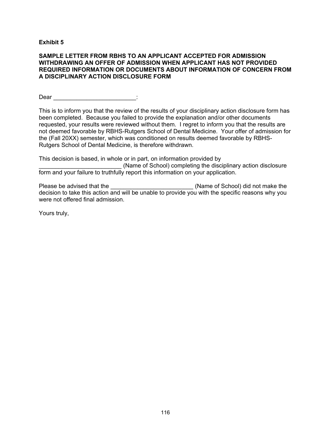#### **SAMPLE LETTER FROM RBHS TO AN APPLICANT ACCEPTED FOR ADMISSION WITHDRAWING AN OFFER OF ADMISSION WHEN APPLICANT HAS NOT PROVIDED REQUIRED INFORMATION OR DOCUMENTS ABOUT INFORMATION OF CONCERN FROM A DISCIPLINARY ACTION DISCLOSURE FORM**

Dear \_\_\_\_\_\_\_\_\_\_\_\_\_\_\_\_\_\_\_\_\_\_\_\_\_\_\_\_:

This is to inform you that the review of the results of your disciplinary action disclosure form has been completed. Because you failed to provide the explanation and/or other documents requested, your results were reviewed without them. I regret to inform you that the results are not deemed favorable by RBHS-Rutgers School of Dental Medicine. Your offer of admission for the (Fall 20XX) semester, which was conditioned on results deemed favorable by RBHS-Rutgers School of Dental Medicine, is therefore withdrawn.

This decision is based, in whole or in part, on information provided by (Name of School) completing the disciplinary action disclosure form and your failure to truthfully report this information on your application.

Please be advised that the \_\_\_\_\_\_\_\_\_\_\_\_\_\_\_\_\_\_\_\_\_\_\_\_\_\_\_\_\_\_\_\_\_(Name of School) did not make the decision to take this action and will be unable to provide you with the specific reasons why you were not offered final admission.

Yours truly,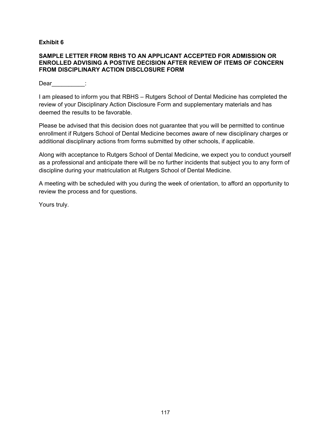#### **SAMPLE LETTER FROM RBHS TO AN APPLICANT ACCEPTED FOR ADMISSION OR ENROLLED ADVISING A POSTIVE DECISION AFTER REVIEW OF ITEMS OF CONCERN FROM DISCIPLINARY ACTION DISCLOSURE FORM**

Dear :

I am pleased to inform you that RBHS – Rutgers School of Dental Medicine has completed the review of your Disciplinary Action Disclosure Form and supplementary materials and has deemed the results to be favorable.

Please be advised that this decision does not guarantee that you will be permitted to continue enrollment if Rutgers School of Dental Medicine becomes aware of new disciplinary charges or additional disciplinary actions from forms submitted by other schools, if applicable.

Along with acceptance to Rutgers School of Dental Medicine, we expect you to conduct yourself as a professional and anticipate there will be no further incidents that subject you to any form of discipline during your matriculation at Rutgers School of Dental Medicine.

A meeting with be scheduled with you during the week of orientation, to afford an opportunity to review the process and for questions.

Yours truly.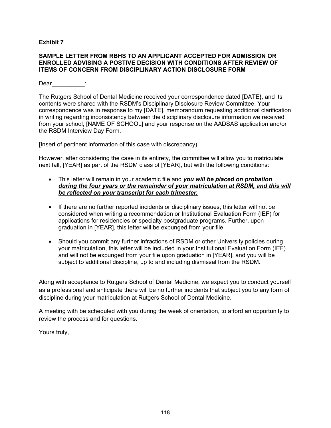#### **SAMPLE LETTER FROM RBHS TO AN APPLICANT ACCEPTED FOR ADMISSION OR ENROLLED ADVISING A POSTIVE DECISION WITH CONDITIONS AFTER REVIEW OF ITEMS OF CONCERN FROM DISCIPLINARY ACTION DISCLOSURE FORM**

Dear :

The Rutgers School of Dental Medicine received your correspondence dated [DATE}, and its contents were shared with the RSDM's Disciplinary Disclosure Review Committee. Your correspondence was in response to my [DATE], memorandum requesting additional clarification in writing regarding inconsistency between the disciplinary disclosure information we received from your school, [NAME OF SCHOOL] and your response on the AADSAS application and/or the RSDM Interview Day Form.

[Insert of pertinent information of this case with discrepancy)

However, after considering the case in its entirety, the committee will allow you to matriculate next fall, [YEAR] as part of the RSDM class of [YEAR], but with the following conditions:

- This letter will remain in your academic file and *you will be placed on probation during the four years or the remainder of your matriculation at RSDM, and this will be reflected on your transcript for each trimester.*
- If there are no further reported incidents or disciplinary issues, this letter will not be considered when writing a recommendation or Institutional Evaluation Form (IEF) for applications for residencies or specialty postgraduate programs. Further, upon graduation in [YEAR], this letter will be expunged from your file.
- Should you commit any further infractions of RSDM or other University policies during your matriculation, this letter will be included in your Institutional Evaluation Form (IEF) and will not be expunged from your file upon graduation in [YEAR], and you will be subject to additional discipline, up to and including dismissal from the RSDM.

Along with acceptance to Rutgers School of Dental Medicine, we expect you to conduct yourself as a professional and anticipate there will be no further incidents that subject you to any form of discipline during your matriculation at Rutgers School of Dental Medicine.

A meeting with be scheduled with you during the week of orientation, to afford an opportunity to review the process and for questions.

Yours truly,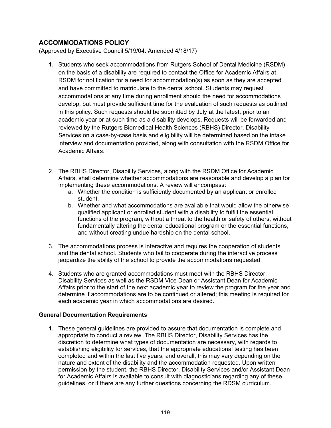# **ACCOMMODATIONS POLICY**

(Approved by Executive Council 5/19/04. Amended 4/18/17)

- 1. Students who seek accommodations from Rutgers School of Dental Medicine (RSDM) on the basis of a disability are required to contact the Office for Academic Affairs at RSDM for notification for a need for accommodation(s) as soon as they are accepted and have committed to matriculate to the dental school. Students may request accommodations at any time during enrollment should the need for accommodations develop, but must provide sufficient time for the evaluation of such requests as outlined in this policy. Such requests should be submitted by July at the latest, prior to an academic year or at such time as a disability develops. Requests will be forwarded and reviewed by the Rutgers Biomedical Health Sciences (RBHS) Director, Disability Services on a case-by-case basis and eligibility will be determined based on the intake interview and documentation provided, along with consultation with the RSDM Office for Academic Affairs.
- 2. The RBHS Director, Disability Services, along with the RSDM Office for Academic Affairs, shall determine whether accommodations are reasonable and develop a plan for implementing these accommodations. A review will encompass:
	- a. Whether the condition is sufficiently documented by an applicant or enrolled student.
	- b. Whether and what accommodations are available that would allow the otherwise qualified applicant or enrolled student with a disability to fulfill the essential functions of the program, without a threat to the health or safety of others, without fundamentally altering the dental educational program or the essential functions, and without creating undue hardship on the dental school.
- 3. The accommodations process is interactive and requires the cooperation of students and the dental school. Students who fail to cooperate during the interactive process jeopardize the ability of the school to provide the accommodations requested.
- 4. Students who are granted accommodations must meet with the RBHS Director, Disability Services as well as the RSDM Vice Dean or Assistant Dean for Academic Affairs prior to the start of the next academic year to review the program for the year and determine if accommodations are to be continued or altered; this meeting is required for each academic year in which accommodations are desired.

#### **General Documentation Requirements**

1. These general guidelines are provided to assure that documentation is complete and appropriate to conduct a review. The RBHS Director, Disability Services has the discretion to determine what types of documentation are necessary, with regards to establishing eligibility for services, that the appropriate educational testing has been completed and within the last five years, and overall, this may vary depending on the nature and extent of the disability and the accommodation requested. Upon written permission by the student, the RBHS Director, Disability Services and/or Assistant Dean for Academic Affairs is available to consult with diagnosticians regarding any of these guidelines, or if there are any further questions concerning the RDSM curriculum.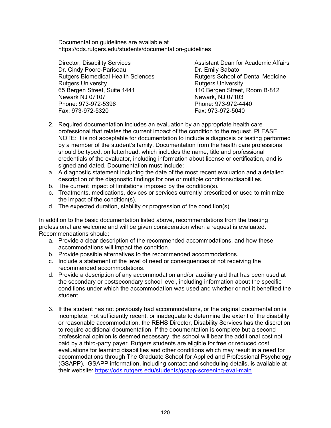Documentation guidelines are available at https://ods.rutgers.edu/students/documentation-guidelines

Director, Disability Services Assistant Dean for Academic Affairs Dr. Cindy Poore-Pariseau Dr. Emily Sabato Rutgers Biomedical Health Sciences Rutgers School of Dental Medicine Rutgers University<br>65 Bergen Street, Suite 1441 Newark NJ 07107 Newark, NJ 07103 Phone: 973-972-5396 Phone: 973-972-44<br>Fax: 973-972-5320 Fax: 973-972-5040 Fax: 973-972-5320

110 Bergen Street, Room B-812

- 2. Required documentation includes an evaluation by an appropriate health care professional that relates the current impact of the condition to the request. PLEASE NOTE: It is not acceptable for documentation to include a diagnosis or testing performed by a member of the student's family. Documentation from the health care professional should be typed, on letterhead, which includes the name, title and professional credentials of the evaluator, including information about license or certification, and is signed and dated. Documentation must include:
- a. A diagnostic statement including the date of the most recent evaluation and a detailed description of the diagnostic findings for one or multiple conditions/disabilities.
- b. The current impact of limitations imposed by the condition(s).
- c. Treatments, medications, devices or services currently prescribed or used to minimize the impact of the condition(s).
- d. The expected duration, stability or progression of the condition(s).

In addition to the basic documentation listed above, recommendations from the treating professional are welcome and will be given consideration when a request is evaluated. Recommendations should:

- a. Provide a clear description of the recommended accommodations, and how these accommodations will impact the condition.
- b. Provide possible alternatives to the recommended accommodations.
- c. Include a statement of the level of need or consequences of not receiving the recommended accommodations.
- d. Provide a description of any accommodation and/or auxiliary aid that has been used at the secondary or postsecondary school level, including information about the specific conditions under which the accommodation was used and whether or not it benefited the student.
- 3. If the student has not previously had accommodations, or the original documentation is incomplete, not sufficiently recent, or inadequate to determine the extent of the disability or reasonable accommodation, the RBHS Director, Disability Services has the discretion to require additional documentation. If the documentation is complete but a second professional opinion is deemed necessary, the school will bear the additional cost not paid by a third-party payer. Rutgers students are eligible for free or reduced cost evaluations for learning disabilities and other conditions which may result in a need for accommodations through The Graduate School for Applied and Professional Psychology (GSAPP). GSAPP information, including contact and scheduling details, is available at their website:<https://ods.rutgers.edu/students/gsapp-screening-eval-main>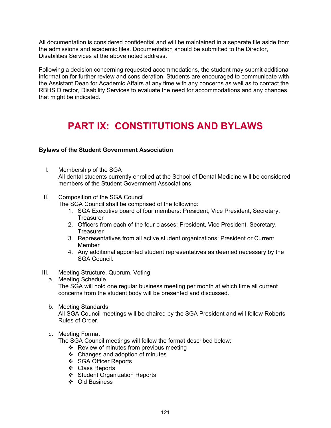All documentation is considered confidential and will be maintained in a separate file aside from the admissions and academic files. Documentation should be submitted to the Director, Disabilities Services at the above noted address.

Following a decision concerning requested accommodations, the student may submit additional information for further review and consideration. Students are encouraged to communicate with the Assistant Dean for Academic Affairs at any time with any concerns as well as to contact the RBHS Director, Disability Services to evaluate the need for accommodations and any changes that might be indicated.

# **PART IX: CONSTITUTIONS AND BYLAWS**

#### **Bylaws of the Student Government Association**

- I. Membership of the SGA All dental students currently enrolled at the School of Dental Medicine will be considered members of the Student Government Associations.
- II. Composition of the SGA Council

The SGA Council shall be comprised of the following:

- 1. SGA Executive board of four members: President, Vice President, Secretary, **Treasurer**
- 2. Officers from each of the four classes: President, Vice President, Secretary, **Treasurer**
- 3. Representatives from all active student organizations: President or Current Member
- 4. Any additional appointed student representatives as deemed necessary by the SGA Council.
- III. Meeting Structure, Quorum, Voting
	- a. Meeting Schedule

The SGA will hold one regular business meeting per month at which time all current concerns from the student body will be presented and discussed.

b. Meeting Standards

All SGA Council meetings will be chaired by the SGA President and will follow Roberts Rules of Order.

#### c. Meeting Format

The SGA Council meetings will follow the format described below:

- ❖ Review of minutes from previous meeting
- Changes and adoption of minutes
- SGA Officer Reports
- Class Reports
- Student Organization Reports
- Old Business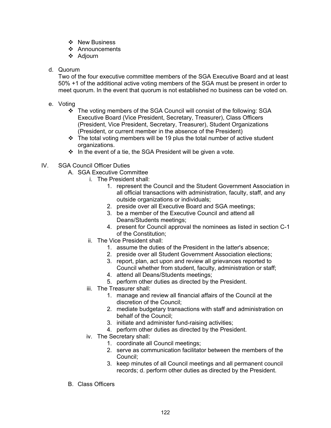- ❖ New Business
- ❖ Announcements
- ❖ Adjourn
- d. Quorum

Two of the four executive committee members of the SGA Executive Board and at least 50% +1 of the additional active voting members of the SGA must be present in order to meet quorum. In the event that quorum is not established no business can be voted on.

- e. Voting
	- The voting members of the SGA Council will consist of the following: SGA Executive Board (Vice President, Secretary, Treasurer), Class Officers (President, Vice President, Secretary, Treasurer), Student Organizations (President, or current member in the absence of the President)
	- $\div$  The total voting members will be 19 plus the total number of active student organizations.
	- $\cdot \cdot$  In the event of a tie, the SGA President will be given a vote.
- IV. SGA Council Officer Duties
	- A. SGA Executive Committee
		- i. The President shall:
			- 1. represent the Council and the Student Government Association in all official transactions with administration, faculty, staff, and any outside organizations or individuals;
			- 2. preside over all Executive Board and SGA meetings;
			- 3. be a member of the Executive Council and attend all Deans/Students meetings;
			- 4. present for Council approval the nominees as listed in section C-1 of the Constitution;
		- ii. The Vice President shall:
			- 1. assume the duties of the President in the latter's absence;
			- 2. preside over all Student Government Association elections;
			- 3. report, plan, act upon and review all grievances reported to Council whether from student, faculty, administration or staff;
			- 4. attend all Deans/Students meetings;
			- 5. perform other duties as directed by the President.
		- iii. The Treasurer shall:
			- 1. manage and review all financial affairs of the Council at the discretion of the Council;
			- 2. mediate budgetary transactions with staff and administration on behalf of the Council;
			- 3. initiate and administer fund-raising activities;
			- 4. perform other duties as directed by the President.
		- iv. The Secretary shall:
			- 1. coordinate all Council meetings;
			- 2. serve as communication facilitator between the members of the Council;
			- 3. keep minutes of all Council meetings and all permanent council records; d. perform other duties as directed by the President.
	- B. Class Officers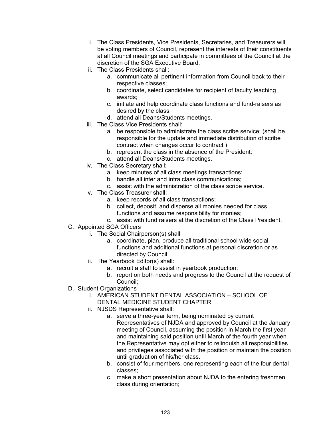- i. The Class Presidents, Vice Presidents, Secretaries, and Treasurers will be voting members of Council, represent the interests of their constituents at all Council meetings and participate in committees of the Council at the discretion of the SGA Executive Board.
- ii. The Class Presidents shall:
	- a. communicate all pertinent information from Council back to their respective classes;
	- b. coordinate, select candidates for recipient of faculty teaching awards;
	- c. initiate and help coordinate class functions and fund-raisers as desired by the class.
	- d. attend all Deans/Students meetings.
- iii. The Class Vice Presidents shall:
	- a. be responsible to administrate the class scribe service; (shall be responsible for the update and immediate distribution of scribe contract when changes occur to contract )
	- b. represent the class in the absence of the President;
	- c. attend all Deans/Students meetings.
- iv. The Class Secretary shall:
	- a. keep minutes of all class meetings transactions;
	- b. handle all inter and intra class communications;
	- c. assist with the administration of the class scribe service.
- v. The Class Treasurer shall:
	- a. keep records of all class transactions;
	- b. collect, deposit, and disperse all monies needed for class functions and assume responsibility for monies;
	- c. assist with fund raisers at the discretion of the Class President.
- C. Appointed SGA Officers
	- i. The Social Chairperson(s) shall
		- a. coordinate, plan, produce all traditional school wide social functions and additional functions at personal discretion or as directed by Council.
	- ii. The Yearbook Editor(s) shall:
		- a. recruit a staff to assist in yearbook production;
		- b. report on both needs and progress to the Council at the request of Council;
- D. Student Organizations
	- i. AMERICAN STUDENT DENTAL ASSOCIATION SCHOOL OF
	- DENTAL MEDICINE STUDENT CHAPTER
	- ii. NJSDS Representative shall:
		- a. serve a three-year term, being nominated by current Representatives of NJDA and approved by Council at the January meeting of Council, assuming the position in March the first year and maintaining said position until March of the fourth year when the Representative may opt either to relinquish all responsibilities and privileges associated with the position or maintain the position until graduation of his/her class.
		- b. consist of four members, one representing each of the four dental classes;
		- c. make a short presentation about NJDA to the entering freshmen class during orientation;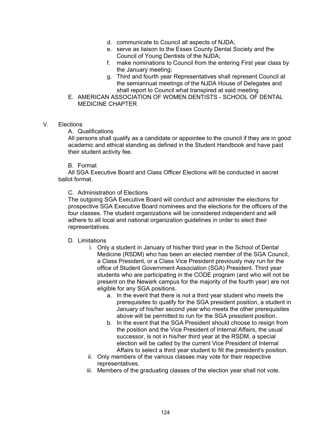- d. communicate to Council all aspects of NJDA;
- e. serve as liaison to the Essex County Dental Society and the Council of Young Dentists of the NJDA;
- f. make nominations to Council from the entering First year class by the January meeting;
- g. Third and fourth year Representatives shall represent Council at the semiannual meetings of the NJDA House of Delegates and shall report to Council what transpired at said meeting
- E. AMERICAN ASSOCIATION OF WOMEN DENTISTS SCHOOL OF DENTAL MEDICINE CHAPTER

#### V. Elections

A. Qualifications

All persons shall qualify as a candidate or appointee to the council if they are in good academic and ethical standing as defined in the Student Handbook and have paid their student activity fee.

#### B. Format

All SGA Executive Board and Class Officer Elections will be conducted in secret ballot format.

#### C. Administration of Elections

The outgoing SGA Executive Board will conduct and administer the elections for prospective SGA Executive Board nominees and the elections for the officers of the four classes. The student organizations will be considered independent and will adhere to all local and national organization guidelines in order to elect their representatives.

#### D. Limitations

- i. Only a student in January of his/her third year in the School of Dental Medicine (RSDM) who has been an elected member of the SGA Council, a Class President, or a Class Vice President previously may run for the office of Student Government Association (SGA) President. Third year students who are participating in the CODE program (and who will not be present on the Newark campus for the majority of the fourth year) are not eligible for any SGA positions.
	- a. In the event that there is not a third year student who meets the prerequisites to qualify for the SGA president position, a student in January of his/her second year who meets the other prerequisites above will be permitted to run for the SGA president position.
	- b. In the event that the SGA President should choose to resign from the position and the Vice President of Internal Affairs, the usual successor, is not in his/her third year at the RSDM, a special election will be called by the current Vice President of Internal Affairs to select a third year student to fill the president's position.
- ii. Only members of the various classes may vote for their respective representatives.
- iii. Members of the graduating classes of the election year shall not vote.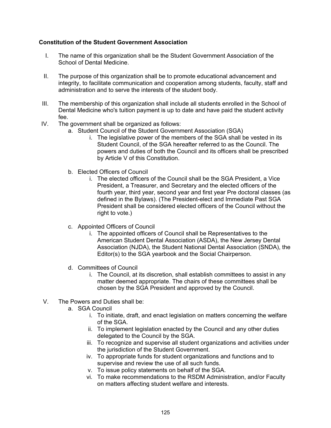#### **Constitution of the Student Government Association**

- I. The name of this organization shall be the Student Government Association of the School of Dental Medicine.
- II. The purpose of this organization shall be to promote educational advancement and integrity, to facilitate communication and cooperation among students, faculty, staff and administration and to serve the interests of the student body.
- III. The membership of this organization shall include all students enrolled in the School of Dental Medicine who's tuition payment is up to date and have paid the student activity fee.
- IV. The government shall be organized as follows:
	- a. Student Council of the Student Government Association (SGA)
		- i. The legislative power of the members of the SGA shall be vested in its Student Council, of the SGA hereafter referred to as the Council. The powers and duties of both the Council and its officers shall be prescribed by Article V of this Constitution.
	- b. Elected Officers of Council
		- i. The elected officers of the Council shall be the SGA President, a Vice President, a Treasurer, and Secretary and the elected officers of the fourth year, third year, second year and first year Pre doctoral classes (as defined in the Bylaws). (The President-elect and Immediate Past SGA President shall be considered elected officers of the Council without the right to vote.)
	- c. Appointed Officers of Council
		- i. The appointed officers of Council shall be Representatives to the American Student Dental Association (ASDA), the New Jersey Dental Association (NJDA), the Student National Dental Association (SNDA), the Editor(s) to the SGA yearbook and the Social Chairperson.
	- d. Committees of Council
		- i. The Council, at its discretion, shall establish committees to assist in any matter deemed appropriate. The chairs of these committees shall be chosen by the SGA President and approved by the Council.
- V. The Powers and Duties shall be:
	- a. SGA Council
		- i. To initiate, draft, and enact legislation on matters concerning the welfare of the SGA.
		- ii. To implement legislation enacted by the Council and any other duties delegated to the Council by the SGA.
		- iii. To recognize and supervise all student organizations and activities under the jurisdiction of the Student Government.
		- iv. To appropriate funds for student organizations and functions and to supervise and review the use of all such funds.
		- v. To issue policy statements on behalf of the SGA.
		- vi. To make recommendations to the RSDM Administration, and/or Faculty on matters affecting student welfare and interests.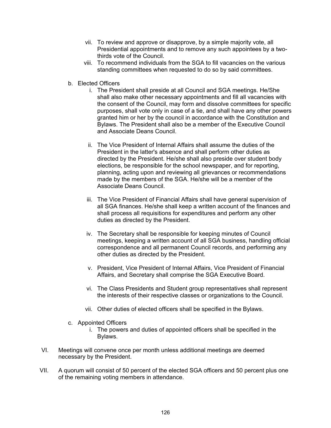- vii. To review and approve or disapprove, by a simple majority vote, all Presidential appointments and to remove any such appointees by a twothirds vote of the Council.
- viii. To recommend individuals from the SGA to fill vacancies on the various standing committees when requested to do so by said committees.
- b. Elected Officers
	- i. The President shall preside at all Council and SGA meetings. He/She shall also make other necessary appointments and fill all vacancies with the consent of the Council, may form and dissolve committees for specific purposes, shall vote only in case of a tie, and shall have any other powers granted him or her by the council in accordance with the Constitution and Bylaws. The President shall also be a member of the Executive Council and Associate Deans Council.
	- ii. The Vice President of Internal Affairs shall assume the duties of the President in the latter's absence and shall perform other duties as directed by the President. He/she shall also preside over student body elections, be responsible for the school newspaper, and for reporting, planning, acting upon and reviewing all grievances or recommendations made by the members of the SGA. He/she will be a member of the Associate Deans Council.
	- iii. The Vice President of Financial Affairs shall have general supervision of all SGA finances. He/she shall keep a written account of the finances and shall process all requisitions for expenditures and perform any other duties as directed by the President.
	- iv. The Secretary shall be responsible for keeping minutes of Council meetings, keeping a written account of all SGA business, handling official correspondence and all permanent Council records, and performing any other duties as directed by the President.
	- v. President, Vice President of Internal Affairs, Vice President of Financial Affairs, and Secretary shall comprise the SGA Executive Board.
	- vi. The Class Presidents and Student group representatives shall represent the interests of their respective classes or organizations to the Council.
	- vii. Other duties of elected officers shall be specified in the Bylaws.
- c. Appointed Officers
	- i. The powers and duties of appointed officers shall be specified in the Bylaws.
- VI. Meetings will convene once per month unless additional meetings are deemed necessary by the President.
- VII. A quorum will consist of 50 percent of the elected SGA officers and 50 percent plus one of the remaining voting members in attendance.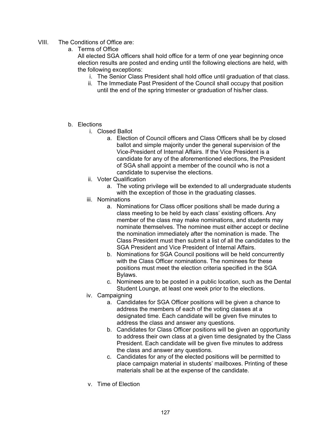- VIII. The Conditions of Office are:
	- a. Terms of Office

All elected SGA officers shall hold office for a term of one year beginning once election results are posted and ending until the following elections are held, with the following exceptions:

- i. The Senior Class President shall hold office until graduation of that class.
- ii. The Immediate Past President of the Council shall occupy that position until the end of the spring trimester or graduation of his/her class.
- b. Elections
	- i. Closed Ballot
		- a. Election of Council officers and Class Officers shall be by closed ballot and simple majority under the general supervision of the Vice-President of Internal Affairs. If the Vice President is a candidate for any of the aforementioned elections, the President of SGA shall appoint a member of the council who is not a candidate to supervise the elections.
	- ii. Voter Qualification
		- a. The voting privilege will be extended to all undergraduate students with the exception of those in the graduating classes.
	- iii. Nominations
		- a. Nominations for Class officer positions shall be made during a class meeting to be held by each class' existing officers. Any member of the class may make nominations, and students may nominate themselves. The nominee must either accept or decline the nomination immediately after the nomination is made. The Class President must then submit a list of all the candidates to the SGA President and Vice President of Internal Affairs.
		- b. Nominations for SGA Council positions will be held concurrently with the Class Officer nominations. The nominees for these positions must meet the election criteria specified in the SGA Bylaws.
		- c. Nominees are to be posted in a public location, such as the Dental Student Lounge, at least one week prior to the elections.
	- iv. Campaigning
		- a. Candidates for SGA Officer positions will be given a chance to address the members of each of the voting classes at a designated time. Each candidate will be given five minutes to address the class and answer any questions.
		- b. Candidates for Class Officer positions will be given an opportunity to address their own class at a given time designated by the Class President. Each candidate will be given five minutes to address the class and answer any questions.
		- c. Candidates for any of the elected positions will be permitted to place campaign material in students' mailboxes. Printing of these materials shall be at the expense of the candidate.
	- v. Time of Election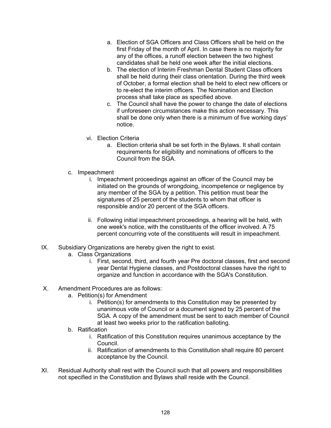- a. Election of SGA Officers and Class Officers shall be held on the first Friday of the month of April. In case there is no majority for any of the offices, a runoff election between the two highest candidates shall be held one week after the initial elections.
- b. The election of Interim Freshman Dental Student Class officers shall be held during their class orientation. During the third week of October, a formal election shall be held to elect new officers or to re-elect the interim officers. The Nomination and Election process shall take place as specified above.
- c. The Council shall have the power to change the date of elections if unforeseen circumstances make this action necessary. This shall be done only when there is a minimum of five working days' notice.
- vi. Election Criteria
	- a. Election criteria shall be set forth in the Bylaws. It shall contain requirements for eligibility and nominations of officers to the Council from the SGA.
- c. Impeachment
	- i. Impeachment proceedings against an officer of the Council may be initiated on the grounds of wrongdoing, incompetence or negligence by any member of the SGA by a petition. This petition must bear the signatures of 25 percent of the students to whom that officer is responsible and/or 20 percent of the SGA officers.
	- ii. Following initial impeachment proceedings, a hearing will be held, with one week's notice, with the constituents of the officer involved. A 75 percent concurring vote of the constituents will result in impeachment.
- IX. Subsidiary Organizations are hereby given the right to exist.
	- a. Class Organizations
		- i. First, second, third, and fourth year Pre doctoral classes, first and second year Dental Hygiene classes, and Postdoctoral classes have the right to organize and function in accordance with the SGA's Constitution.
- X. Amendment Procedures are as follows:
	- a. Petition(s) for Amendment
		- i. Petition(s) for amendments to this Constitution may be presented by unanimous vote of Council or a document signed by 25 percent of the SGA. A copy of the amendment must be sent to each member of Council at least two weeks prior to the ratification balloting.
	- b. Ratification
		- i. Ratification of this Constitution requires unanimous acceptance by the Council.
		- ii. Ratification of amendments to this Constitution shall require 80 percent acceptance by the Council.
- XI. Residual Authority shall rest with the Council such that all powers and responsibilities not specified in the Constitution and Bylaws shall reside with the Council.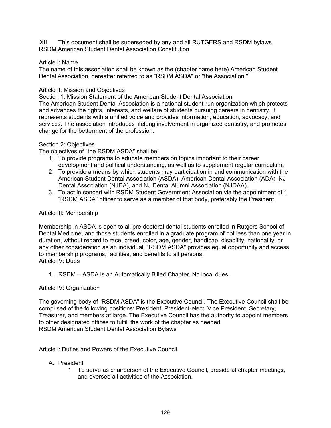XII. This document shall be superseded by any and all RUTGERS and RSDM bylaws. RSDM American Student Dental Association Constitution

#### Article I: Name

The name of this association shall be known as the (chapter name here) American Student Dental Association, hereafter referred to as "RSDM ASDA" or "the Association."

#### Article II: Mission and Objectives

Section 1: Mission Statement of the American Student Dental Association The American Student Dental Association is a national student-run organization which protects and advances the rights, interests, and welfare of students pursuing careers in dentistry. It represents students with a unified voice and provides information, education, advocacy, and services. The association introduces lifelong involvement in organized dentistry, and promotes change for the betterment of the profession.

#### Section 2: Objectives

The objectives of "the RSDM ASDA" shall be:

- 1. To provide programs to educate members on topics important to their career development and political understanding, as well as to supplement regular curriculum.
- 2. To provide a means by which students may participation in and communication with the American Student Dental Association (ASDA), American Dental Association (ADA), NJ Dental Association (NJDA), and NJ Dental Alumni Association (NJDAA).
- 3. To act in concert with RSDM Student Government Association via the appointment of 1 "RSDM ASDA" officer to serve as a member of that body, preferably the President.

#### Article III: Membership

Membership in ASDA is open to all pre-doctoral dental students enrolled in Rutgers School of Dental Medicine, and those students enrolled in a graduate program of not less than one year in duration, without regard to race, creed, color, age, gender, handicap, disability, nationality, or any other consideration as an individual. "RSDM ASDA" provides equal opportunity and access to membership programs, facilities, and benefits to all persons. Article IV: Dues

1. RSDM – ASDA is an Automatically Billed Chapter. No local dues.

#### Article IV: Organization

The governing body of "RSDM ASDA" is the Executive Council. The Executive Council shall be comprised of the following positions: President, President-elect, Vice President, Secretary, Treasurer, and members at large. The Executive Council has the authority to appoint members to other designated offices to fulfill the work of the chapter as needed. RSDM American Student Dental Association Bylaws

Article I: Duties and Powers of the Executive Council

#### A. President

1. To serve as chairperson of the Executive Council, preside at chapter meetings, and oversee all activities of the Association.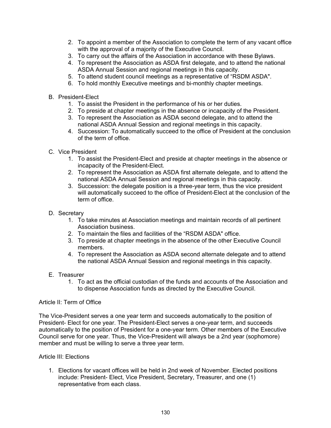- 2. To appoint a member of the Association to complete the term of any vacant office with the approval of a majority of the Executive Council.
- 3. To carry out the affairs of the Association in accordance with these Bylaws.
- 4. To represent the Association as ASDA first delegate, and to attend the national ASDA Annual Session and regional meetings in this capacity.
- 5. To attend student council meetings as a representative of "RSDM ASDA".
- 6. To hold monthly Executive meetings and bi-monthly chapter meetings.
- B. President-Elect
	- 1. To assist the President in the performance of his or her duties.
	- 2. To preside at chapter meetings in the absence or incapacity of the President.
	- 3. To represent the Association as ASDA second delegate, and to attend the national ASDA Annual Session and regional meetings in this capacity.
	- 4. Succession: To automatically succeed to the office of President at the conclusion of the term of office.
- C. Vice President
	- 1. To assist the President-Elect and preside at chapter meetings in the absence or incapacity of the President-Elect.
	- 2. To represent the Association as ASDA first alternate delegate, and to attend the national ASDA Annual Session and regional meetings in this capacity.
	- 3. Succession: the delegate position is a three-year term, thus the vice president will automatically succeed to the office of President-Elect at the conclusion of the term of office.
- D. Secretary
	- 1. To take minutes at Association meetings and maintain records of all pertinent Association business.
	- 2. To maintain the files and facilities of the "RSDM ASDA" office.
	- 3. To preside at chapter meetings in the absence of the other Executive Council members.
	- 4. To represent the Association as ASDA second alternate delegate and to attend the national ASDA Annual Session and regional meetings in this capacity.
- E. Treasurer
	- 1. To act as the official custodian of the funds and accounts of the Association and to dispense Association funds as directed by the Executive Council.

#### Article II: Term of Office

The Vice-President serves a one year term and succeeds automatically to the position of President- Elect for one year. The President-Elect serves a one-year term, and succeeds automatically to the position of President for a one-year term. Other members of the Executive Council serve for one year. Thus, the Vice-President will always be a 2nd year (sophomore) member and must be willing to serve a three year term.

#### Article III: Elections

1. Elections for vacant offices will be held in 2nd week of November. Elected positions include: President- Elect, Vice President, Secretary, Treasurer, and one (1) representative from each class.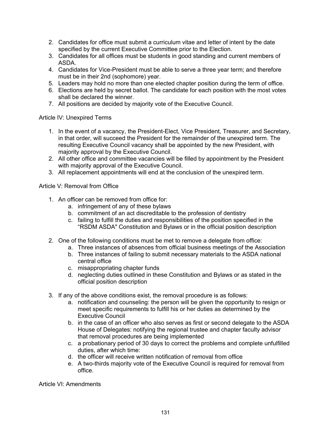- 2. Candidates for office must submit a curriculum vitae and letter of intent by the date specified by the current Executive Committee prior to the Election.
- 3. Candidates for all offices must be students in good standing and current members of ASDA.
- 4. Candidates for Vice-President must be able to serve a three year term; and therefore must be in their 2nd (sophomore) year.
- 5. Leaders may hold no more than one elected chapter position during the term of office.
- 6. Elections are held by secret ballot. The candidate for each position with the most votes shall be declared the winner.
- 7. All positions are decided by majority vote of the Executive Council.

Article IV: Unexpired Terms

- 1. In the event of a vacancy, the President-Elect, Vice President, Treasurer, and Secretary, in that order, will succeed the President for the remainder of the unexpired term. The resulting Executive Council vacancy shall be appointed by the new President, with majority approval by the Executive Council.
- 2. All other office and committee vacancies will be filled by appointment by the President with majority approval of the Executive Council.
- 3. All replacement appointments will end at the conclusion of the unexpired term.

Article V: Removal from Office

- 1. An officer can be removed from office for:
	- a. infringement of any of these bylaws
	- b. commitment of an act discreditable to the profession of dentistry
	- c. failing to fulfill the duties and responsibilities of the position specified in the "RSDM ASDA" Constitution and Bylaws or in the official position description
- 2. One of the following conditions must be met to remove a delegate from office:
	- a. Three instances of absences from official business meetings of the Association
	- b. Three instances of failing to submit necessary materials to the ASDA national central office
	- c. misappropriating chapter funds
	- d. neglecting duties outlined in these Constitution and Bylaws or as stated in the official position description
- 3. If any of the above conditions exist, the removal procedure is as follows:
	- a. notification and counseling: the person will be given the opportunity to resign or meet specific requirements to fulfill his or her duties as determined by the Executive Council
	- b. in the case of an officer who also serves as first or second delegate to the ASDA House of Delegates: notifying the regional trustee and chapter faculty advisor that removal procedures are being implemented
	- c. a probationary period of 30 days to correct the problems and complete unfulfilled duties, after which time:
	- d. the officer will receive written notification of removal from office
	- e. A two-thirds majority vote of the Executive Council is required for removal from office.

Article VI: Amendments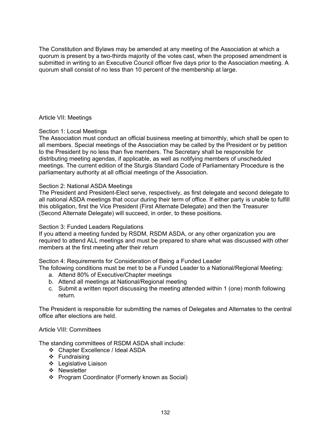The Constitution and Bylaws may be amended at any meeting of the Association at which a quorum is present by a two-thirds majority of the votes cast, when the proposed amendment is submitted in writing to an Executive Council officer five days prior to the Association meeting. A quorum shall consist of no less than 10 percent of the membership at large.

Article VII: Meetings

#### Section 1: Local Meetings

The Association must conduct an official business meeting at bimonthly, which shall be open to all members. Special meetings of the Association may be called by the President or by petition to the President by no less than five members. The Secretary shall be responsible for distributing meeting agendas, if applicable, as well as notifying members of unscheduled meetings. The current edition of the Sturgis Standard Code of Parliamentary Procedure is the parliamentary authority at all official meetings of the Association.

### Section 2: National ASDA Meetings

The President and President-Elect serve, respectively, as first delegate and second delegate to all national ASDA meetings that occur during their term of office. If either party is unable to fulfill this obligation, first the Vice President (First Alternate Delegate) and then the Treasurer (Second Alternate Delegate) will succeed, in order, to these positions.

#### Section 3: Funded Leaders Regulations

If you attend a meeting funded by RSDM, RSDM ASDA, or any other organization you are required to attend ALL meetings and must be prepared to share what was discussed with other members at the first meeting after their return

Section 4: Requirements for Consideration of Being a Funded Leader

The following conditions must be met to be a Funded Leader to a National/Regional Meeting:

- a. Attend 80% of Executive/Chapter meetings
- b. Attend all meetings at National/Regional meeting
- c. Submit a written report discussing the meeting attended within 1 (one) month following return.

The President is responsible for submitting the names of Delegates and Alternates to the central office after elections are held.

#### Article VIII: Committees

The standing committees of RSDM ASDA shall include:

- Chapter Excellence / Ideal ASDA
- ❖ Fundraising
- Legislative Liaison
- ❖ Newsletter
- ❖ Program Coordinator (Formerly known as Social)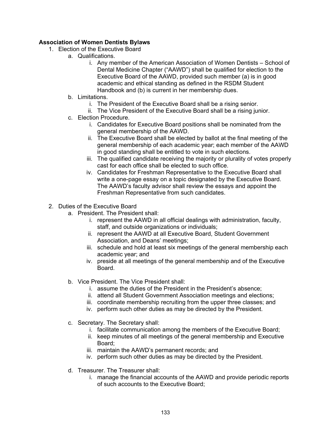## **Association of Women Dentists Bylaws**

- 1. Election of the Executive Board
	- a. Qualifications.
		- i. Any member of the American Association of Women Dentists School of Dental Medicine Chapter ("AAWD") shall be qualified for election to the Executive Board of the AAWD, provided such member (a) is in good academic and ethical standing as defined in the RSDM Student Handbook and (b) is current in her membership dues.
	- b. Limitations.
		- i. The President of the Executive Board shall be a rising senior.
		- ii. The Vice President of the Executive Board shall be a rising junior.
	- c. Election Procedure.
		- i. Candidates for Executive Board positions shall be nominated from the general membership of the AAWD.
		- ii. The Executive Board shall be elected by ballot at the final meeting of the general membership of each academic year; each member of the AAWD in good standing shall be entitled to vote in such elections.
		- iii. The qualified candidate receiving the majority or plurality of votes properly cast for each office shall be elected to such office.
		- iv. Candidates for Freshman Representative to the Executive Board shall write a one-page essay on a topic designated by the Executive Board. The AAWD's faculty advisor shall review the essays and appoint the Freshman Representative from such candidates.
- 2. Duties of the Executive Board
	- a. President. The President shall:
		- i. represent the AAWD in all official dealings with administration, faculty, staff, and outside organizations or individuals;
		- ii. represent the AAWD at all Executive Board, Student Government Association, and Deans' meetings;
		- iii. schedule and hold at least six meetings of the general membership each academic year; and
		- iv. preside at all meetings of the general membership and of the Executive Board.
	- b. Vice President. The Vice President shall:
		- i. assume the duties of the President in the President's absence;
		- ii. attend all Student Government Association meetings and elections;
		- iii. coordinate membership recruiting from the upper three classes; and
		- iv. perform such other duties as may be directed by the President.
	- c. Secretary. The Secretary shall:
		- i. facilitate communication among the members of the Executive Board;
		- ii. keep minutes of all meetings of the general membership and Executive Board;
		- iii. maintain the AAWD's permanent records; and
		- iv. perform such other duties as may be directed by the President.
	- d. Treasurer. The Treasurer shall:
		- i. manage the financial accounts of the AAWD and provide periodic reports of such accounts to the Executive Board;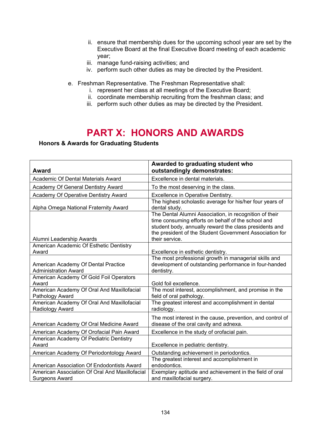- ii. ensure that membership dues for the upcoming school year are set by the Executive Board at the final Executive Board meeting of each academic year;
- iii. manage fund-raising activities; and
- iv. perform such other duties as may be directed by the President.
- e. Freshman Representative. The Freshman Representative shall:
	- i. represent her class at all meetings of the Executive Board;
	- ii. coordinate membership recruiting from the freshman class; and
	- iii. perform such other duties as may be directed by the President.

# **PART X: HONORS AND AWARDS**

#### **Honors & Awards for Graduating Students**

| <b>Award</b>                                                            | Awarded to graduating student who<br>outstandingly demonstrates:                                                                                                                                                                                    |
|-------------------------------------------------------------------------|-----------------------------------------------------------------------------------------------------------------------------------------------------------------------------------------------------------------------------------------------------|
| Academic Of Dental Materials Award                                      | Excellence in dental materials.                                                                                                                                                                                                                     |
| Academy Of General Dentistry Award                                      | To the most deserving in the class.                                                                                                                                                                                                                 |
| Academy Of Operative Dentistry Award                                    | Excellence in Operative Dentistry.                                                                                                                                                                                                                  |
| Alpha Omega National Fraternity Award                                   | The highest scholastic average for his/her four years of<br>dental study.                                                                                                                                                                           |
| Alumni Leadership Awards                                                | The Dental Alumni Association, in recognition of their<br>time consuming efforts on behalf of the school and<br>student body, annually reward the class presidents and<br>the president of the Student Government Association for<br>their service. |
| American Academic Of Esthetic Dentistry                                 |                                                                                                                                                                                                                                                     |
| Award                                                                   | Excellence in esthetic dentistry.                                                                                                                                                                                                                   |
| American Academy Of Dental Practice<br><b>Administration Award</b>      | The most professional growth in managerial skills and<br>development of outstanding performance in four-handed<br>dentistry.                                                                                                                        |
| American Academy Of Gold Foil Operators<br>Award                        | Gold foil excellence.                                                                                                                                                                                                                               |
| American Academy Of Oral And Maxillofacial<br>Pathology Award           | The most interest, accomplishment, and promise in the<br>field of oral pathology.                                                                                                                                                                   |
| American Academy Of Oral And Maxillofacial<br>Radiology Award           | The greatest interest and accomplishment in dental<br>radiology.                                                                                                                                                                                    |
| American Academy Of Oral Medicine Award                                 | The most interest in the cause, prevention, and control of<br>disease of the oral cavity and adnexa.                                                                                                                                                |
| American Academy Of Orofacial Pain Award                                | Excellence in the study of orofacial pain.                                                                                                                                                                                                          |
| American Academy Of Pediatric Dentistry<br>Award                        | Excellence in pediatric dentistry.                                                                                                                                                                                                                  |
| American Academy Of Periodontology Award                                | Outstanding achievement in periodontics.                                                                                                                                                                                                            |
| American Association Of Endodontists Award                              | The greatest interest and accomplishment in<br>endodontics.                                                                                                                                                                                         |
| American Association Of Oral And Maxillofacial<br><b>Surgeons Award</b> | Exemplary aptitude and achievement in the field of oral<br>and maxillofacial surgery.                                                                                                                                                               |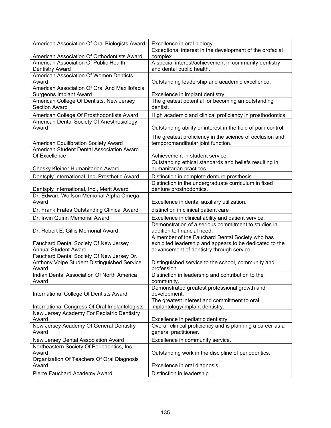| American Association Of Oral Biologists Award                                        | Excellence in oral biology.                                                                                |
|--------------------------------------------------------------------------------------|------------------------------------------------------------------------------------------------------------|
|                                                                                      | Exceptional interest in the development of the orofacial                                                   |
| American Association Of Orthodontists Award                                          | complex.                                                                                                   |
| American Association Of Public Health                                                | A special interest/achievement in community dentistry                                                      |
| <b>Dentistry Award</b>                                                               | and dental public health.                                                                                  |
| American Association Of Women Dentists<br>Award                                      |                                                                                                            |
| American Association Of Oral And Maxillofacial                                       | Outstanding leadership and academic excellence.                                                            |
| <b>Surgeons Implant Award</b>                                                        | Excellence in implant dentistry.                                                                           |
| American College Of Dentists, New Jersey                                             | The greatest potential for becoming an outstanding                                                         |
| <b>Section Award</b>                                                                 | dentist.                                                                                                   |
| American College Of Prosthodontists Award                                            | High academic and clinical proficiency in prosthodontics.                                                  |
| American Dental Society Of Anesthesiology                                            |                                                                                                            |
| Award                                                                                | Outstanding ability or interest in the field of pain control.                                              |
|                                                                                      | The greatest proficiency in the science of occlusion and                                                   |
| American Equilibration Society Award                                                 | temporomandibular joint function.                                                                          |
| American Student Dental Association Award                                            |                                                                                                            |
| Of Excellence                                                                        | Achievement in student service.                                                                            |
|                                                                                      | Outstanding ethical standards and beliefs resulting in                                                     |
| Chesky Kleiner Humanitarian Award                                                    | humanitarian practices.                                                                                    |
| Dentsply International, Inc. Prosthetic Award                                        | Distinction in complete denture prosthesis.                                                                |
|                                                                                      | Distinction in the undergraduate curriculum in fixed                                                       |
| Dentsply International, Inc., Merit Award<br>Dr. Edward Wolfson Memorial Alpha Omega | denture prosthodontics.                                                                                    |
| Award                                                                                | Excellence in dental auxiliary utilization.                                                                |
|                                                                                      |                                                                                                            |
| Dr. Frank Frates Outstanding Clinical Award                                          | distinction in clinical patient care                                                                       |
| Dr. Irwin Quinn Memorial Award                                                       | Excellence in clinical ability and patient service.<br>Demonstration of a serious commitment to studies in |
| Dr. Robert E. Gillis Memorial Award                                                  | addition to financial need.                                                                                |
|                                                                                      | A member of the Fauchard Dental Society who has                                                            |
| Fauchard Dental Society Of New Jersey                                                | exhibited leadership and appears to be dedicated to the                                                    |
| <b>Annual Student Award</b>                                                          | advancement of dentistry through service.                                                                  |
| Fauchard Dental Society Of New Jersey Dr.                                            |                                                                                                            |
| Anthony Volpe Student Distinguished Service                                          | Distinguished service to the school, community and                                                         |
| Award                                                                                | profession.                                                                                                |
| Indian Dental Association Of North America                                           | Distinction in leadership and contribution to the                                                          |
| Award                                                                                | community.<br>Demonstrated greatest professional growth and                                                |
| International College Of Dentists Award                                              | development.                                                                                               |
|                                                                                      | The greatest interest and commitment to oral                                                               |
| International Congress Of Oral Implantologists                                       | implantology/implant dentistry.                                                                            |
| New Jersey Academy For Pediatric Dentistry                                           |                                                                                                            |
| Award                                                                                | Excellence in pediatric dentistry.                                                                         |
| New Jersey Academy Of General Dentistry                                              | Overall clinical proficiency and is planning a career as a                                                 |
| Award                                                                                | general practitioner.                                                                                      |
| New Jersey Dental Association Award                                                  | Excellence in community service.                                                                           |
| Northeastern Society Of Periodontics, Inc.                                           |                                                                                                            |
| Award                                                                                | Outstanding work in the discipline of periodontics.                                                        |
| Organization Of Teachers Of Oral Diagnosis<br>Award                                  | Excellence in oral diagnosis.                                                                              |
|                                                                                      |                                                                                                            |
| Pierre Fauchard Academy Award                                                        | Distinction in leadership.                                                                                 |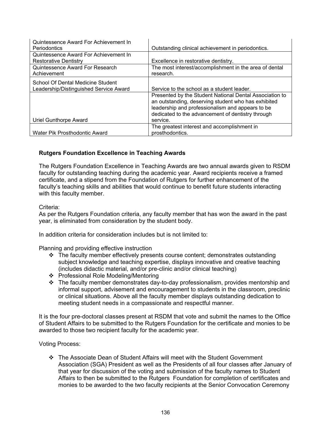| Quintessence Award For Achievement In  |                                                         |
|----------------------------------------|---------------------------------------------------------|
| <b>Periodontics</b>                    | Outstanding clinical achievement in periodontics.       |
| Quintessence Award For Achievement In  |                                                         |
| Restorative Dentistry                  | Excellence in restorative dentistry.                    |
| <b>Quintessence Award For Research</b> | The most interest/accomplishment in the area of dental  |
| Achievement                            | research.                                               |
| School Of Dental Medicine Student      |                                                         |
| Leadership/Distinguished Service Award | Service to the school as a student leader.              |
|                                        | Presented by the Student National Dental Association to |
|                                        | an outstanding, deserving student who has exhibited     |
|                                        | leadership and professionalism and appears to be        |
|                                        | dedicated to the advancement of dentistry through       |
| Uriel Gunthorpe Award                  | service.                                                |
|                                        | The greatest interest and accomplishment in             |
| Water Pik Prosthodontic Award          | prosthodontics.                                         |

### **Rutgers Foundation Excellence in Teaching Awards**

The Rutgers Foundation Excellence in Teaching Awards are two annual awards given to RSDM faculty for outstanding teaching during the academic year. Award recipients receive a framed certificate, and a stipend from the Foundation of Rutgers for further enhancement of the faculty's teaching skills and abilities that would continue to benefit future students interacting with this faculty member.

#### Criteria:

As per the Rutgers Foundation criteria, any faculty member that has won the award in the past year, is eliminated from consideration by the student body.

In addition criteria for consideration includes but is not limited to:

Planning and providing effective instruction

- $\div$  The faculty member effectively presents course content; demonstrates outstanding subject knowledge and teaching expertise, displays innovative and creative teaching (includes didactic material, and/or pre-clinic and/or clinical teaching)
- ❖ Professional Role Modeling/Mentoring
- The faculty member demonstrates day-to-day professionalism, provides mentorship and informal support, advisement and encouragement to students in the classroom, preclinic or clinical situations. Above all the faculty member displays outstanding dedication to meeting student needs in a compassionate and respectful manner.

It is the four pre-doctoral classes present at RSDM that vote and submit the names to the Office of Student Affairs to be submitted to the Rutgers Foundation for the certificate and monies to be awarded to those two recipient faculty for the academic year.

Voting Process:

 The Associate Dean of Student Affairs will meet with the Student Government Association (SGA) President as well as the Presidents of all four classes after January of that year for discussion of the voting and submission of the faculty names to Student Affairs to then be submitted to the Rutgers Foundation for completion of certificates and monies to be awarded to the two faculty recipients at the Senior Convocation Ceremony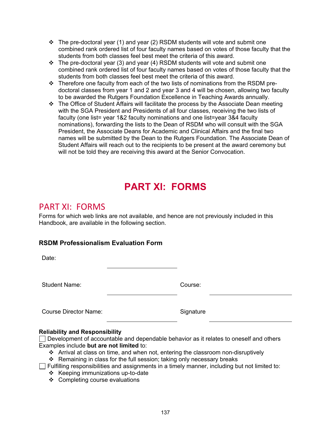- $\div$  The pre-doctoral year (1) and year (2) RSDM students will vote and submit one combined rank ordered list of four faculty names based on votes of those faculty that the students from both classes feel best meet the criteria of this award.
- $\div$  The pre-doctoral year (3) and year (4) RSDM students will vote and submit one combined rank ordered list of four faculty names based on votes of those faculty that the students from both classes feel best meet the criteria of this award.
- \* Therefore one faculty from each of the two lists of nominations from the RSDM predoctoral classes from year 1 and 2 and year 3 and 4 will be chosen, allowing two faculty to be awarded the Rutgers Foundation Excellence in Teaching Awards annually.
- The Office of Student Affairs will facilitate the process by the Associate Dean meeting with the SGA President and Presidents of all four classes, receiving the two lists of faculty (one list= year 1&2 faculty nominations and one list=year 3&4 faculty nominations), forwarding the lists to the Dean of RSDM who will consult with the SGA President, the Associate Deans for Academic and Clinical Affairs and the final two names will be submitted by the Dean to the Rutgers Foundation. The Associate Dean of Student Affairs will reach out to the recipients to be present at the award ceremony but will not be told they are receiving this award at the Senior Convocation.

# **PART XI: FORMS**

# PART XI: FORMS

Forms for which web links are not available, and hence are not previously included in this Handbook, are available in the following section.

# **RSDM Professionalism Evaluation Form**

Date:

Student Name: Course:

Course Director Name: Signature

## **Reliability and Responsibility**

Development of accountable and dependable behavior as it relates to oneself and others Examples include **but are not limited** to:

- Arrival at class on time, and when not, entering the classroom non-disruptively
- Remaining in class for the full session; taking only necessary breaks
- $\Box$  Fulfilling responsibilities and assignments in a timely manner, including but not limited to:
	- $\div$  Keeping immunizations up-to-date
	- ❖ Completing course evaluations